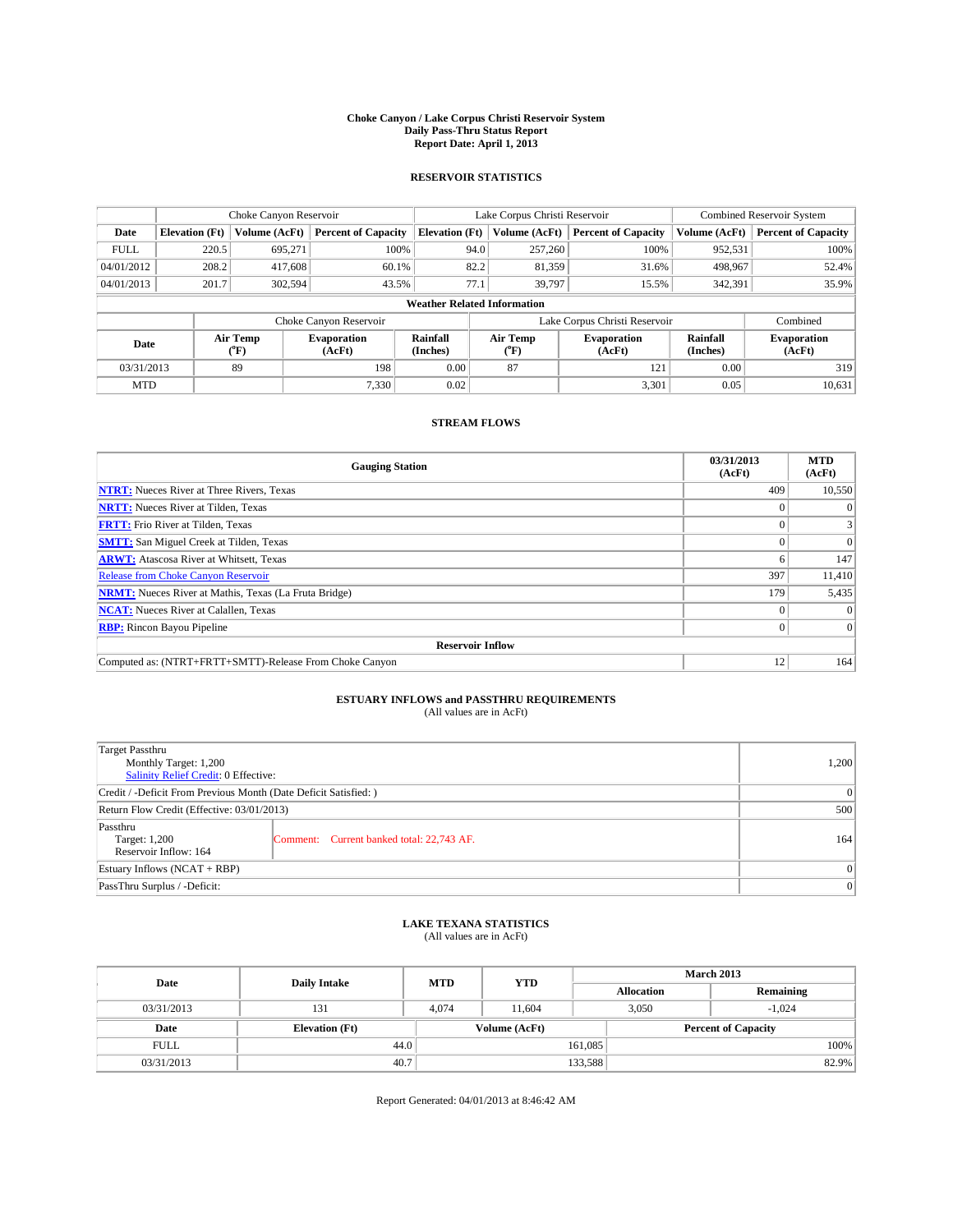### **Choke Canyon / Lake Corpus Christi Reservoir System Daily Pass-Thru Status Report Report Date: April 1, 2013**

### **RESERVOIR STATISTICS**

|             |                                    | Choke Canyon Reservoir |                              |                       | Lake Corpus Christi Reservoir | <b>Combined Reservoir System</b> |                      |                              |  |
|-------------|------------------------------------|------------------------|------------------------------|-----------------------|-------------------------------|----------------------------------|----------------------|------------------------------|--|
| Date        | <b>Elevation</b> (Ft)              | Volume (AcFt)          | <b>Percent of Capacity</b>   | <b>Elevation (Ft)</b> | Volume (AcFt)                 | <b>Percent of Capacity</b>       | Volume (AcFt)        | <b>Percent of Capacity</b>   |  |
| <b>FULL</b> | 220.5                              | 695,271                | 100%                         | 94.0                  | 257,260                       | 100%                             | 952,531              | 100%                         |  |
| 04/01/2012  | 208.2                              | 417,608                | 60.1%                        | 82.2                  | 81,359                        | 31.6%                            | 498,967              | 52.4%                        |  |
| 04/01/2013  | 201.7                              | 302,594                | 43.5%                        | 77.1                  | 39,797                        | 15.5%                            | 342,391              | 35.9%                        |  |
|             | <b>Weather Related Information</b> |                        |                              |                       |                               |                                  |                      |                              |  |
|             |                                    |                        | Choke Canyon Reservoir       |                       |                               | Lake Corpus Christi Reservoir    |                      | Combined                     |  |
| Date        |                                    | Air Temp<br>(°F)       | <b>Evaporation</b><br>(AcFt) | Rainfall<br>(Inches)  | Air Temp<br>(°F)              | <b>Evaporation</b><br>(AcFt)     | Rainfall<br>(Inches) | <b>Evaporation</b><br>(AcFt) |  |
| 03/31/2013  |                                    | 89                     | 198                          | 0.00                  | 87                            | 121                              | 0.00                 | 319                          |  |
| <b>MTD</b>  |                                    |                        | 7.330                        | 0.02                  |                               | 3,301                            | 0.05                 | 10,631                       |  |

### **STREAM FLOWS**

| <b>Gauging Station</b>                                       | 03/31/2013<br>(AcFt) | <b>MTD</b><br>(AcFt) |  |  |  |  |
|--------------------------------------------------------------|----------------------|----------------------|--|--|--|--|
| <b>NTRT:</b> Nueces River at Three Rivers, Texas             | 409                  | 10,550               |  |  |  |  |
| <b>NRTT:</b> Nueces River at Tilden, Texas                   |                      | $\Omega$             |  |  |  |  |
| <b>FRTT:</b> Frio River at Tilden, Texas                     |                      | 3                    |  |  |  |  |
| <b>SMTT:</b> San Miguel Creek at Tilden, Texas               |                      | $\Omega$             |  |  |  |  |
| <b>ARWT:</b> Atascosa River at Whitsett, Texas               |                      | 147                  |  |  |  |  |
| <b>Release from Choke Canyon Reservoir</b>                   | 397                  | 11,410               |  |  |  |  |
| <b>NRMT:</b> Nueces River at Mathis, Texas (La Fruta Bridge) | 179                  | 5,435                |  |  |  |  |
| <b>NCAT:</b> Nueces River at Calallen, Texas                 |                      | $\Omega$             |  |  |  |  |
| <b>RBP:</b> Rincon Bayou Pipeline                            | $\Omega$             | $\Omega$             |  |  |  |  |
| <b>Reservoir Inflow</b>                                      |                      |                      |  |  |  |  |
| Computed as: (NTRT+FRTT+SMTT)-Release From Choke Canyon      | 12                   | 164                  |  |  |  |  |

# **ESTUARY INFLOWS and PASSTHRU REQUIREMENTS**<br>(All values are in AcFt)

| <b>Target Passthru</b><br>Monthly Target: 1,200<br>Salinity Relief Credit: 0 Effective: |                                           |     |  |  |
|-----------------------------------------------------------------------------------------|-------------------------------------------|-----|--|--|
| Credit / -Deficit From Previous Month (Date Deficit Satisfied: )                        |                                           |     |  |  |
| Return Flow Credit (Effective: 03/01/2013)                                              |                                           |     |  |  |
| Passthru<br>Target: 1,200<br>Reservoir Inflow: 164                                      | Comment: Current banked total: 22,743 AF. | 164 |  |  |
| Estuary Inflows (NCAT + RBP)                                                            |                                           |     |  |  |
| PassThru Surplus / -Deficit:                                                            | 0                                         |     |  |  |

## **LAKE TEXANA STATISTICS** (All values are in AcFt)

| Date        | <b>Daily Intake</b>   | <b>MTD</b> | <b>YTD</b>    | <b>March 2013</b> |                            |           |       |
|-------------|-----------------------|------------|---------------|-------------------|----------------------------|-----------|-------|
|             |                       |            |               | <b>Allocation</b> |                            | Remaining |       |
| 03/31/2013  | 131                   | 4.074      | 11.604        |                   | 3,050<br>$-1.024$          |           |       |
| Date        | <b>Elevation</b> (Ft) |            | Volume (AcFt) |                   | <b>Percent of Capacity</b> |           |       |
| <b>FULL</b> | 44.0                  |            |               | 161,085           |                            |           | 100%  |
| 03/31/2013  | 40.7                  |            |               | 133,588           |                            |           | 82.9% |

Report Generated: 04/01/2013 at 8:46:42 AM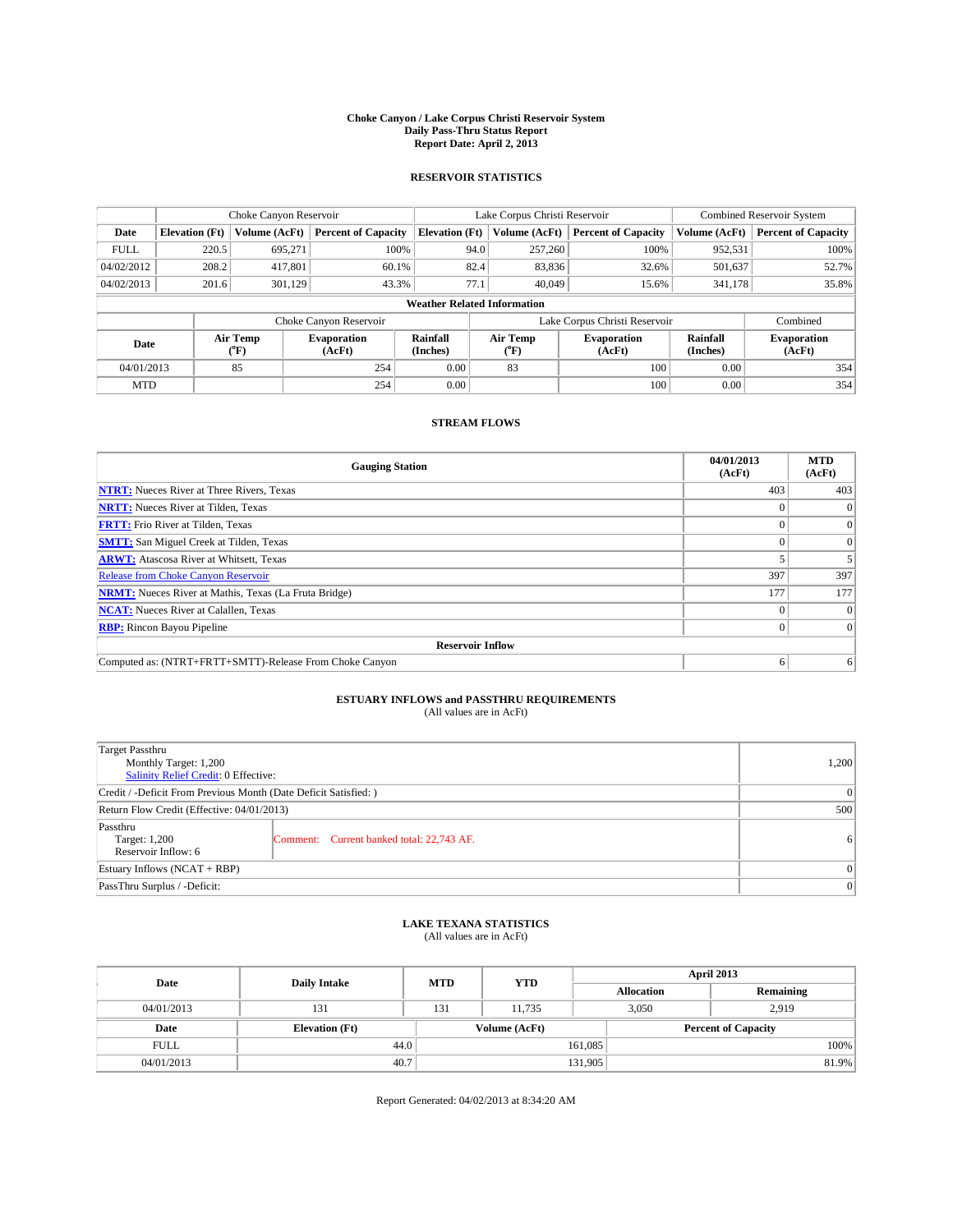### **Choke Canyon / Lake Corpus Christi Reservoir System Daily Pass-Thru Status Report Report Date: April 2, 2013**

### **RESERVOIR STATISTICS**

|             |                                    | Choke Canyon Reservoir |                              |                       | Lake Corpus Christi Reservoir | <b>Combined Reservoir System</b> |                      |                              |  |
|-------------|------------------------------------|------------------------|------------------------------|-----------------------|-------------------------------|----------------------------------|----------------------|------------------------------|--|
| Date        | <b>Elevation</b> (Ft)              | Volume (AcFt)          | <b>Percent of Capacity</b>   | <b>Elevation (Ft)</b> | Volume (AcFt)                 | <b>Percent of Capacity</b>       | Volume (AcFt)        | <b>Percent of Capacity</b>   |  |
| <b>FULL</b> | 220.5                              | 695.271                | 100%                         | 94.0                  | 257,260                       | 100%                             | 952,531              | 100%                         |  |
| 04/02/2012  | 208.2                              | 417,801                | 60.1%                        | 82.4                  | 83,836                        | 32.6%                            | 501,637              | 52.7%                        |  |
| 04/02/2013  | 201.6                              | 301.129                | 43.3%                        | 77.1                  | 40,049                        | 15.6%                            | 341.178              | 35.8%                        |  |
|             | <b>Weather Related Information</b> |                        |                              |                       |                               |                                  |                      |                              |  |
|             |                                    |                        | Choke Canyon Reservoir       |                       |                               | Lake Corpus Christi Reservoir    |                      | Combined                     |  |
| Date        |                                    | Air Temp<br>(°F)       | <b>Evaporation</b><br>(AcFt) | Rainfall<br>(Inches)  | Air Temp<br>$(^{0}F)$         | <b>Evaporation</b><br>(AcFt)     | Rainfall<br>(Inches) | <b>Evaporation</b><br>(AcFt) |  |
| 04/01/2013  |                                    | 85                     | 254                          | 0.00                  | 83                            | 100                              | 0.00                 | 354                          |  |
| <b>MTD</b>  |                                    |                        | 254                          | 0.00                  |                               | 100                              | 0.00                 | 354                          |  |

### **STREAM FLOWS**

| <b>Gauging Station</b>                                       | 04/01/2013<br>(AcFt) | <b>MTD</b><br>(AcFt) |  |  |  |  |
|--------------------------------------------------------------|----------------------|----------------------|--|--|--|--|
| <b>NTRT:</b> Nueces River at Three Rivers, Texas             | 403                  | 403                  |  |  |  |  |
| <b>NRTT:</b> Nueces River at Tilden, Texas                   |                      | $\theta$             |  |  |  |  |
| <b>FRTT:</b> Frio River at Tilden, Texas                     |                      | $\overline{0}$       |  |  |  |  |
| <b>SMTT:</b> San Miguel Creek at Tilden, Texas               |                      | $\Omega$             |  |  |  |  |
| <b>ARWT:</b> Atascosa River at Whitsett, Texas               |                      |                      |  |  |  |  |
| <b>Release from Choke Canyon Reservoir</b>                   | 397                  | 397                  |  |  |  |  |
| <b>NRMT:</b> Nueces River at Mathis, Texas (La Fruta Bridge) | 177                  | 177                  |  |  |  |  |
| <b>NCAT:</b> Nueces River at Calallen, Texas                 |                      | $\Omega$             |  |  |  |  |
| <b>RBP:</b> Rincon Bayou Pipeline                            |                      | $\Omega$             |  |  |  |  |
| <b>Reservoir Inflow</b>                                      |                      |                      |  |  |  |  |
| Computed as: (NTRT+FRTT+SMTT)-Release From Choke Canyon      | h                    | 6                    |  |  |  |  |

## **ESTUARY INFLOWS and PASSTHRU REQUIREMENTS**<br>(All values are in AcFt)

| <b>Target Passthru</b><br>Monthly Target: 1,200<br>Salinity Relief Credit: 0 Effective: | 1,200                                     |                |  |  |
|-----------------------------------------------------------------------------------------|-------------------------------------------|----------------|--|--|
| Credit / -Deficit From Previous Month (Date Deficit Satisfied: )                        |                                           |                |  |  |
| Return Flow Credit (Effective: 04/01/2013)                                              |                                           |                |  |  |
| Passthru<br>Target: 1,200<br>Reservoir Inflow: 6                                        | Comment: Current banked total: 22,743 AF. | 6 <sup>1</sup> |  |  |
| Estuary Inflows $(NCAT + RBP)$                                                          | $\Omega$                                  |                |  |  |
| PassThru Surplus / -Deficit:                                                            | 0                                         |                |  |  |

## **LAKE TEXANA STATISTICS** (All values are in AcFt)

| Date        | <b>Daily Intake</b>   | <b>MTD</b> | <b>YTD</b>    | April 2013        |                            |           |  |
|-------------|-----------------------|------------|---------------|-------------------|----------------------------|-----------|--|
|             |                       |            |               | <b>Allocation</b> |                            | Remaining |  |
| 04/01/2013  | 131                   | 131        | 11.735        | 3,050             |                            | 2,919     |  |
| Date        | <b>Elevation</b> (Ft) |            | Volume (AcFt) |                   | <b>Percent of Capacity</b> |           |  |
| <b>FULL</b> | 44.0                  |            |               | 161,085           |                            | 100%      |  |
| 04/01/2013  | 40.7                  |            |               | 131,905           |                            | 81.9%     |  |

Report Generated: 04/02/2013 at 8:34:20 AM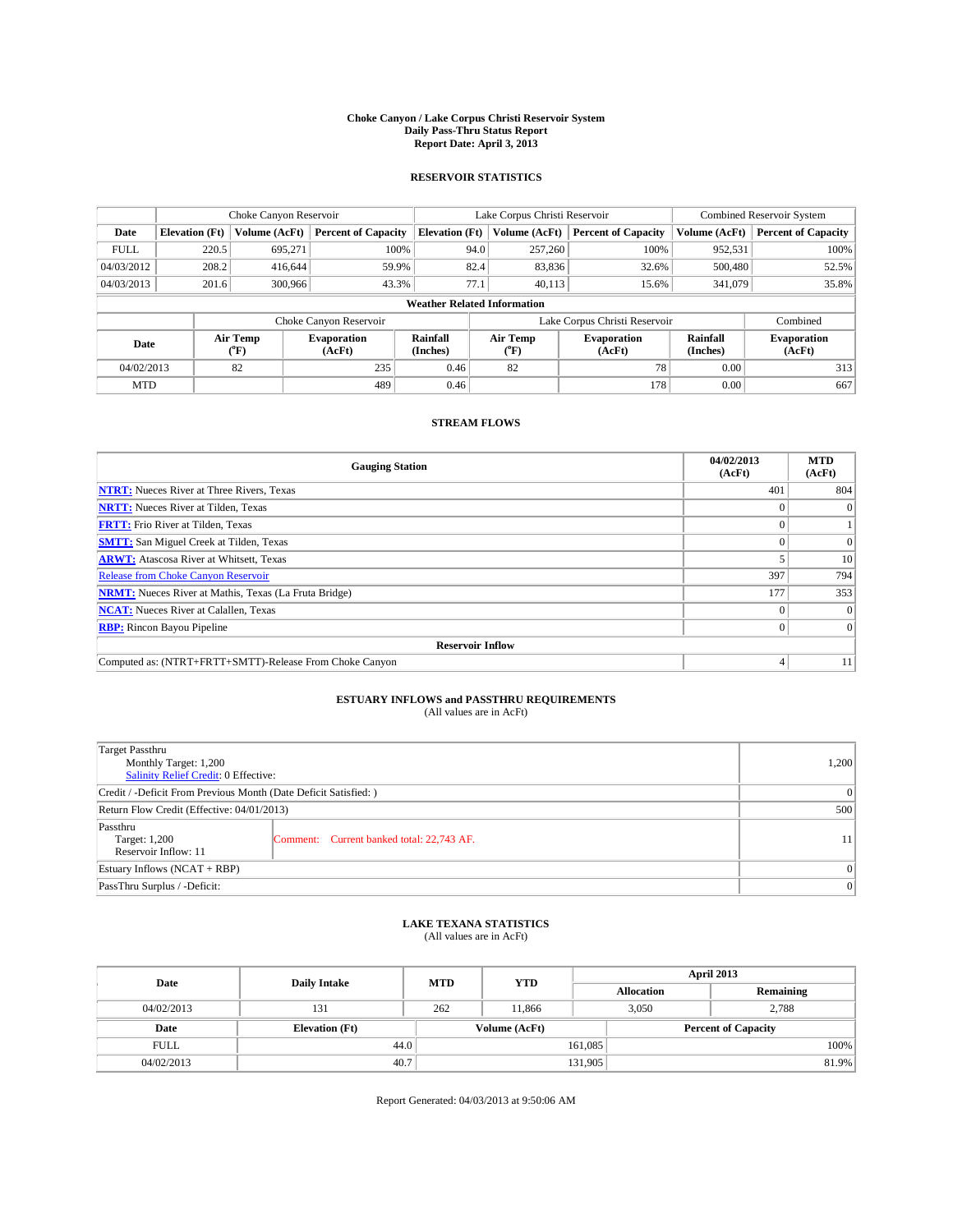### **Choke Canyon / Lake Corpus Christi Reservoir System Daily Pass-Thru Status Report Report Date: April 3, 2013**

### **RESERVOIR STATISTICS**

|             |                                    | Choke Canyon Reservoir |                              |                       | Lake Corpus Christi Reservoir | <b>Combined Reservoir System</b> |                      |                              |  |
|-------------|------------------------------------|------------------------|------------------------------|-----------------------|-------------------------------|----------------------------------|----------------------|------------------------------|--|
| Date        | <b>Elevation</b> (Ft)              | Volume (AcFt)          | <b>Percent of Capacity</b>   | <b>Elevation</b> (Ft) | Volume (AcFt)                 | <b>Percent of Capacity</b>       | Volume (AcFt)        | <b>Percent of Capacity</b>   |  |
| <b>FULL</b> | 220.5                              | 695,271                | 100%                         |                       | 257,260<br>94.0               | 100%                             | 952,531              | 100%                         |  |
| 04/03/2012  | 208.2                              | 416,644                | 59.9%                        |                       | 82.4<br>83,836                | 32.6%                            | 500,480              | 52.5%                        |  |
| 04/03/2013  | 201.6                              | 300,966                | 43.3%                        | 77.1                  | 40.113                        | 15.6%                            | 341,079              | 35.8%                        |  |
|             | <b>Weather Related Information</b> |                        |                              |                       |                               |                                  |                      |                              |  |
|             |                                    |                        | Choke Canyon Reservoir       |                       |                               | Lake Corpus Christi Reservoir    |                      | Combined                     |  |
| Date        | Air Temp<br>(°F)                   |                        | <b>Evaporation</b><br>(AcFt) | Rainfall<br>(Inches)  | Air Temp<br>("F)              | <b>Evaporation</b><br>(AcFt)     | Rainfall<br>(Inches) | <b>Evaporation</b><br>(AcFt) |  |
| 04/02/2013  |                                    | 82                     | 235                          | 0.46                  | 82                            | 78                               | 0.00                 | 313                          |  |
| <b>MTD</b>  |                                    |                        | 489                          | 0.46                  |                               | 178                              | 0.00                 | 667                          |  |

### **STREAM FLOWS**

| <b>Gauging Station</b>                                       | 04/02/2013<br>(AcFt) | <b>MTD</b><br>(AcFt) |  |  |  |  |
|--------------------------------------------------------------|----------------------|----------------------|--|--|--|--|
| <b>NTRT:</b> Nueces River at Three Rivers, Texas             | 401                  | 804                  |  |  |  |  |
| <b>NRTT:</b> Nueces River at Tilden, Texas                   |                      | $\theta$             |  |  |  |  |
| <b>FRTT:</b> Frio River at Tilden, Texas                     |                      |                      |  |  |  |  |
| <b>SMTT:</b> San Miguel Creek at Tilden, Texas               |                      | $\Omega$             |  |  |  |  |
| <b>ARWT:</b> Atascosa River at Whitsett, Texas               |                      | 10                   |  |  |  |  |
| <b>Release from Choke Canyon Reservoir</b>                   | 397                  | 794                  |  |  |  |  |
| <b>NRMT:</b> Nueces River at Mathis, Texas (La Fruta Bridge) | 177                  | 353                  |  |  |  |  |
| <b>NCAT:</b> Nueces River at Calallen, Texas                 |                      | $\Omega$             |  |  |  |  |
| <b>RBP:</b> Rincon Bayou Pipeline                            | 0                    | $\Omega$             |  |  |  |  |
| <b>Reservoir Inflow</b>                                      |                      |                      |  |  |  |  |
| Computed as: (NTRT+FRTT+SMTT)-Release From Choke Canyon      | 4                    | 11                   |  |  |  |  |

# **ESTUARY INFLOWS and PASSTHRU REQUIREMENTS**<br>(All values are in AcFt)

| <b>Target Passthru</b><br>Monthly Target: 1,200<br>Salinity Relief Credit: 0 Effective: |                                           |    |  |  |
|-----------------------------------------------------------------------------------------|-------------------------------------------|----|--|--|
| Credit / -Deficit From Previous Month (Date Deficit Satisfied: )                        |                                           |    |  |  |
| Return Flow Credit (Effective: 04/01/2013)                                              | 500                                       |    |  |  |
| Passthru<br>Target: 1,200<br>Reservoir Inflow: 11                                       | Comment: Current banked total: 22,743 AF. | 11 |  |  |
| Estuary Inflows $(NCAT + RBP)$                                                          | $\Omega$                                  |    |  |  |
| PassThru Surplus / -Deficit:                                                            | 0                                         |    |  |  |

## **LAKE TEXANA STATISTICS** (All values are in AcFt)

| Date        | <b>Daily Intake</b>   | <b>MTD</b> | <b>YTD</b>    | April 2013        |                            |           |  |
|-------------|-----------------------|------------|---------------|-------------------|----------------------------|-----------|--|
|             |                       |            |               | <b>Allocation</b> |                            | Remaining |  |
| 04/02/2013  | 131                   | 262        | 11.866        | 3,050             |                            | 2,788     |  |
| Date        | <b>Elevation (Ft)</b> |            | Volume (AcFt) |                   | <b>Percent of Capacity</b> |           |  |
| <b>FULL</b> | 44.0                  |            |               | 161,085           |                            | 100%      |  |
| 04/02/2013  | 40.7                  |            |               | 131,905           |                            | 81.9%     |  |

Report Generated: 04/03/2013 at 9:50:06 AM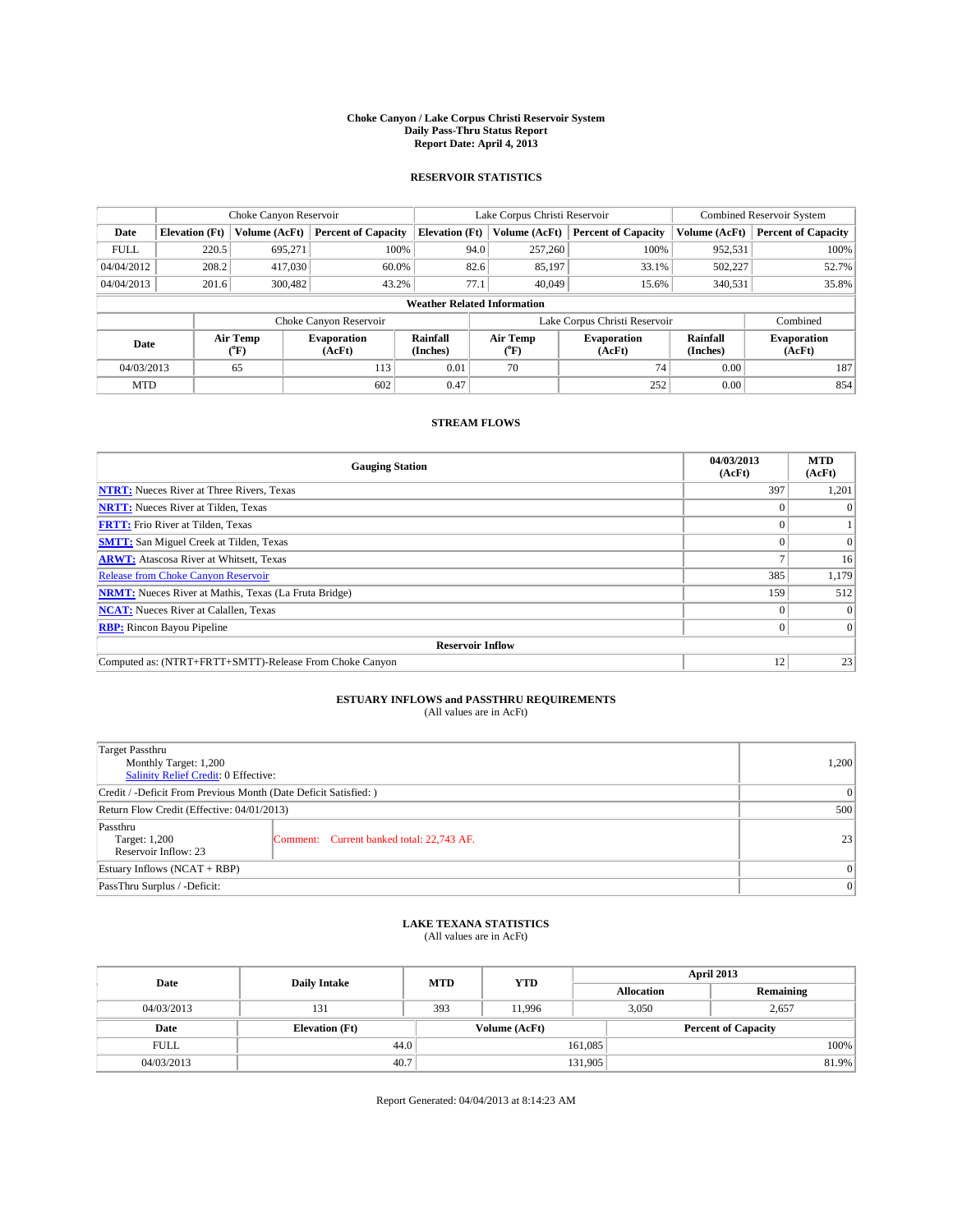### **Choke Canyon / Lake Corpus Christi Reservoir System Daily Pass-Thru Status Report Report Date: April 4, 2013**

### **RESERVOIR STATISTICS**

|             | Choke Canyon Reservoir |                  |                              |                                    | Lake Corpus Christi Reservoir | Combined Reservoir System     |                      |                              |
|-------------|------------------------|------------------|------------------------------|------------------------------------|-------------------------------|-------------------------------|----------------------|------------------------------|
| Date        | <b>Elevation</b> (Ft)  | Volume (AcFt)    | <b>Percent of Capacity</b>   | <b>Elevation</b> (Ft)              | Volume (AcFt)                 | <b>Percent of Capacity</b>    | Volume (AcFt)        | <b>Percent of Capacity</b>   |
| <b>FULL</b> | 220.5                  | 695.271          | 100%                         | 94.0                               | 257,260                       | 100%                          | 952,531              | 100%                         |
| 04/04/2012  | 208.2                  | 417,030          | 60.0%                        | 82.6                               | 85,197                        | 33.1%                         | 502,227              | 52.7%                        |
| 04/04/2013  | 201.6                  | 300,482          | 43.2%                        | 77.1                               | 40.049                        | 15.6%                         | 340.531              | 35.8%                        |
|             |                        |                  |                              | <b>Weather Related Information</b> |                               |                               |                      |                              |
|             |                        |                  | Choke Canyon Reservoir       |                                    |                               | Lake Corpus Christi Reservoir |                      | Combined                     |
| Date        |                        | Air Temp<br>(°F) | <b>Evaporation</b><br>(AcFt) | Rainfall<br>(Inches)               | Air Temp<br>(°F)              | <b>Evaporation</b><br>(AcFt)  | Rainfall<br>(Inches) | <b>Evaporation</b><br>(AcFt) |
| 04/03/2013  |                        | 65               | 113                          | 0.01                               | 70                            | 74                            | 0.00                 | 187                          |
| <b>MTD</b>  |                        |                  | 602                          | 0.47                               |                               | 252                           | 0.00                 | 854                          |

## **STREAM FLOWS**

| <b>Gauging Station</b>                                       | 04/03/2013<br>(AcFt) | <b>MTD</b><br>(AcFt) |  |  |  |
|--------------------------------------------------------------|----------------------|----------------------|--|--|--|
| <b>NTRT:</b> Nueces River at Three Rivers, Texas             | 397                  | 1,201                |  |  |  |
| <b>NRTT:</b> Nueces River at Tilden, Texas                   |                      |                      |  |  |  |
| <b>FRTT:</b> Frio River at Tilden, Texas                     |                      |                      |  |  |  |
| <b>SMTT:</b> San Miguel Creek at Tilden, Texas               |                      | $\Omega$             |  |  |  |
| <b>ARWT:</b> Atascosa River at Whitsett, Texas               |                      | 16                   |  |  |  |
| <b>Release from Choke Canyon Reservoir</b>                   | 385                  | 1,179                |  |  |  |
| <b>NRMT:</b> Nueces River at Mathis, Texas (La Fruta Bridge) | 159                  | 512                  |  |  |  |
| <b>NCAT:</b> Nueces River at Calallen, Texas                 |                      | $\Omega$             |  |  |  |
| <b>RBP:</b> Rincon Bayou Pipeline                            | 0                    | $\Omega$             |  |  |  |
| <b>Reservoir Inflow</b>                                      |                      |                      |  |  |  |
| Computed as: (NTRT+FRTT+SMTT)-Release From Choke Canyon      | 12                   | 23                   |  |  |  |

# **ESTUARY INFLOWS and PASSTHRU REQUIREMENTS**<br>(All values are in AcFt)

| Target Passthru<br>Monthly Target: 1,200<br>Salinity Relief Credit: 0 Effective: |                                           |                 |  |  |
|----------------------------------------------------------------------------------|-------------------------------------------|-----------------|--|--|
| Credit / -Deficit From Previous Month (Date Deficit Satisfied: )                 | 0                                         |                 |  |  |
| Return Flow Credit (Effective: 04/01/2013)                                       |                                           |                 |  |  |
| Passthru<br>Target: 1,200<br>Reservoir Inflow: 23                                | Comment: Current banked total: 22,743 AF. | 23 <sup>1</sup> |  |  |
| Estuary Inflows (NCAT + RBP)                                                     | $\Omega$                                  |                 |  |  |
| PassThru Surplus / -Deficit:                                                     |                                           | 0               |  |  |

# **LAKE TEXANA STATISTICS** (All values are in AcFt)

| Date        | <b>Daily Intake</b>   | <b>MTD</b>    | <b>YTD</b> | April 2013        |                            |           |  |
|-------------|-----------------------|---------------|------------|-------------------|----------------------------|-----------|--|
|             |                       |               |            | <b>Allocation</b> |                            | Remaining |  |
| 04/03/2013  | 131                   | 393           | 11.996     |                   | 3,050<br>2,657             |           |  |
| Date        | <b>Elevation</b> (Ft) | Volume (AcFt) |            |                   | <b>Percent of Capacity</b> |           |  |
| <b>FULL</b> | 44.0                  |               |            | 161,085           |                            | 100%      |  |
| 04/03/2013  | 40.7                  |               |            | 131,905           |                            | 81.9%     |  |

Report Generated: 04/04/2013 at 8:14:23 AM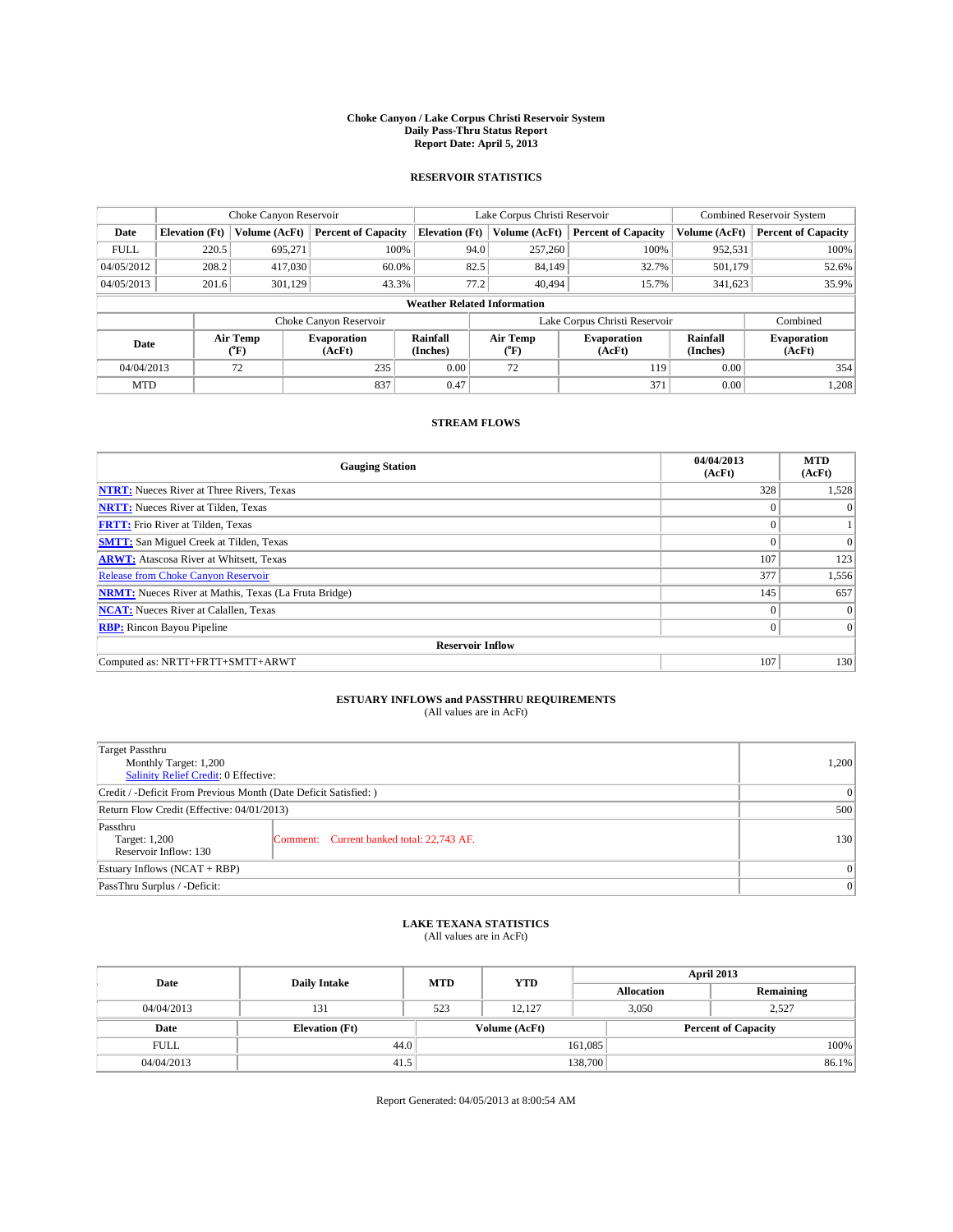### **Choke Canyon / Lake Corpus Christi Reservoir System Daily Pass-Thru Status Report Report Date: April 5, 2013**

### **RESERVOIR STATISTICS**

|             | Choke Canyon Reservoir |                  |                              |                                    | Lake Corpus Christi Reservoir | Combined Reservoir System     |                      |                              |
|-------------|------------------------|------------------|------------------------------|------------------------------------|-------------------------------|-------------------------------|----------------------|------------------------------|
| Date        | <b>Elevation</b> (Ft)  | Volume (AcFt)    | <b>Percent of Capacity</b>   | <b>Elevation (Ft)</b>              | Volume (AcFt)                 | <b>Percent of Capacity</b>    | Volume (AcFt)        | <b>Percent of Capacity</b>   |
| <b>FULL</b> | 220.5                  | 695,271          | 100%                         | 94.0                               | 257,260                       | 100%                          | 952,531              | 100%                         |
| 04/05/2012  | 208.2                  | 417,030          | 60.0%                        | 82.5                               | 84,149                        | 32.7%                         | 501,179              | 52.6%                        |
| 04/05/2013  | 201.6                  | 301.129          | 43.3%                        | 77.2                               | 40.494                        | 15.7%                         | 341.623              | 35.9%                        |
|             |                        |                  |                              | <b>Weather Related Information</b> |                               |                               |                      |                              |
|             |                        |                  | Choke Canyon Reservoir       |                                    |                               | Lake Corpus Christi Reservoir |                      | Combined                     |
| Date        |                        | Air Temp<br>(°F) | <b>Evaporation</b><br>(AcFt) | Rainfall<br>(Inches)               | Air Temp<br>(°F)              | <b>Evaporation</b><br>(AcFt)  | Rainfall<br>(Inches) | <b>Evaporation</b><br>(AcFt) |
| 04/04/2013  |                        | 72               | 235                          | 0.00                               | 72                            | 119                           | 0.00                 | 354                          |
| <b>MTD</b>  |                        |                  | 837                          | 0.47                               |                               | 371                           | 0.00                 | 1,208                        |

### **STREAM FLOWS**

| <b>Gauging Station</b>                                       | 04/04/2013<br>(AcFt) | <b>MTD</b><br>(AcFt) |  |  |  |  |
|--------------------------------------------------------------|----------------------|----------------------|--|--|--|--|
| <b>NTRT:</b> Nueces River at Three Rivers, Texas             | 328                  | 1,528                |  |  |  |  |
| <b>NRTT:</b> Nueces River at Tilden, Texas                   | $\theta$             | $\Omega$             |  |  |  |  |
| <b>FRTT:</b> Frio River at Tilden, Texas                     |                      |                      |  |  |  |  |
| <b>SMTT:</b> San Miguel Creek at Tilden, Texas               | $\theta$             | $\Omega$             |  |  |  |  |
| <b>ARWT:</b> Atascosa River at Whitsett, Texas               | 107                  | 123                  |  |  |  |  |
| <b>Release from Choke Canyon Reservoir</b>                   | 377                  | 1,556                |  |  |  |  |
| <b>NRMT:</b> Nueces River at Mathis, Texas (La Fruta Bridge) | 145                  | 657                  |  |  |  |  |
| <b>NCAT:</b> Nueces River at Calallen, Texas                 | $\Omega$             | $\Omega$             |  |  |  |  |
| <b>RBP:</b> Rincon Bayou Pipeline                            | $\mathbf{0}$         | $\vert$ 0            |  |  |  |  |
| <b>Reservoir Inflow</b>                                      |                      |                      |  |  |  |  |
| Computed as: NRTT+FRTT+SMTT+ARWT                             | 107                  | 130                  |  |  |  |  |

# **ESTUARY INFLOWS and PASSTHRU REQUIREMENTS**<br>(All values are in AcFt)

| Target Passthru<br>Monthly Target: 1,200<br>Salinity Relief Credit: 0 Effective: | 1,200                                     |     |  |  |
|----------------------------------------------------------------------------------|-------------------------------------------|-----|--|--|
| Credit / -Deficit From Previous Month (Date Deficit Satisfied: )                 |                                           |     |  |  |
| Return Flow Credit (Effective: 04/01/2013)                                       |                                           |     |  |  |
| Passthru<br>Target: 1,200<br>Reservoir Inflow: 130                               | Comment: Current banked total: 22,743 AF. | 130 |  |  |
| Estuary Inflows $(NCAT + RBP)$                                                   | $\Omega$                                  |     |  |  |
| PassThru Surplus / -Deficit:                                                     |                                           | 0   |  |  |

## **LAKE TEXANA STATISTICS** (All values are in AcFt)

| Date        | <b>Daily Intake</b>   | <b>MTD</b>    | <b>YTD</b> | April 2013        |                            |           |  |
|-------------|-----------------------|---------------|------------|-------------------|----------------------------|-----------|--|
|             |                       |               |            | <b>Allocation</b> |                            | Remaining |  |
| 04/04/2013  | 131                   | 523           | 12.127     |                   | 3,050<br>2,527             |           |  |
| Date        | <b>Elevation</b> (Ft) | Volume (AcFt) |            |                   | <b>Percent of Capacity</b> |           |  |
| <b>FULL</b> | 44.0                  |               |            | 161,085           |                            | 100%      |  |
| 04/04/2013  | 41.5                  |               |            | 138,700           |                            | 86.1%     |  |

Report Generated: 04/05/2013 at 8:00:54 AM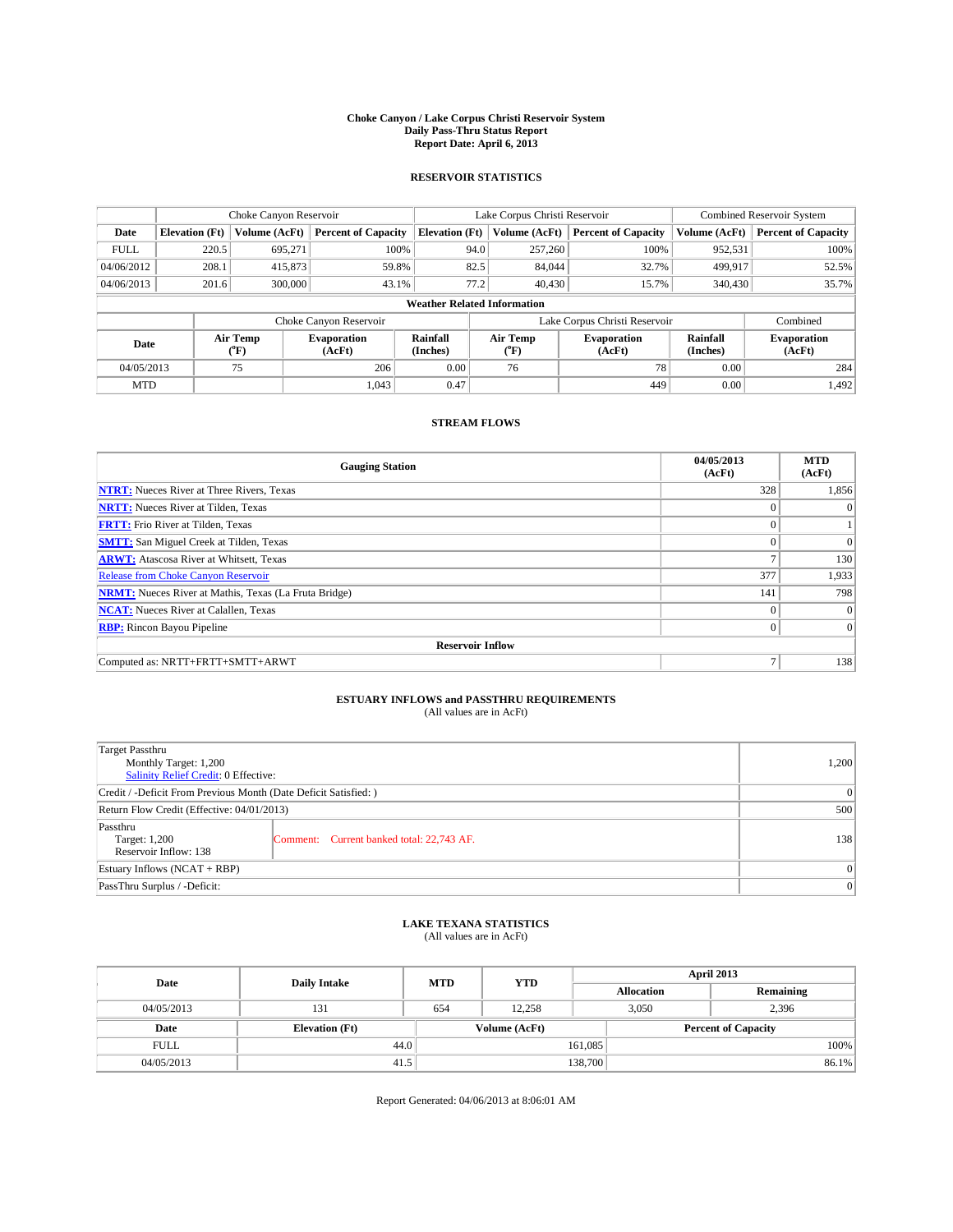### **Choke Canyon / Lake Corpus Christi Reservoir System Daily Pass-Thru Status Report Report Date: April 6, 2013**

### **RESERVOIR STATISTICS**

|             | Choke Canyon Reservoir |                  |                              |                                    | Lake Corpus Christi Reservoir | <b>Combined Reservoir System</b> |                      |                              |
|-------------|------------------------|------------------|------------------------------|------------------------------------|-------------------------------|----------------------------------|----------------------|------------------------------|
| Date        | <b>Elevation</b> (Ft)  | Volume (AcFt)    | <b>Percent of Capacity</b>   | <b>Elevation</b> (Ft)              | Volume (AcFt)                 | <b>Percent of Capacity</b>       | Volume (AcFt)        | <b>Percent of Capacity</b>   |
| <b>FULL</b> | 220.5                  | 695,271          | 100%                         |                                    | 257,260<br>94.0               | 100%                             | 952,531              | 100%                         |
| 04/06/2012  | 208.1                  | 415,873          | 59.8%                        |                                    | 82.5<br>84,044                | 32.7%                            | 499,917              | 52.5%                        |
| 04/06/2013  | 201.6                  | 300,000          | 43.1%                        |                                    | 77.2<br>40,430                | 15.7%                            | 340,430              | 35.7%                        |
|             |                        |                  |                              | <b>Weather Related Information</b> |                               |                                  |                      |                              |
|             |                        |                  | Choke Canyon Reservoir       |                                    |                               | Lake Corpus Christi Reservoir    |                      | Combined                     |
| Date        |                        | Air Temp<br>(°F) | <b>Evaporation</b><br>(AcFt) | Rainfall<br>(Inches)               | Air Temp<br>("F)              | <b>Evaporation</b><br>(AcFt)     | Rainfall<br>(Inches) | <b>Evaporation</b><br>(AcFt) |
| 04/05/2013  |                        | 75               | 206                          | 0.00                               | 76                            | 78                               | 0.00                 | 284                          |
| <b>MTD</b>  |                        |                  | 1.043                        | 0.47                               |                               | 449                              | 0.00                 | 1.492                        |

### **STREAM FLOWS**

| <b>Gauging Station</b>                                       | 04/05/2013<br>(AcFt) | <b>MTD</b><br>(AcFt) |  |  |  |  |
|--------------------------------------------------------------|----------------------|----------------------|--|--|--|--|
| <b>NTRT:</b> Nueces River at Three Rivers, Texas             | 328                  | 1,856                |  |  |  |  |
| <b>NRTT:</b> Nueces River at Tilden, Texas                   | $\theta$             | $\theta$             |  |  |  |  |
| <b>FRTT:</b> Frio River at Tilden, Texas                     |                      |                      |  |  |  |  |
| <b>SMTT:</b> San Miguel Creek at Tilden, Texas               | $\theta$             | $\overline{0}$       |  |  |  |  |
| <b>ARWT:</b> Atascosa River at Whitsett, Texas               | Ξ                    | 130                  |  |  |  |  |
| <b>Release from Choke Canyon Reservoir</b>                   | 377                  | 1,933                |  |  |  |  |
| <b>NRMT:</b> Nueces River at Mathis, Texas (La Fruta Bridge) | 141                  | 798                  |  |  |  |  |
| <b>NCAT:</b> Nueces River at Calallen, Texas                 | $\Omega$             | $\overline{0}$       |  |  |  |  |
| <b>RBP:</b> Rincon Bayou Pipeline                            | $\Omega$             | $\Omega$             |  |  |  |  |
| <b>Reservoir Inflow</b>                                      |                      |                      |  |  |  |  |
| Computed as: NRTT+FRTT+SMTT+ARWT                             | $\overline{ }$       | 138                  |  |  |  |  |

# **ESTUARY INFLOWS and PASSTHRU REQUIREMENTS**<br>(All values are in AcFt)

| <b>Target Passthru</b><br>Monthly Target: 1,200<br>Salinity Relief Credit: 0 Effective: |                                           |     |  |  |
|-----------------------------------------------------------------------------------------|-------------------------------------------|-----|--|--|
| Credit / -Deficit From Previous Month (Date Deficit Satisfied: )                        |                                           |     |  |  |
| Return Flow Credit (Effective: 04/01/2013)                                              |                                           |     |  |  |
| Passthru<br>Target: 1,200<br>Reservoir Inflow: 138                                      | Comment: Current banked total: 22,743 AF. | 138 |  |  |
| Estuary Inflows $(NCAT + RBP)$                                                          | $\Omega$                                  |     |  |  |
| PassThru Surplus / -Deficit:                                                            |                                           | 0   |  |  |

## **LAKE TEXANA STATISTICS** (All values are in AcFt)

| Date        | <b>Daily Intake</b>   | <b>MTD</b>    | <b>YTD</b> | April 2013        |                            |           |  |
|-------------|-----------------------|---------------|------------|-------------------|----------------------------|-----------|--|
|             |                       |               |            | <b>Allocation</b> |                            | Remaining |  |
| 04/05/2013  | 131                   | 654           | 12.258     |                   | 3,050                      | 2,396     |  |
| Date        | <b>Elevation (Ft)</b> | Volume (AcFt) |            |                   | <b>Percent of Capacity</b> |           |  |
| <b>FULL</b> | 44.0                  |               |            | 161,085           |                            | 100%      |  |
| 04/05/2013  | 41.5                  |               |            | 138,700           |                            | 86.1%     |  |

Report Generated: 04/06/2013 at 8:06:01 AM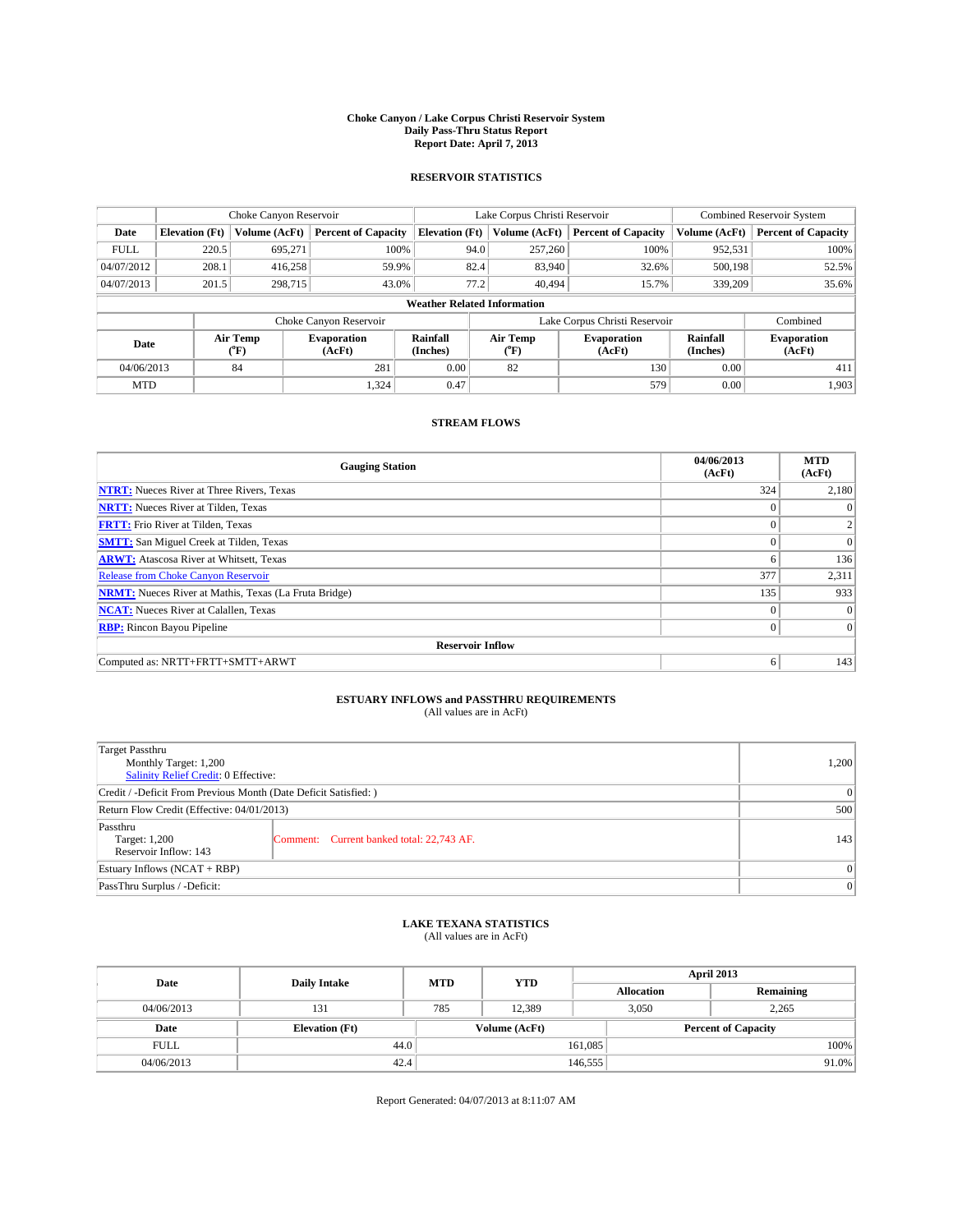### **Choke Canyon / Lake Corpus Christi Reservoir System Daily Pass-Thru Status Report Report Date: April 7, 2013**

### **RESERVOIR STATISTICS**

|             |                       | Choke Canyon Reservoir |                              |                                    | Lake Corpus Christi Reservoir | <b>Combined Reservoir System</b> |                      |                              |
|-------------|-----------------------|------------------------|------------------------------|------------------------------------|-------------------------------|----------------------------------|----------------------|------------------------------|
| Date        | <b>Elevation</b> (Ft) | Volume (AcFt)          | <b>Percent of Capacity</b>   | <b>Elevation (Ft)</b>              | Volume (AcFt)                 | <b>Percent of Capacity</b>       | Volume (AcFt)        | <b>Percent of Capacity</b>   |
| <b>FULL</b> | 220.5                 | 695,271                | 100%                         | 94.0                               | 257,260                       | 100%                             | 952,531              | 100%                         |
| 04/07/2012  | 208.1                 | 416,258                | 59.9%                        | 82.4                               | 83,940                        | 32.6%                            | 500,198              | 52.5%                        |
| 04/07/2013  | 201.5                 | 298,715                | 43.0%                        | 77.2                               | 40.494                        | 15.7%                            | 339,209              | 35.6%                        |
|             |                       |                        |                              | <b>Weather Related Information</b> |                               |                                  |                      |                              |
|             |                       |                        | Choke Canyon Reservoir       |                                    | Lake Corpus Christi Reservoir | Combined                         |                      |                              |
| Date        |                       | Air Temp<br>(°F)       | <b>Evaporation</b><br>(AcFt) | Rainfall<br>(Inches)               | Air Temp<br>(°F)              | <b>Evaporation</b><br>(AcFt)     | Rainfall<br>(Inches) | <b>Evaporation</b><br>(AcFt) |
| 04/06/2013  |                       | 84                     | 281                          | 0.00<br>82                         |                               | 130                              | 0.00                 | 411                          |
| <b>MTD</b>  |                       |                        | 1.324                        | 0.47                               |                               | 579                              | 0.00                 | 1,903                        |

## **STREAM FLOWS**

| <b>Gauging Station</b>                                       | 04/06/2013<br>(AcFt) | <b>MTD</b><br>(AcFt) |  |  |  |  |  |
|--------------------------------------------------------------|----------------------|----------------------|--|--|--|--|--|
| <b>NTRT:</b> Nueces River at Three Rivers, Texas             | 324                  | 2,180                |  |  |  |  |  |
| <b>NRTT:</b> Nueces River at Tilden, Texas                   |                      | $\theta$             |  |  |  |  |  |
| <b>FRTT:</b> Frio River at Tilden, Texas                     |                      | 2                    |  |  |  |  |  |
| <b>SMTT:</b> San Miguel Creek at Tilden, Texas               | $\theta$             | $\overline{0}$       |  |  |  |  |  |
| <b>ARWT:</b> Atascosa River at Whitsett, Texas               | 6                    | 136                  |  |  |  |  |  |
| <b>Release from Choke Canyon Reservoir</b>                   | 377                  | 2,311                |  |  |  |  |  |
| <b>NRMT:</b> Nueces River at Mathis, Texas (La Fruta Bridge) | 135                  | 933                  |  |  |  |  |  |
| <b>NCAT:</b> Nueces River at Calallen, Texas                 | $\theta$             | $\Omega$             |  |  |  |  |  |
| <b>RBP:</b> Rincon Bayou Pipeline                            | $\Omega$             | $\vert$ 0            |  |  |  |  |  |
| <b>Reservoir Inflow</b>                                      |                      |                      |  |  |  |  |  |
| Computed as: NRTT+FRTT+SMTT+ARWT                             | 6                    | 143                  |  |  |  |  |  |

# **ESTUARY INFLOWS and PASSTHRU REQUIREMENTS**<br>(All values are in AcFt)

| <b>Target Passthru</b><br>Monthly Target: 1,200<br>Salinity Relief Credit: 0 Effective: |                                           |     |  |  |
|-----------------------------------------------------------------------------------------|-------------------------------------------|-----|--|--|
| Credit / -Deficit From Previous Month (Date Deficit Satisfied: )                        |                                           |     |  |  |
| Return Flow Credit (Effective: 04/01/2013)                                              |                                           |     |  |  |
| Passthru<br>Target: 1,200<br>Reservoir Inflow: 143                                      | Comment: Current banked total: 22,743 AF. | 143 |  |  |
| Estuary Inflows $(NCAT + RBP)$                                                          |                                           |     |  |  |
| PassThru Surplus / -Deficit:                                                            |                                           |     |  |  |

## **LAKE TEXANA STATISTICS** (All values are in AcFt)

| Date        | <b>Daily Intake</b>   | <b>MTD</b> | <b>YTD</b>    | April 2013        |                            |           |  |
|-------------|-----------------------|------------|---------------|-------------------|----------------------------|-----------|--|
|             |                       |            |               | <b>Allocation</b> |                            | Remaining |  |
| 04/06/2013  | 131                   | 785        | 12.389        |                   | 3,050<br>2,265             |           |  |
| Date        | <b>Elevation</b> (Ft) |            | Volume (AcFt) |                   | <b>Percent of Capacity</b> |           |  |
| <b>FULL</b> | 44.0                  |            |               | 161,085           |                            | 100%      |  |
| 04/06/2013  | 42.4                  |            |               | 146,555           |                            | $91.0\%$  |  |

Report Generated: 04/07/2013 at 8:11:07 AM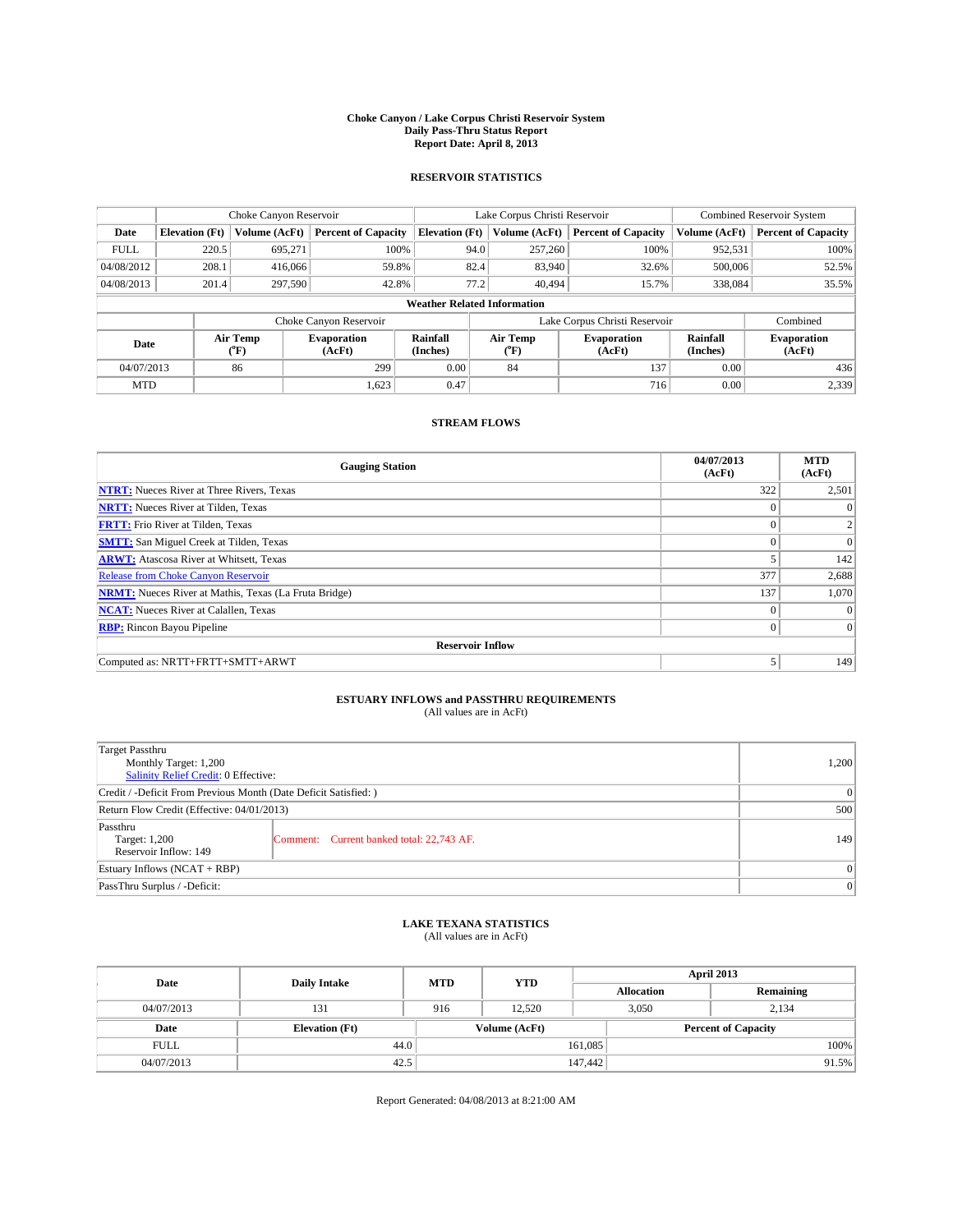### **Choke Canyon / Lake Corpus Christi Reservoir System Daily Pass-Thru Status Report Report Date: April 8, 2013**

### **RESERVOIR STATISTICS**

|             | Choke Canyon Reservoir             |                  |                              |                       | Lake Corpus Christi Reservoir | <b>Combined Reservoir System</b> |                      |                              |  |  |
|-------------|------------------------------------|------------------|------------------------------|-----------------------|-------------------------------|----------------------------------|----------------------|------------------------------|--|--|
| Date        | <b>Elevation</b> (Ft)              | Volume (AcFt)    | <b>Percent of Capacity</b>   | <b>Elevation</b> (Ft) | Volume (AcFt)                 | <b>Percent of Capacity</b>       | Volume (AcFt)        | Percent of Capacity          |  |  |
| <b>FULL</b> | 220.5                              | 695,271          | 100%                         |                       | 257,260<br>94.0               | 100%                             | 952,531              | 100%                         |  |  |
| 04/08/2012  | 208.1                              | 416,066          | 59.8%                        |                       | 82.4<br>83,940                | 32.6%                            | 500,006              | 52.5%                        |  |  |
| 04/08/2013  | 201.4                              | 297,590          | 42.8%                        |                       | 77.2<br>40.494                | 15.7%                            | 338,084              | 35.5%                        |  |  |
|             | <b>Weather Related Information</b> |                  |                              |                       |                               |                                  |                      |                              |  |  |
|             |                                    |                  | Choke Canyon Reservoir       |                       | Lake Corpus Christi Reservoir |                                  | Combined             |                              |  |  |
| Date        |                                    | Air Temp<br>(°F) | <b>Evaporation</b><br>(AcFt) | Rainfall<br>(Inches)  | Air Temp<br>("F)              | <b>Evaporation</b><br>(AcFt)     | Rainfall<br>(Inches) | <b>Evaporation</b><br>(AcFt) |  |  |
| 04/07/2013  |                                    | 86               | 299                          | 0.00                  | 84                            | 137                              | 0.00                 | 436                          |  |  |
| <b>MTD</b>  |                                    |                  | 1,623                        | 0.47                  |                               | 716                              | 0.00                 | 2,339                        |  |  |

### **STREAM FLOWS**

| <b>Gauging Station</b>                                       | 04/07/2013<br>(AcFt) | <b>MTD</b><br>(AcFt) |  |  |  |  |  |
|--------------------------------------------------------------|----------------------|----------------------|--|--|--|--|--|
| <b>NTRT:</b> Nueces River at Three Rivers, Texas             | 322                  | 2,501                |  |  |  |  |  |
| <b>NRTT:</b> Nueces River at Tilden, Texas                   |                      |                      |  |  |  |  |  |
| <b>FRTT:</b> Frio River at Tilden, Texas                     |                      | 2                    |  |  |  |  |  |
| <b>SMTT:</b> San Miguel Creek at Tilden, Texas               |                      | $\Omega$             |  |  |  |  |  |
| <b>ARWT:</b> Atascosa River at Whitsett, Texas               |                      | 142                  |  |  |  |  |  |
| <b>Release from Choke Canyon Reservoir</b>                   | 377                  | 2,688                |  |  |  |  |  |
| <b>NRMT:</b> Nueces River at Mathis, Texas (La Fruta Bridge) | 137                  | 1,070                |  |  |  |  |  |
| <b>NCAT:</b> Nueces River at Calallen, Texas                 | $\theta$             | $\Omega$             |  |  |  |  |  |
| <b>RBP:</b> Rincon Bayou Pipeline                            | $\theta$             | $\Omega$             |  |  |  |  |  |
| <b>Reservoir Inflow</b>                                      |                      |                      |  |  |  |  |  |
| Computed as: NRTT+FRTT+SMTT+ARWT                             | 5                    | 149                  |  |  |  |  |  |

# **ESTUARY INFLOWS and PASSTHRU REQUIREMENTS**<br>(All values are in AcFt)

| <b>Target Passthru</b><br>Monthly Target: 1,200<br>Salinity Relief Credit: 0 Effective: |                                           |     |  |  |
|-----------------------------------------------------------------------------------------|-------------------------------------------|-----|--|--|
| Credit / -Deficit From Previous Month (Date Deficit Satisfied: )                        |                                           |     |  |  |
| Return Flow Credit (Effective: 04/01/2013)                                              |                                           |     |  |  |
| Passthru<br>Target: 1,200<br>Reservoir Inflow: 149                                      | Comment: Current banked total: 22,743 AF. | 149 |  |  |
| Estuary Inflows $(NCAT + RBP)$                                                          |                                           |     |  |  |
| PassThru Surplus / -Deficit:                                                            | 0                                         |     |  |  |

## **LAKE TEXANA STATISTICS** (All values are in AcFt)

| Date        | <b>Daily Intake</b>   | <b>MTD</b> | <b>YTD</b>    | April 2013        |                            |           |       |
|-------------|-----------------------|------------|---------------|-------------------|----------------------------|-----------|-------|
|             |                       |            |               | <b>Allocation</b> |                            | Remaining |       |
| 04/07/2013  | 131                   | 916        | 12.520        |                   | 3,050<br>2,134             |           |       |
| Date        | <b>Elevation</b> (Ft) |            | Volume (AcFt) |                   | <b>Percent of Capacity</b> |           |       |
| <b>FULL</b> | 44.0                  |            |               | 161,085           |                            |           | 100%  |
| 04/07/2013  | 42.5                  |            |               | 147,442           |                            |           | 91.5% |

Report Generated: 04/08/2013 at 8:21:00 AM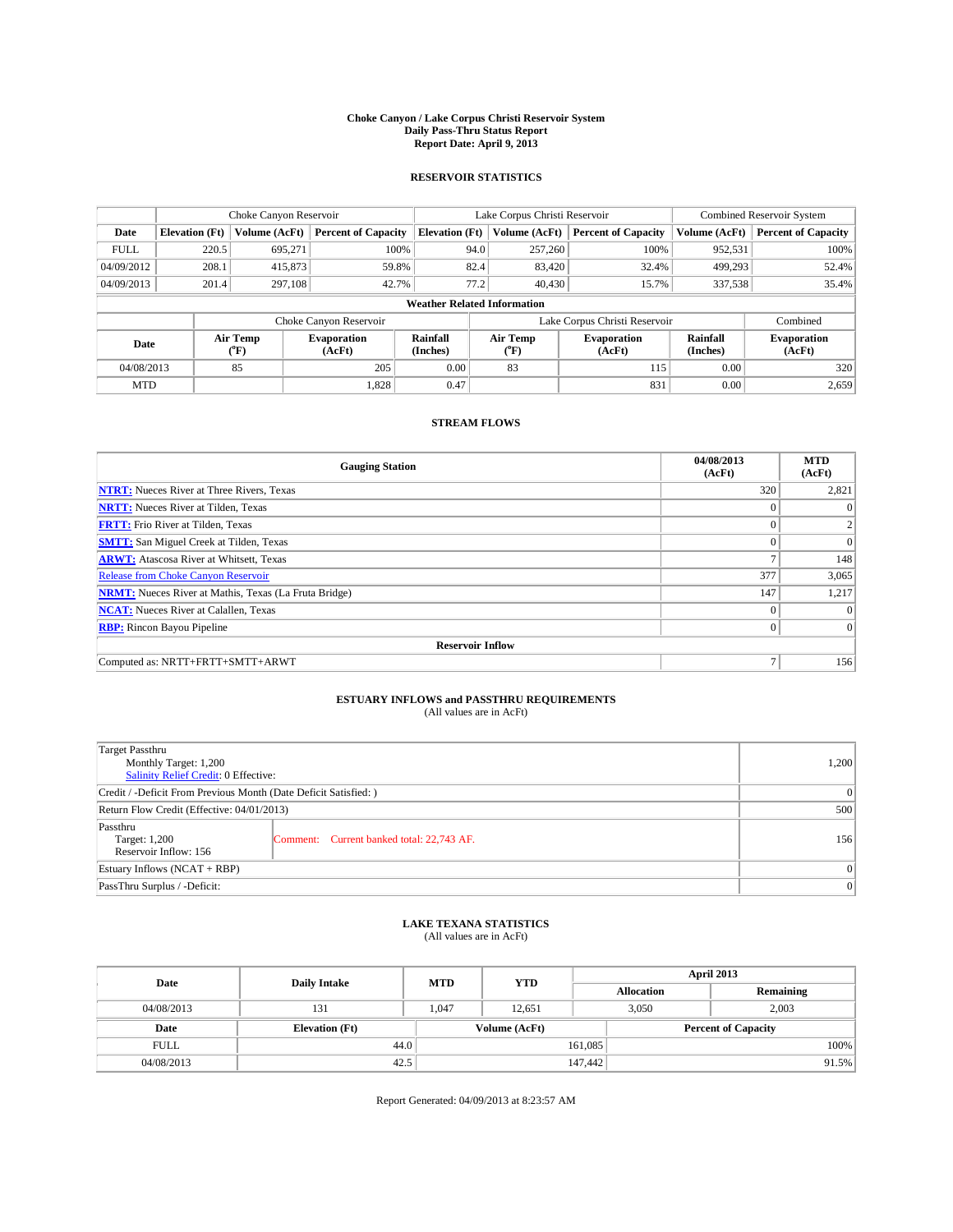### **Choke Canyon / Lake Corpus Christi Reservoir System Daily Pass-Thru Status Report Report Date: April 9, 2013**

### **RESERVOIR STATISTICS**

|             | Choke Canyon Reservoir             |                  |                              |                       | Lake Corpus Christi Reservoir | <b>Combined Reservoir System</b> |                      |                              |  |  |
|-------------|------------------------------------|------------------|------------------------------|-----------------------|-------------------------------|----------------------------------|----------------------|------------------------------|--|--|
| Date        | <b>Elevation</b> (Ft)              | Volume (AcFt)    | <b>Percent of Capacity</b>   | <b>Elevation</b> (Ft) | Volume (AcFt)                 | <b>Percent of Capacity</b>       | Volume (AcFt)        | Percent of Capacity          |  |  |
| <b>FULL</b> | 220.5                              | 695,271          | 100%                         | 94.0                  | 257,260                       | 100%                             | 952,531              | 100%                         |  |  |
| 04/09/2012  | 208.1                              | 415,873          | 59.8%                        | 82.4                  | 83,420                        | 32.4%                            | 499,293              | 52.4%                        |  |  |
| 04/09/2013  | 201.4                              | 297,108          | 42.7%                        | 77.2                  | 40,430                        | 15.7%                            | 337,538              | $35.4\%$                     |  |  |
|             | <b>Weather Related Information</b> |                  |                              |                       |                               |                                  |                      |                              |  |  |
|             |                                    |                  | Choke Canyon Reservoir       |                       | Lake Corpus Christi Reservoir |                                  | Combined             |                              |  |  |
| Date        |                                    | Air Temp<br>(°F) | <b>Evaporation</b><br>(AcFt) | Rainfall<br>(Inches)  | Air Temp<br>("F)              | <b>Evaporation</b><br>(AcFt)     | Rainfall<br>(Inches) | <b>Evaporation</b><br>(AcFt) |  |  |
| 04/08/2013  |                                    | 85               | 205                          | 0.00                  | 83                            | 115                              | 0.00                 | 320                          |  |  |
| <b>MTD</b>  |                                    |                  | 1,828                        | 0.47                  |                               | 831                              | 0.00                 | 2,659                        |  |  |

## **STREAM FLOWS**

| <b>Gauging Station</b>                                       | 04/08/2013<br>(AcFt) | <b>MTD</b><br>(AcFt) |  |  |  |  |  |
|--------------------------------------------------------------|----------------------|----------------------|--|--|--|--|--|
| <b>NTRT:</b> Nueces River at Three Rivers, Texas             | 320                  | 2,821                |  |  |  |  |  |
| <b>NRTT:</b> Nueces River at Tilden, Texas                   |                      |                      |  |  |  |  |  |
| <b>FRTT:</b> Frio River at Tilden, Texas                     |                      | 2                    |  |  |  |  |  |
| <b>SMTT:</b> San Miguel Creek at Tilden, Texas               | $\Omega$             | $\Omega$             |  |  |  |  |  |
| <b>ARWT:</b> Atascosa River at Whitsett, Texas               |                      | 148                  |  |  |  |  |  |
| Release from Choke Canyon Reservoir                          | 377                  | 3,065                |  |  |  |  |  |
| <b>NRMT:</b> Nueces River at Mathis, Texas (La Fruta Bridge) | 147                  | 1,217                |  |  |  |  |  |
| <b>NCAT:</b> Nueces River at Calallen, Texas                 | $\Omega$             | $\Omega$             |  |  |  |  |  |
| <b>RBP:</b> Rincon Bayou Pipeline                            | $\Omega$             | $\Omega$             |  |  |  |  |  |
| <b>Reservoir Inflow</b>                                      |                      |                      |  |  |  |  |  |
| Computed as: NRTT+FRTT+SMTT+ARWT                             | $\overline{ }$       | 156                  |  |  |  |  |  |

# **ESTUARY INFLOWS and PASSTHRU REQUIREMENTS**<br>(All values are in AcFt)

| <b>Target Passthru</b><br>Monthly Target: 1,200<br>Salinity Relief Credit: 0 Effective: |                                           |     |  |  |
|-----------------------------------------------------------------------------------------|-------------------------------------------|-----|--|--|
| Credit / -Deficit From Previous Month (Date Deficit Satisfied: )                        |                                           |     |  |  |
| Return Flow Credit (Effective: 04/01/2013)                                              | 500                                       |     |  |  |
| Passthru<br>Target: 1,200<br>Reservoir Inflow: 156                                      | Comment: Current banked total: 22,743 AF. | 156 |  |  |
| Estuary Inflows $(NCAT + RBP)$                                                          | $\Omega$                                  |     |  |  |
| PassThru Surplus / -Deficit:                                                            | 0                                         |     |  |  |

## **LAKE TEXANA STATISTICS** (All values are in AcFt)

| Date        | <b>Daily Intake</b>   | <b>MTD</b> | <b>YTD</b>    | April 2013        |                            |           |       |
|-------------|-----------------------|------------|---------------|-------------------|----------------------------|-----------|-------|
|             |                       |            |               | <b>Allocation</b> |                            | Remaining |       |
| 04/08/2013  | 131                   | 1,047      | 12,651        |                   | 2,003<br>3,050             |           |       |
| Date        | <b>Elevation</b> (Ft) |            | Volume (AcFt) |                   | <b>Percent of Capacity</b> |           |       |
| <b>FULL</b> | 44.0                  |            |               | 161,085           |                            |           | 100%  |
| 04/08/2013  | 42.5                  |            |               | 147,442           |                            |           | 91.5% |

Report Generated: 04/09/2013 at 8:23:57 AM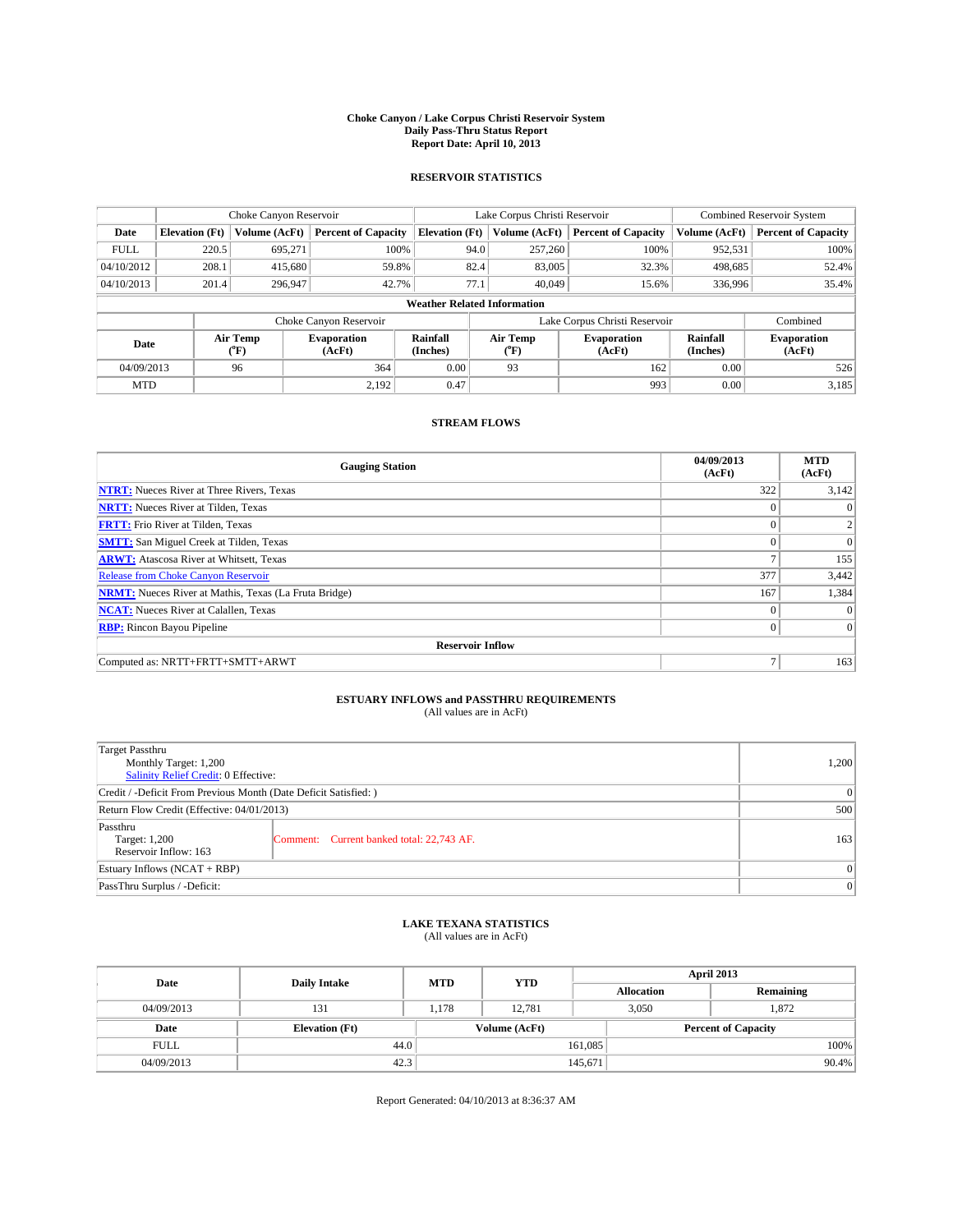### **Choke Canyon / Lake Corpus Christi Reservoir System Daily Pass-Thru Status Report Report Date: April 10, 2013**

### **RESERVOIR STATISTICS**

|             | Choke Canyon Reservoir |                                                                                                                              |                            |                                    | Lake Corpus Christi Reservoir | <b>Combined Reservoir System</b> |               |                            |
|-------------|------------------------|------------------------------------------------------------------------------------------------------------------------------|----------------------------|------------------------------------|-------------------------------|----------------------------------|---------------|----------------------------|
| Date        | <b>Elevation</b> (Ft)  | Volume (AcFt)                                                                                                                | <b>Percent of Capacity</b> | <b>Elevation (Ft)</b>              | Volume (AcFt)                 | <b>Percent of Capacity</b>       | Volume (AcFt) | <b>Percent of Capacity</b> |
| <b>FULL</b> | 220.5                  | 695,271                                                                                                                      | 100%                       | 94.0                               | 257,260                       | 100%                             | 952,531       | 100%                       |
| 04/10/2012  | 208.1                  | 415,680                                                                                                                      | 59.8%                      | 82.4                               | 83,005                        | 32.3%                            | 498,685       | 52.4%                      |
| 04/10/2013  | 201.4                  | 296,947                                                                                                                      | 42.7%                      | 77.1                               | 40.049                        | 15.6%                            | 336,996       | 35.4%                      |
|             |                        |                                                                                                                              |                            | <b>Weather Related Information</b> |                               |                                  |               |                            |
|             |                        |                                                                                                                              | Choke Canyon Reservoir     |                                    |                               | Lake Corpus Christi Reservoir    |               | Combined                   |
| Date        |                        | Air Temp<br>Air Temp<br>Rainfall<br><b>Evaporation</b><br><b>Evaporation</b><br>(Inches)<br>(AcFt)<br>(°F)<br>(AcFt)<br>("F) |                            |                                    | Rainfall<br>(Inches)          | <b>Evaporation</b><br>(AcFt)     |               |                            |
| 04/09/2013  |                        | 96                                                                                                                           | 364                        | 0.00                               | 93                            | 162                              | 0.00          | 526                        |
| <b>MTD</b>  |                        |                                                                                                                              | 2.192                      | 0.47                               |                               | 993                              | 0.00          | 3,185                      |

### **STREAM FLOWS**

| <b>Gauging Station</b>                                       | 04/09/2013<br>(AcFt) | <b>MTD</b><br>(AcFt) |  |  |  |  |
|--------------------------------------------------------------|----------------------|----------------------|--|--|--|--|
| <b>NTRT:</b> Nueces River at Three Rivers, Texas             | 322                  | 3,142                |  |  |  |  |
| <b>NRTT:</b> Nueces River at Tilden, Texas                   |                      |                      |  |  |  |  |
| <b>FRTT:</b> Frio River at Tilden, Texas                     | $\theta$             | 2                    |  |  |  |  |
| <b>SMTT:</b> San Miguel Creek at Tilden, Texas               |                      | $\Omega$             |  |  |  |  |
| <b>ARWT:</b> Atascosa River at Whitsett, Texas               | Ξ                    | 155                  |  |  |  |  |
| Release from Choke Canyon Reservoir                          | 377                  | 3,442                |  |  |  |  |
| <b>NRMT:</b> Nueces River at Mathis, Texas (La Fruta Bridge) | 167                  | 1,384                |  |  |  |  |
| <b>NCAT:</b> Nueces River at Calallen, Texas                 | $\theta$             | $\Omega$             |  |  |  |  |
| <b>RBP:</b> Rincon Bayou Pipeline                            | $\Omega$             | $\Omega$             |  |  |  |  |
| <b>Reservoir Inflow</b>                                      |                      |                      |  |  |  |  |
| Computed as: NRTT+FRTT+SMTT+ARWT                             | Ξ                    | 163                  |  |  |  |  |

# **ESTUARY INFLOWS and PASSTHRU REQUIREMENTS**<br>(All values are in AcFt)

| <b>Target Passthru</b><br>Monthly Target: 1,200<br>Salinity Relief Credit: 0 Effective: | 1,200                                     |     |  |  |
|-----------------------------------------------------------------------------------------|-------------------------------------------|-----|--|--|
| Credit / -Deficit From Previous Month (Date Deficit Satisfied: )                        |                                           |     |  |  |
| Return Flow Credit (Effective: 04/01/2013)                                              |                                           |     |  |  |
| Passthru<br>Target: 1,200<br>Reservoir Inflow: 163                                      | Comment: Current banked total: 22,743 AF. | 163 |  |  |
| Estuary Inflows $(NCAT + RBP)$                                                          | $\Omega$                                  |     |  |  |
| PassThru Surplus / -Deficit:                                                            |                                           | 0   |  |  |

## **LAKE TEXANA STATISTICS** (All values are in AcFt)

| Date        | <b>Daily Intake</b>   | <b>MTD</b>    | <b>YTD</b> | April 2013        |                            |           |  |
|-------------|-----------------------|---------------|------------|-------------------|----------------------------|-----------|--|
|             |                       |               |            | <b>Allocation</b> |                            | Remaining |  |
| 04/09/2013  | 131                   | 1,178         | 12,781     |                   | 3,050<br>1,872             |           |  |
| Date        | <b>Elevation</b> (Ft) | Volume (AcFt) |            |                   | <b>Percent of Capacity</b> |           |  |
| <b>FULL</b> | 44.0                  |               |            | 161,085           |                            | 100%      |  |
| 04/09/2013  | 42.3                  |               |            | 145,671           |                            | 90.4%     |  |

Report Generated: 04/10/2013 at 8:36:37 AM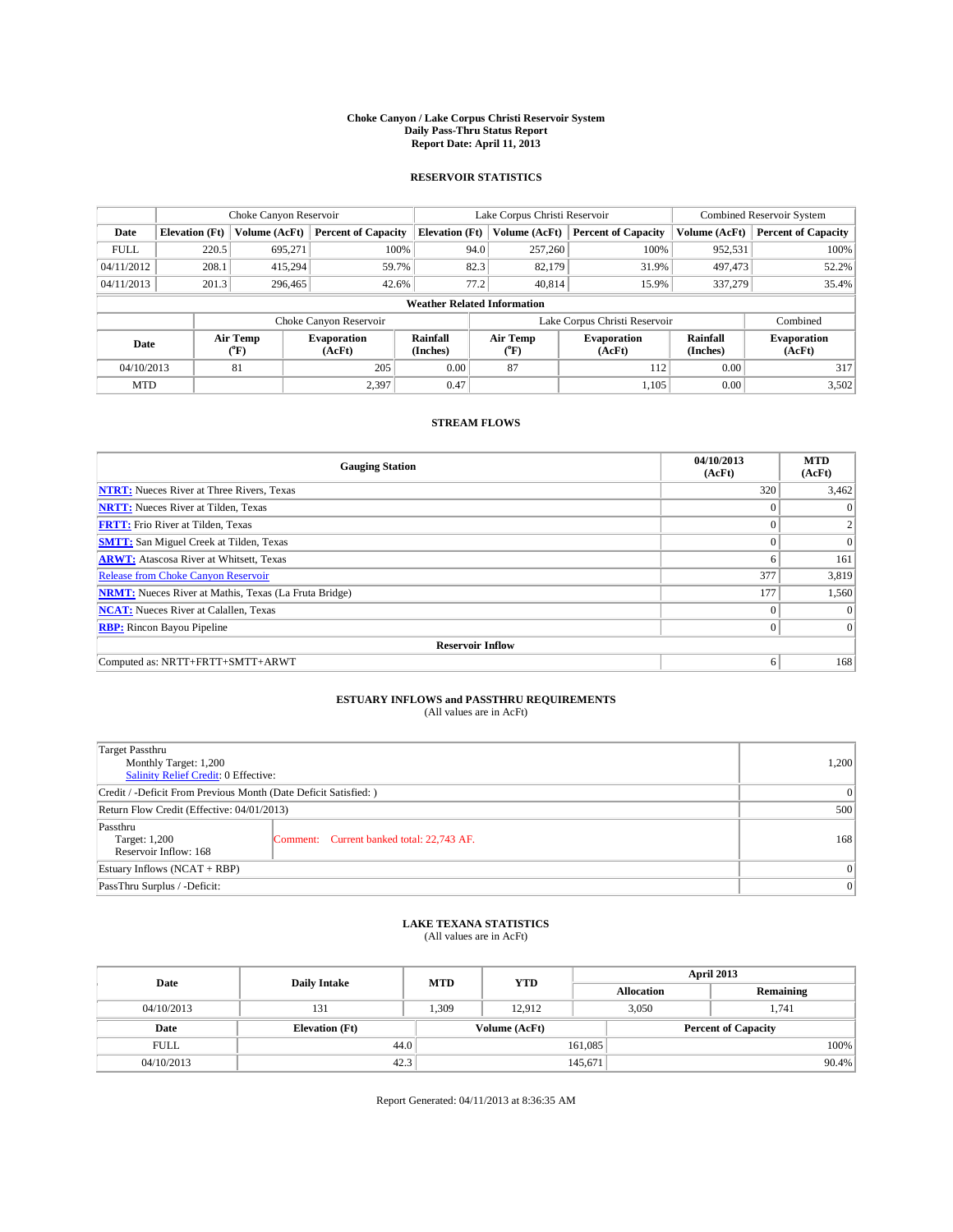### **Choke Canyon / Lake Corpus Christi Reservoir System Daily Pass-Thru Status Report Report Date: April 11, 2013**

### **RESERVOIR STATISTICS**

|             | Choke Canyon Reservoir |                  |                                                                                                          |                       | Lake Corpus Christi Reservoir      |                               |                              |               | <b>Combined Reservoir System</b> |  |  |
|-------------|------------------------|------------------|----------------------------------------------------------------------------------------------------------|-----------------------|------------------------------------|-------------------------------|------------------------------|---------------|----------------------------------|--|--|
| Date        | <b>Elevation</b> (Ft)  | Volume (AcFt)    | <b>Percent of Capacity</b>                                                                               | <b>Elevation (Ft)</b> | Volume (AcFt)                      |                               | <b>Percent of Capacity</b>   | Volume (AcFt) | <b>Percent of Capacity</b>       |  |  |
| <b>FULL</b> | 220.5                  | 695,271          | 100%                                                                                                     |                       | 257,260<br>94.0                    |                               | 100%                         | 952,531       | 100%                             |  |  |
| 04/11/2012  | 208.1                  | 415,294          | 59.7%                                                                                                    |                       | 82.3<br>82,179                     |                               | 31.9%                        | 497,473       | 52.2%                            |  |  |
| 04/11/2013  | 201.3                  | 296,465          | 42.6%                                                                                                    |                       | 77.2<br>40.814                     |                               | 15.9%                        | 337,279       | 35.4%                            |  |  |
|             |                        |                  |                                                                                                          |                       | <b>Weather Related Information</b> |                               |                              |               |                                  |  |  |
|             |                        |                  | Choke Canyon Reservoir                                                                                   |                       |                                    | Lake Corpus Christi Reservoir |                              |               | Combined                         |  |  |
| Date        |                        | Air Temp<br>(°F) | Air Temp<br>Rainfall<br><b>Evaporation</b><br><b>Evaporation</b><br>(Inches)<br>(AcFt)<br>(AcFt)<br>("F) |                       | Rainfall<br>(Inches)               |                               | <b>Evaporation</b><br>(AcFt) |               |                                  |  |  |
| 04/10/2013  |                        | 81               | 205                                                                                                      | 0.00                  | 87                                 |                               | 112                          | 0.00          | 317                              |  |  |
| <b>MTD</b>  |                        |                  | 2,397                                                                                                    | 0.47                  |                                    |                               | 1.105                        | 0.00          | 3,502                            |  |  |

### **STREAM FLOWS**

| <b>Gauging Station</b>                                       | 04/10/2013<br>(AcFt) | <b>MTD</b><br>(AcFt) |  |  |  |  |
|--------------------------------------------------------------|----------------------|----------------------|--|--|--|--|
| <b>NTRT:</b> Nueces River at Three Rivers, Texas             | 320                  | 3,462                |  |  |  |  |
| <b>NRTT:</b> Nueces River at Tilden, Texas                   |                      | $\theta$             |  |  |  |  |
| <b>FRTT:</b> Frio River at Tilden, Texas                     |                      | 2                    |  |  |  |  |
| <b>SMTT:</b> San Miguel Creek at Tilden, Texas               | $\theta$             | $\Omega$             |  |  |  |  |
| <b>ARWT:</b> Atascosa River at Whitsett, Texas               | 6                    | 161                  |  |  |  |  |
| <b>Release from Choke Canyon Reservoir</b>                   | 377                  | 3,819                |  |  |  |  |
| <b>NRMT:</b> Nueces River at Mathis, Texas (La Fruta Bridge) | 177                  | 1,560                |  |  |  |  |
| <b>NCAT:</b> Nueces River at Calallen, Texas                 | $\theta$             | $\Omega$             |  |  |  |  |
| <b>RBP:</b> Rincon Bayou Pipeline                            | $\Omega$             | $\vert$ 0            |  |  |  |  |
| <b>Reservoir Inflow</b>                                      |                      |                      |  |  |  |  |
| Computed as: NRTT+FRTT+SMTT+ARWT                             | 6                    | 168                  |  |  |  |  |

# **ESTUARY INFLOWS and PASSTHRU REQUIREMENTS**<br>(All values are in AcFt)

| <b>Target Passthru</b><br>Monthly Target: 1,200<br>Salinity Relief Credit: 0 Effective: | 1,200                                     |     |  |
|-----------------------------------------------------------------------------------------|-------------------------------------------|-----|--|
| Credit / -Deficit From Previous Month (Date Deficit Satisfied: )                        | 0                                         |     |  |
| Return Flow Credit (Effective: 04/01/2013)                                              |                                           |     |  |
| Passthru<br>Target: 1,200<br>Reservoir Inflow: 168                                      | Comment: Current banked total: 22,743 AF. | 168 |  |
| Estuary Inflows $(NCAT + RBP)$                                                          | $\Omega$                                  |     |  |
| PassThru Surplus / -Deficit:                                                            |                                           | 0   |  |

## **LAKE TEXANA STATISTICS** (All values are in AcFt)

| Date        | <b>Daily Intake</b>   | <b>MTD</b> | <b>YTD</b>    | April 2013        |                            |           |  |
|-------------|-----------------------|------------|---------------|-------------------|----------------------------|-----------|--|
|             |                       |            |               | <b>Allocation</b> |                            | Remaining |  |
| 04/10/2013  | 131                   | 1,309      | 12.912        |                   | 3,050<br>1,741             |           |  |
| Date        | <b>Elevation</b> (Ft) |            | Volume (AcFt) |                   | <b>Percent of Capacity</b> |           |  |
| <b>FULL</b> | 44.0                  |            |               | 161,085           |                            | 100%      |  |
| 04/10/2013  | 42.3                  |            |               | 145,671           |                            | 90.4%     |  |

Report Generated: 04/11/2013 at 8:36:35 AM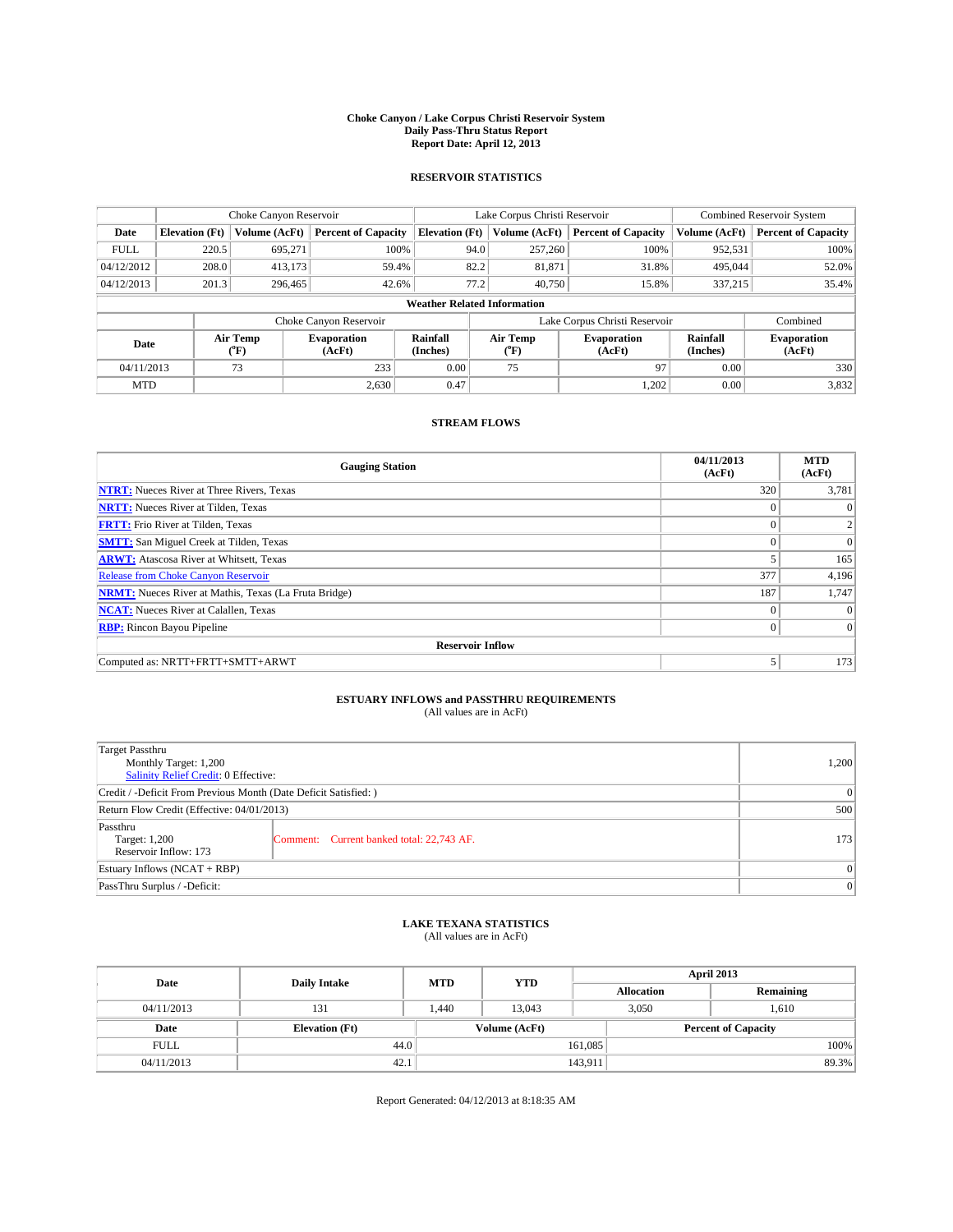### **Choke Canyon / Lake Corpus Christi Reservoir System Daily Pass-Thru Status Report Report Date: April 12, 2013**

### **RESERVOIR STATISTICS**

|             | Choke Canyon Reservoir |                  |                              |                                    | Lake Corpus Christi Reservoir                    | <b>Combined Reservoir System</b> |                      |                              |
|-------------|------------------------|------------------|------------------------------|------------------------------------|--------------------------------------------------|----------------------------------|----------------------|------------------------------|
| Date        | <b>Elevation</b> (Ft)  | Volume (AcFt)    | <b>Percent of Capacity</b>   | <b>Elevation (Ft)</b>              | Volume (AcFt)                                    | <b>Percent of Capacity</b>       | Volume (AcFt)        | <b>Percent of Capacity</b>   |
| <b>FULL</b> | 220.5                  | 695,271          | 100%                         | 94.0                               | 257,260                                          | 100%                             | 952,531              | 100%                         |
| 04/12/2012  | 208.0                  | 413,173          | 59.4%                        | 82.2<br>31.8%<br>81,871            | 495,044                                          |                                  | 52.0%                |                              |
| 04/12/2013  | 201.3                  | 296,465          | 42.6%                        | 77.2                               | 40,750                                           | 15.8%                            | 337,215              | 35.4%                        |
|             |                        |                  |                              | <b>Weather Related Information</b> |                                                  |                                  |                      |                              |
|             |                        |                  | Choke Canyon Reservoir       |                                    |                                                  | Lake Corpus Christi Reservoir    |                      | Combined                     |
| Date        |                        | Air Temp<br>(°F) | <b>Evaporation</b><br>(AcFt) | Rainfall<br>(Inches)               | Air Temp<br><b>Evaporation</b><br>(AcFt)<br>(°F) |                                  | Rainfall<br>(Inches) | <b>Evaporation</b><br>(AcFt) |
| 04/11/2013  |                        | 73               | 233                          | 0.00                               | 75                                               | 97                               | 0.00                 | 330                          |
| <b>MTD</b>  |                        |                  | 2.630                        | 0.47                               |                                                  | 1,202                            | 0.00                 | 3,832                        |

### **STREAM FLOWS**

| <b>Gauging Station</b>                                       | 04/11/2013<br>(AcFt) | <b>MTD</b><br>(AcFt) |  |  |  |  |
|--------------------------------------------------------------|----------------------|----------------------|--|--|--|--|
| <b>NTRT:</b> Nueces River at Three Rivers, Texas             | 320                  | 3,781                |  |  |  |  |
| <b>NRTT:</b> Nueces River at Tilden, Texas                   |                      |                      |  |  |  |  |
| <b>FRTT:</b> Frio River at Tilden, Texas                     |                      |                      |  |  |  |  |
| <b>SMTT:</b> San Miguel Creek at Tilden, Texas               | $\theta$             | $\overline{0}$       |  |  |  |  |
| <b>ARWT:</b> Atascosa River at Whitsett, Texas               |                      | 165                  |  |  |  |  |
| <b>Release from Choke Canyon Reservoir</b>                   | 377                  | 4,196                |  |  |  |  |
| <b>NRMT:</b> Nueces River at Mathis, Texas (La Fruta Bridge) | 187                  | 1,747                |  |  |  |  |
| <b>NCAT:</b> Nueces River at Calallen, Texas                 | $\Omega$             | $\Omega$             |  |  |  |  |
| <b>RBP:</b> Rincon Bayou Pipeline                            | $\Omega$             | $\Omega$             |  |  |  |  |
| <b>Reservoir Inflow</b>                                      |                      |                      |  |  |  |  |
| Computed as: NRTT+FRTT+SMTT+ARWT                             | 5                    | 173                  |  |  |  |  |

# **ESTUARY INFLOWS and PASSTHRU REQUIREMENTS**<br>(All values are in AcFt)

| Target Passthru<br>Monthly Target: 1,200<br>Salinity Relief Credit: 0 Effective: | 1,200                                     |     |
|----------------------------------------------------------------------------------|-------------------------------------------|-----|
| Credit / -Deficit From Previous Month (Date Deficit Satisfied: )                 | 0                                         |     |
| Return Flow Credit (Effective: 04/01/2013)                                       | 500                                       |     |
| Passthru<br>Target: 1,200<br>Reservoir Inflow: 173                               | Comment: Current banked total: 22,743 AF. | 173 |
| Estuary Inflows $(NCAT + RBP)$                                                   | $\Omega$                                  |     |
| PassThru Surplus / -Deficit:                                                     |                                           | 0   |

# **LAKE TEXANA STATISTICS** (All values are in AcFt)

| Date        | <b>Daily Intake</b>   | <b>MTD</b> | <b>YTD</b>    | April 2013        |                            |           |  |
|-------------|-----------------------|------------|---------------|-------------------|----------------------------|-----------|--|
|             |                       |            |               | <b>Allocation</b> |                            | Remaining |  |
| 04/11/2013  | 131                   | 1,440      | 13.043        |                   | 3,050<br>1,610             |           |  |
| Date        | <b>Elevation</b> (Ft) |            | Volume (AcFt) |                   | <b>Percent of Capacity</b> |           |  |
| <b>FULL</b> | 44.0                  |            |               | 161,085           |                            | 100%      |  |
| 04/11/2013  | 42.1                  |            |               | 143,911           |                            | 89.3%     |  |

Report Generated: 04/12/2013 at 8:18:35 AM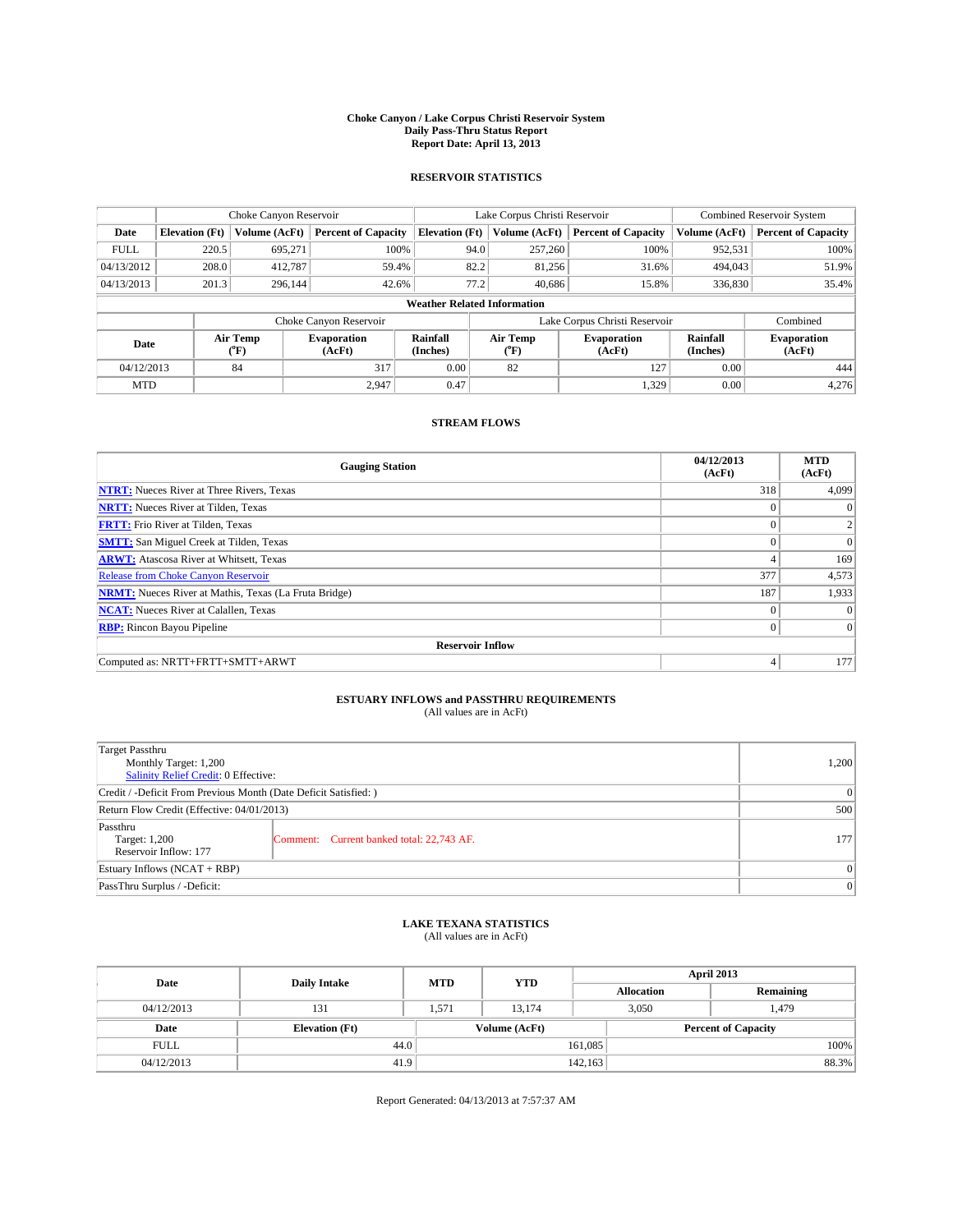### **Choke Canyon / Lake Corpus Christi Reservoir System Daily Pass-Thru Status Report Report Date: April 13, 2013**

### **RESERVOIR STATISTICS**

|             | Choke Canyon Reservoir |                  |                              |                                    | Lake Corpus Christi Reservoir                    |               |                               |                              | <b>Combined Reservoir System</b> |  |  |
|-------------|------------------------|------------------|------------------------------|------------------------------------|--------------------------------------------------|---------------|-------------------------------|------------------------------|----------------------------------|--|--|
| Date        | <b>Elevation</b> (Ft)  | Volume (AcFt)    | <b>Percent of Capacity</b>   | <b>Elevation (Ft)</b>              |                                                  | Volume (AcFt) | <b>Percent of Capacity</b>    | Volume (AcFt)                | <b>Percent of Capacity</b>       |  |  |
| <b>FULL</b> | 220.5                  | 695,271          | 100%                         |                                    | 94.0                                             | 257,260       | 100%                          | 952,531                      | 100%                             |  |  |
| 04/13/2012  | 208.0                  | 412,787          | 59.4%                        |                                    | 82.2                                             | 81,256        | 31.6%                         | 494,043                      | 51.9%                            |  |  |
| 04/13/2013  | 201.3                  | 296.144          | 42.6%                        |                                    | 77.2                                             | 40.686        | 15.8%                         | 336,830                      | 35.4%                            |  |  |
|             |                        |                  |                              | <b>Weather Related Information</b> |                                                  |               |                               |                              |                                  |  |  |
|             |                        |                  | Choke Canyon Reservoir       |                                    |                                                  |               | Lake Corpus Christi Reservoir |                              | Combined                         |  |  |
| Date        |                        | Air Temp<br>(°F) | <b>Evaporation</b><br>(AcFt) | Rainfall<br>(Inches)               | Air Temp<br><b>Evaporation</b><br>(AcFt)<br>("F) |               | Rainfall<br>(Inches)          | <b>Evaporation</b><br>(AcFt) |                                  |  |  |
| 04/12/2013  |                        | 84               | 317                          | 0.00                               |                                                  | 82            | 127                           | 0.00                         | 444                              |  |  |
| <b>MTD</b>  |                        |                  | 2.947                        | 0.47                               |                                                  |               | 1,329                         | 0.00                         | 4,276                            |  |  |

### **STREAM FLOWS**

| <b>Gauging Station</b>                                       | 04/12/2013<br>(AcFt) | <b>MTD</b><br>(AcFt) |
|--------------------------------------------------------------|----------------------|----------------------|
| <b>NTRT:</b> Nueces River at Three Rivers, Texas             | 318                  | 4,099                |
| <b>NRTT:</b> Nueces River at Tilden, Texas                   | $\theta$             | $\Omega$             |
| <b>FRTT:</b> Frio River at Tilden, Texas                     | $\theta$             |                      |
| <b>SMTT:</b> San Miguel Creek at Tilden, Texas               | $\theta$             | $\overline{0}$       |
| <b>ARWT:</b> Atascosa River at Whitsett, Texas               | 4                    | 169                  |
| <b>Release from Choke Canyon Reservoir</b>                   | 377                  | 4,573                |
| <b>NRMT:</b> Nueces River at Mathis, Texas (La Fruta Bridge) | 187                  | 1,933                |
| <b>NCAT:</b> Nueces River at Calallen, Texas                 | $\Omega$             | $\Omega$             |
| <b>RBP:</b> Rincon Bayou Pipeline                            | $\theta$             | $\vert$ 0            |
| <b>Reservoir Inflow</b>                                      |                      |                      |
| Computed as: NRTT+FRTT+SMTT+ARWT                             | 4                    | 177                  |

# **ESTUARY INFLOWS and PASSTHRU REQUIREMENTS**<br>(All values are in AcFt)

| Target Passthru<br>Monthly Target: 1,200<br>Salinity Relief Credit: 0 Effective: |                                           |     |  |  |
|----------------------------------------------------------------------------------|-------------------------------------------|-----|--|--|
| Credit / -Deficit From Previous Month (Date Deficit Satisfied: )                 |                                           |     |  |  |
| Return Flow Credit (Effective: 04/01/2013)                                       |                                           |     |  |  |
| Passthru<br>Target: 1,200<br>Reservoir Inflow: 177                               | Comment: Current banked total: 22,743 AF. | 177 |  |  |
| Estuary Inflows $(NCAT + RBP)$                                                   |                                           |     |  |  |
| PassThru Surplus / -Deficit:                                                     | 0                                         |     |  |  |

## **LAKE TEXANA STATISTICS** (All values are in AcFt)

| Date        | <b>Daily Intake</b>   | <b>MTD</b> | <b>YTD</b>    | April 2013        |                            |           |       |  |
|-------------|-----------------------|------------|---------------|-------------------|----------------------------|-----------|-------|--|
|             |                       |            |               | <b>Allocation</b> |                            | Remaining |       |  |
| 04/12/2013  | 131                   | 1.571      | 13.174        | 3,050             |                            | 1,479     |       |  |
| Date        | <b>Elevation</b> (Ft) |            | Volume (AcFt) |                   | <b>Percent of Capacity</b> |           |       |  |
| <b>FULL</b> | 44.0                  |            |               | 161,085           |                            |           | 100%  |  |
| 04/12/2013  | 41.9                  |            |               | 142, 163          |                            |           | 88.3% |  |

Report Generated: 04/13/2013 at 7:57:37 AM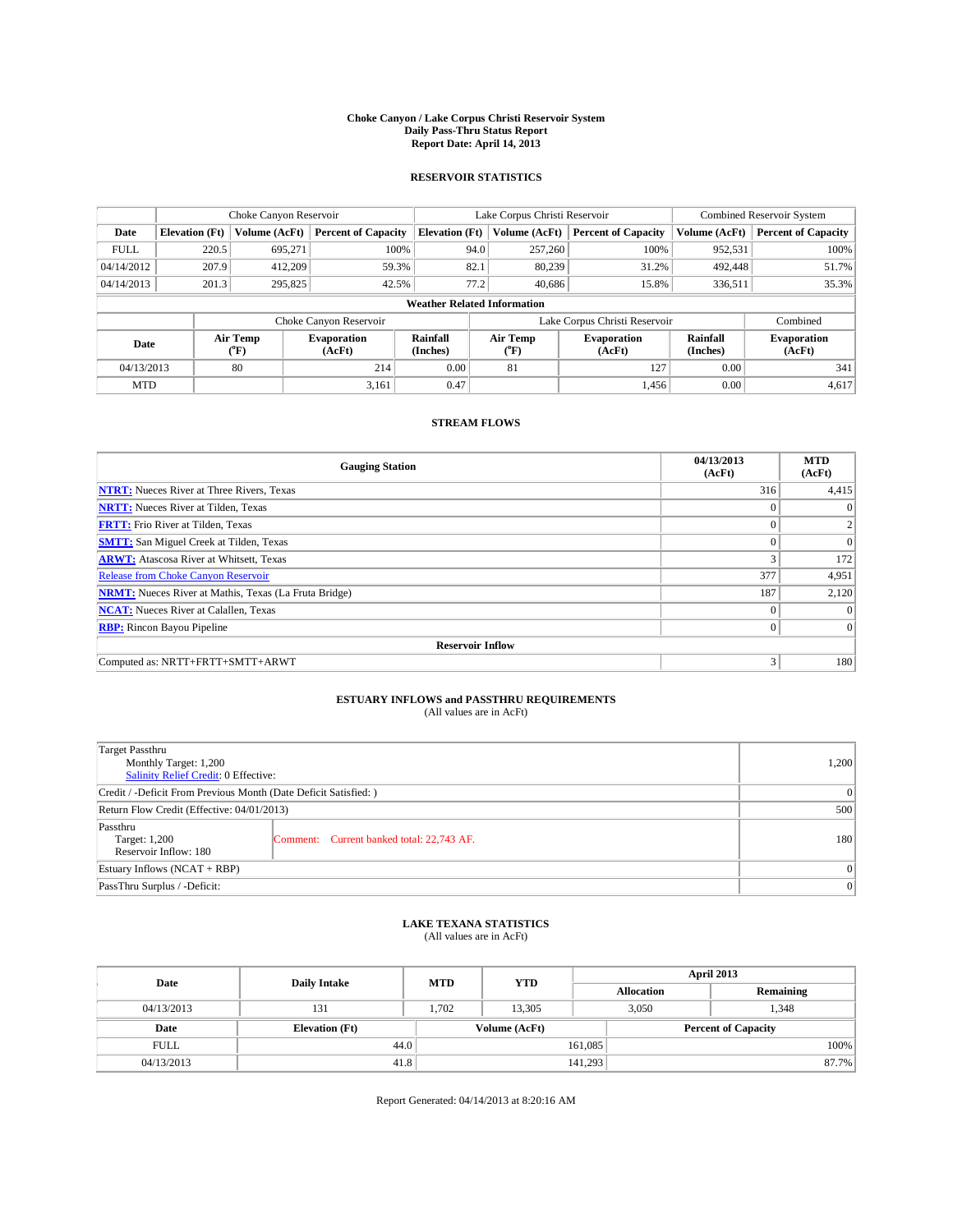### **Choke Canyon / Lake Corpus Christi Reservoir System Daily Pass-Thru Status Report Report Date: April 14, 2013**

### **RESERVOIR STATISTICS**

|             | Choke Canyon Reservoir |                  |                              |                                    | Lake Corpus Christi Reservoir                    |               |                               |                      | Combined Reservoir System    |  |  |
|-------------|------------------------|------------------|------------------------------|------------------------------------|--------------------------------------------------|---------------|-------------------------------|----------------------|------------------------------|--|--|
| Date        | <b>Elevation</b> (Ft)  | Volume (AcFt)    | <b>Percent of Capacity</b>   | <b>Elevation (Ft)</b>              |                                                  | Volume (AcFt) | <b>Percent of Capacity</b>    | Volume (AcFt)        | <b>Percent of Capacity</b>   |  |  |
| <b>FULL</b> | 220.5                  | 695,271          | 100%                         |                                    | 94.0                                             | 257,260       | 100%                          | 952,531              | 100%                         |  |  |
| 04/14/2012  | 207.9                  | 412,209          | 59.3%                        |                                    | 82.1                                             | 80,239        | 31.2%                         | 492,448              | 51.7%                        |  |  |
| 04/14/2013  | 201.3                  | 295,825          | 42.5%                        |                                    | 77.2                                             | 40.686        | 15.8%                         | 336,511              | 35.3%                        |  |  |
|             |                        |                  |                              | <b>Weather Related Information</b> |                                                  |               |                               |                      |                              |  |  |
|             |                        |                  | Choke Canyon Reservoir       |                                    |                                                  |               | Lake Corpus Christi Reservoir |                      | Combined                     |  |  |
| Date        |                        | Air Temp<br>(°F) | <b>Evaporation</b><br>(AcFt) | Rainfall<br>(Inches)               | Air Temp<br><b>Evaporation</b><br>(AcFt)<br>("F) |               |                               | Rainfall<br>(Inches) | <b>Evaporation</b><br>(AcFt) |  |  |
| 04/13/2013  |                        | 80               | 214                          | 0.00                               | 81<br>127                                        |               | 0.00                          | 341                  |                              |  |  |
| <b>MTD</b>  |                        |                  | 3,161                        | 0.47                               |                                                  |               | 1.456                         | 0.00                 | 4,617                        |  |  |

### **STREAM FLOWS**

| <b>Gauging Station</b>                                       | 04/13/2013<br>(AcFt) | <b>MTD</b><br>(AcFt) |
|--------------------------------------------------------------|----------------------|----------------------|
| <b>NTRT:</b> Nueces River at Three Rivers, Texas             | 316                  | 4,415                |
| <b>NRTT:</b> Nueces River at Tilden, Texas                   | $\theta$             | $\theta$             |
| <b>FRTT:</b> Frio River at Tilden, Texas                     |                      |                      |
| <b>SMTT:</b> San Miguel Creek at Tilden, Texas               | $\theta$             | $\overline{0}$       |
| <b>ARWT:</b> Atascosa River at Whitsett, Texas               | 3                    | 172                  |
| <b>Release from Choke Canyon Reservoir</b>                   | 377                  | 4,951                |
| <b>NRMT:</b> Nueces River at Mathis, Texas (La Fruta Bridge) | 187                  | 2,120                |
| <b>NCAT:</b> Nueces River at Calallen, Texas                 | $\theta$             | $\Omega$             |
| <b>RBP:</b> Rincon Bayou Pipeline                            | $\Omega$             | $\Omega$             |
| <b>Reservoir Inflow</b>                                      |                      |                      |
| Computed as: NRTT+FRTT+SMTT+ARWT                             | 3                    | 180                  |

# **ESTUARY INFLOWS and PASSTHRU REQUIREMENTS**<br>(All values are in AcFt)

| <b>Target Passthru</b><br>Monthly Target: 1,200<br>Salinity Relief Credit: 0 Effective: | 1,200                                     |     |
|-----------------------------------------------------------------------------------------|-------------------------------------------|-----|
| Credit / -Deficit From Previous Month (Date Deficit Satisfied: )                        | 0                                         |     |
| Return Flow Credit (Effective: 04/01/2013)                                              | 500                                       |     |
| Passthru<br>Target: 1,200<br>Reservoir Inflow: 180                                      | Comment: Current banked total: 22,743 AF. | 180 |
| Estuary Inflows $(NCAT + RBP)$                                                          | $\Omega$                                  |     |
| PassThru Surplus / -Deficit:                                                            | 0                                         |     |

## **LAKE TEXANA STATISTICS** (All values are in AcFt)

| Date        | <b>Daily Intake</b>   | <b>MTD</b> | <b>YTD</b>    | April 2013        |                            |           |  |  |
|-------------|-----------------------|------------|---------------|-------------------|----------------------------|-----------|--|--|
|             |                       |            |               | <b>Allocation</b> |                            | Remaining |  |  |
| 04/13/2013  | 131                   | 1.702      | 13.305        |                   | 3,050<br>1,348             |           |  |  |
| Date        | <b>Elevation</b> (Ft) |            | Volume (AcFt) |                   | <b>Percent of Capacity</b> |           |  |  |
| <b>FULL</b> | 44.0                  |            |               | 161,085           |                            | 100%      |  |  |
| 04/13/2013  | 41.8                  |            |               | 141,293           |                            | 87.7%     |  |  |

Report Generated: 04/14/2013 at 8:20:16 AM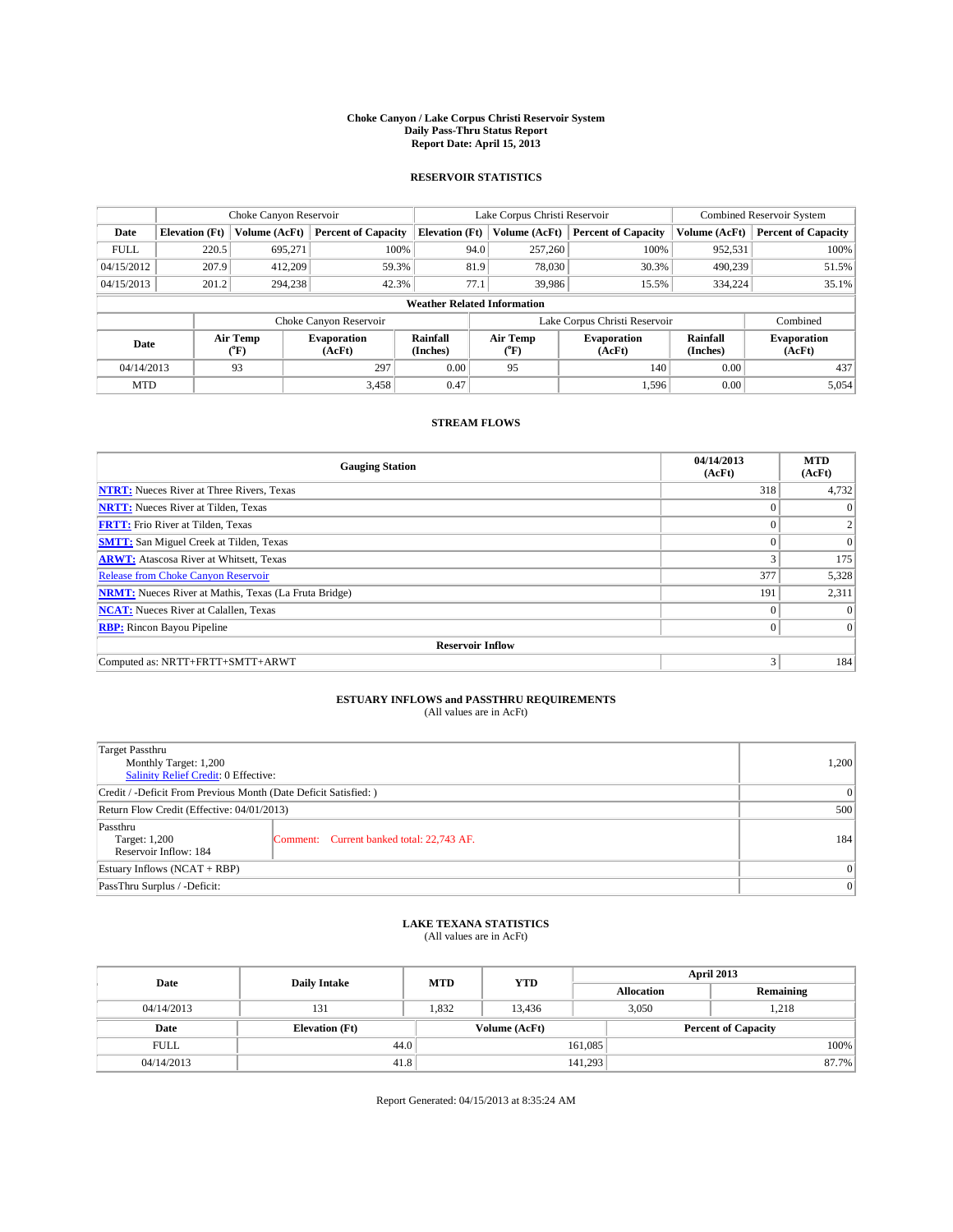### **Choke Canyon / Lake Corpus Christi Reservoir System Daily Pass-Thru Status Report Report Date: April 15, 2013**

### **RESERVOIR STATISTICS**

|             | Choke Canyon Reservoir |                  |                              |                                    | Lake Corpus Christi Reservoir |               |                               |                      | <b>Combined Reservoir System</b> |  |  |
|-------------|------------------------|------------------|------------------------------|------------------------------------|-------------------------------|---------------|-------------------------------|----------------------|----------------------------------|--|--|
| Date        | <b>Elevation</b> (Ft)  | Volume (AcFt)    | <b>Percent of Capacity</b>   | <b>Elevation</b> (Ft)              |                               | Volume (AcFt) | <b>Percent of Capacity</b>    | Volume (AcFt)        | Percent of Capacity              |  |  |
| <b>FULL</b> | 220.5                  | 695,271          | 100%                         |                                    | 94.0                          | 257,260       | 100%                          | 952,531              | 100%                             |  |  |
| 04/15/2012  | 207.9                  | 412,209          | 59.3%                        |                                    | 81.9                          | 78,030        | 30.3%                         | 490,239              | 51.5%                            |  |  |
| 04/15/2013  | 201.2                  | 294,238          | 42.3%                        | 77.1                               |                               | 39,986        | 15.5%                         | 334,224              | $35.1\%$                         |  |  |
|             |                        |                  |                              | <b>Weather Related Information</b> |                               |               |                               |                      |                                  |  |  |
|             |                        |                  | Choke Canyon Reservoir       |                                    |                               |               | Lake Corpus Christi Reservoir |                      | Combined                         |  |  |
| Date        |                        | Air Temp<br>(°F) | <b>Evaporation</b><br>(AcFt) | Rainfall<br>(Inches)               | Air Temp<br>("F)              |               | <b>Evaporation</b><br>(AcFt)  | Rainfall<br>(Inches) | <b>Evaporation</b><br>(AcFt)     |  |  |
| 04/14/2013  |                        | 93               | 297                          | 0.00                               | 95                            |               | 140                           | 0.00                 | 437                              |  |  |
| <b>MTD</b>  |                        |                  | 3,458                        | 0.47                               |                               |               | 1,596                         | 0.00                 | 5,054                            |  |  |

## **STREAM FLOWS**

| <b>Gauging Station</b>                                       | 04/14/2013<br>(AcFt) | <b>MTD</b><br>(AcFt) |
|--------------------------------------------------------------|----------------------|----------------------|
| <b>NTRT:</b> Nueces River at Three Rivers, Texas             | 318                  | 4,732                |
| <b>NRTT:</b> Nueces River at Tilden, Texas                   |                      |                      |
| <b>FRTT:</b> Frio River at Tilden, Texas                     |                      | 2                    |
| <b>SMTT:</b> San Miguel Creek at Tilden, Texas               | $\theta$             | $\Omega$             |
| <b>ARWT:</b> Atascosa River at Whitsett, Texas               | 3                    | 175                  |
| Release from Choke Canyon Reservoir                          | 377                  | 5,328                |
| <b>NRMT:</b> Nueces River at Mathis, Texas (La Fruta Bridge) | 191                  | 2,311                |
| <b>NCAT:</b> Nueces River at Calallen, Texas                 | $\Omega$             | $\Omega$             |
| <b>RBP:</b> Rincon Bayou Pipeline                            | $\Omega$             | $\Omega$             |
| <b>Reservoir Inflow</b>                                      |                      |                      |
| Computed as: NRTT+FRTT+SMTT+ARWT                             | 3                    | 184                  |

# **ESTUARY INFLOWS and PASSTHRU REQUIREMENTS**<br>(All values are in AcFt)

| <b>Target Passthru</b><br>Monthly Target: 1,200<br>Salinity Relief Credit: 0 Effective: |                                           |     |  |  |
|-----------------------------------------------------------------------------------------|-------------------------------------------|-----|--|--|
| Credit / -Deficit From Previous Month (Date Deficit Satisfied: )                        |                                           |     |  |  |
| Return Flow Credit (Effective: 04/01/2013)                                              |                                           |     |  |  |
| Passthru<br>Target: 1,200<br>Reservoir Inflow: 184                                      | Comment: Current banked total: 22,743 AF. | 184 |  |  |
| Estuary Inflows (NCAT + RBP)                                                            |                                           |     |  |  |
| PassThru Surplus / -Deficit:                                                            | 0                                         |     |  |  |

## **LAKE TEXANA STATISTICS** (All values are in AcFt)

| Date        | <b>Daily Intake</b>   | <b>MTD</b> | <b>YTD</b>    | April 2013        |                            |           |  |
|-------------|-----------------------|------------|---------------|-------------------|----------------------------|-----------|--|
|             |                       |            |               | <b>Allocation</b> |                            | Remaining |  |
| 04/14/2013  | 131                   | 1,832      | 13,436        | 3,050             |                            | 1,218     |  |
| Date        | <b>Elevation</b> (Ft) |            | Volume (AcFt) |                   | <b>Percent of Capacity</b> |           |  |
| <b>FULL</b> | 44.0                  |            |               | 161,085           |                            | 100%      |  |
| 04/14/2013  | 41.8                  |            |               | 141,293           |                            | 87.7%     |  |

Report Generated: 04/15/2013 at 8:35:24 AM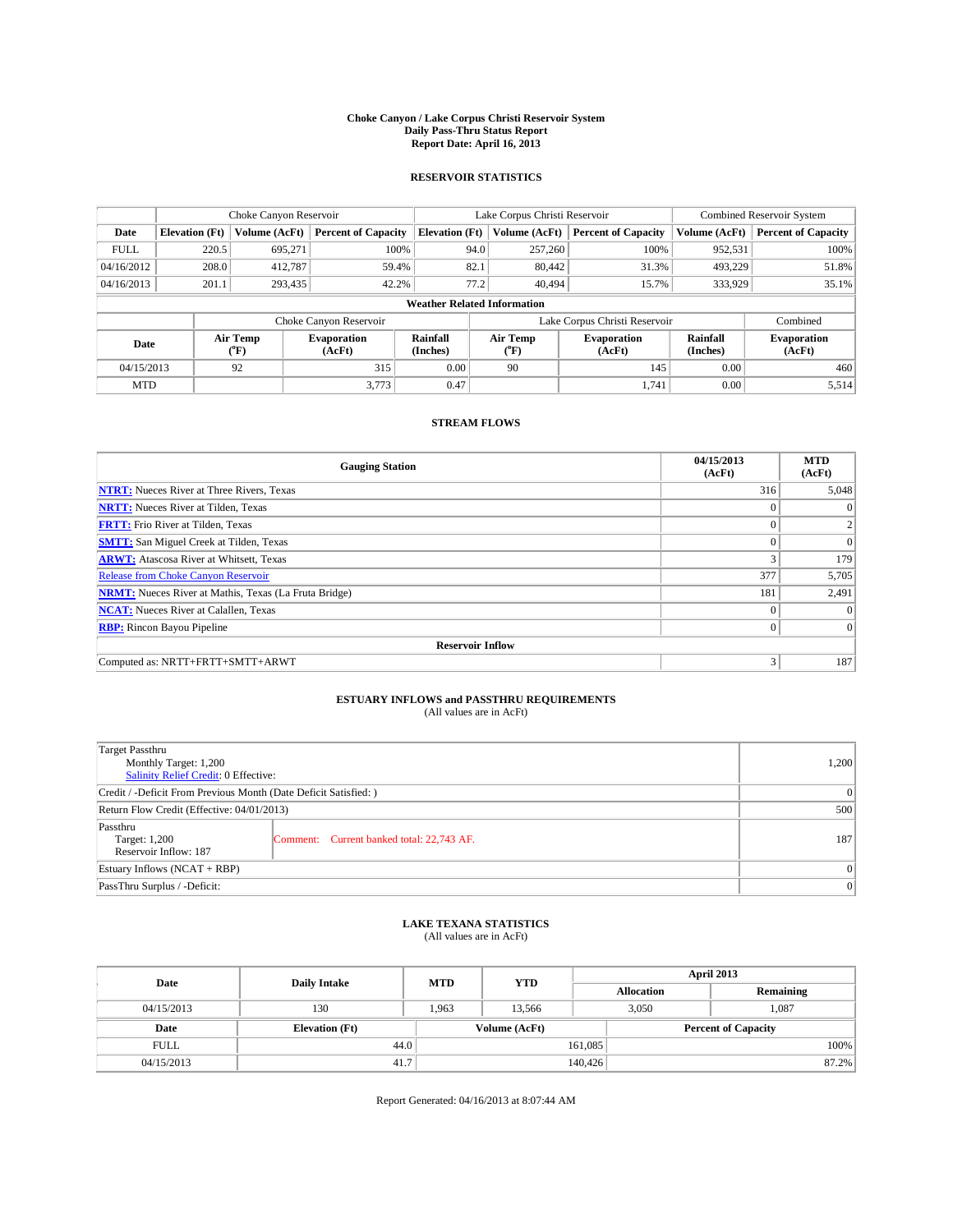### **Choke Canyon / Lake Corpus Christi Reservoir System Daily Pass-Thru Status Report Report Date: April 16, 2013**

### **RESERVOIR STATISTICS**

|             |                                    | Choke Canyon Reservoir |                              |                       | Lake Corpus Christi Reservoir | <b>Combined Reservoir System</b> |                      |                              |  |  |
|-------------|------------------------------------|------------------------|------------------------------|-----------------------|-------------------------------|----------------------------------|----------------------|------------------------------|--|--|
| Date        | <b>Elevation</b> (Ft)              | Volume (AcFt)          | <b>Percent of Capacity</b>   | <b>Elevation (Ft)</b> | Volume (AcFt)                 | <b>Percent of Capacity</b>       | Volume (AcFt)        | <b>Percent of Capacity</b>   |  |  |
| <b>FULL</b> | 220.5                              | 695,271                | 100%                         | 94.0                  | 257,260                       | 100%                             | 952,531              | 100%                         |  |  |
| 04/16/2012  | 208.0                              | 412,787                | 59.4%                        | 82.1                  | 80,442                        | 31.3%                            | 493,229              | 51.8%                        |  |  |
| 04/16/2013  | 201.1                              | 293,435                | 42.2%                        | 77.2                  | 40.494                        | 15.7%                            | 333,929              | 35.1%                        |  |  |
|             | <b>Weather Related Information</b> |                        |                              |                       |                               |                                  |                      |                              |  |  |
|             |                                    |                        | Choke Canyon Reservoir       |                       | Lake Corpus Christi Reservoir |                                  | Combined             |                              |  |  |
| Date        | Air Temp<br>(°F)                   |                        | <b>Evaporation</b><br>(AcFt) | Rainfall<br>(Inches)  | Air Temp<br>("F)              | <b>Evaporation</b><br>(AcFt)     | Rainfall<br>(Inches) | <b>Evaporation</b><br>(AcFt) |  |  |
| 04/15/2013  |                                    | 92                     | 315                          | 0.00                  | 90                            | 145                              | 0.00                 | 460                          |  |  |
| <b>MTD</b>  |                                    |                        | 3.773                        | 0.47                  |                               | 1.741                            | 0.00                 | 5,514                        |  |  |

## **STREAM FLOWS**

| <b>Gauging Station</b>                                       | 04/15/2013<br>(AcFt) | <b>MTD</b><br>(AcFt) |
|--------------------------------------------------------------|----------------------|----------------------|
| <b>NTRT:</b> Nueces River at Three Rivers, Texas             | 316                  | 5,048                |
| <b>NRTT:</b> Nueces River at Tilden, Texas                   | $\theta$             | $\theta$             |
| <b>FRTT:</b> Frio River at Tilden, Texas                     |                      |                      |
| <b>SMTT:</b> San Miguel Creek at Tilden, Texas               | $\theta$             | $\overline{0}$       |
| <b>ARWT:</b> Atascosa River at Whitsett, Texas               | 3                    | 179                  |
| <b>Release from Choke Canyon Reservoir</b>                   | 377                  | 5,705                |
| <b>NRMT:</b> Nueces River at Mathis, Texas (La Fruta Bridge) | 181                  | 2,491                |
| <b>NCAT:</b> Nueces River at Calallen, Texas                 | $\Omega$             | $\Omega$             |
| <b>RBP:</b> Rincon Bayou Pipeline                            | $\Omega$             | $\Omega$             |
| <b>Reservoir Inflow</b>                                      |                      |                      |
| Computed as: NRTT+FRTT+SMTT+ARWT                             | 3                    | 187                  |

# **ESTUARY INFLOWS and PASSTHRU REQUIREMENTS**<br>(All values are in AcFt)

| <b>Target Passthru</b><br>Monthly Target: 1,200<br>Salinity Relief Credit: 0 Effective: |                                           | 1,200 |  |  |
|-----------------------------------------------------------------------------------------|-------------------------------------------|-------|--|--|
| Credit / -Deficit From Previous Month (Date Deficit Satisfied: )                        |                                           |       |  |  |
| Return Flow Credit (Effective: 04/01/2013)                                              |                                           |       |  |  |
| Passthru<br>Target: 1,200<br>Reservoir Inflow: 187                                      | Comment: Current banked total: 22,743 AF. | 187   |  |  |
| Estuary Inflows $(NCAT + RBP)$                                                          |                                           |       |  |  |
| PassThru Surplus / -Deficit:                                                            | 0                                         |       |  |  |

## **LAKE TEXANA STATISTICS** (All values are in AcFt)

| Date        | <b>Daily Intake</b>   | <b>MTD</b> | <b>YTD</b>    | April 2013        |                            |           |       |
|-------------|-----------------------|------------|---------------|-------------------|----------------------------|-----------|-------|
|             |                       |            |               | <b>Allocation</b> |                            | Remaining |       |
| 04/15/2013  | 130                   | 1.963      | 13.566        |                   | 1.087<br>3,050             |           |       |
| Date        | <b>Elevation</b> (Ft) |            | Volume (AcFt) |                   | <b>Percent of Capacity</b> |           |       |
| <b>FULL</b> | 44.0                  |            |               | 161,085           |                            |           | 100%  |
| 04/15/2013  | 41.7                  |            |               | 140,426           |                            |           | 87.2% |

Report Generated: 04/16/2013 at 8:07:44 AM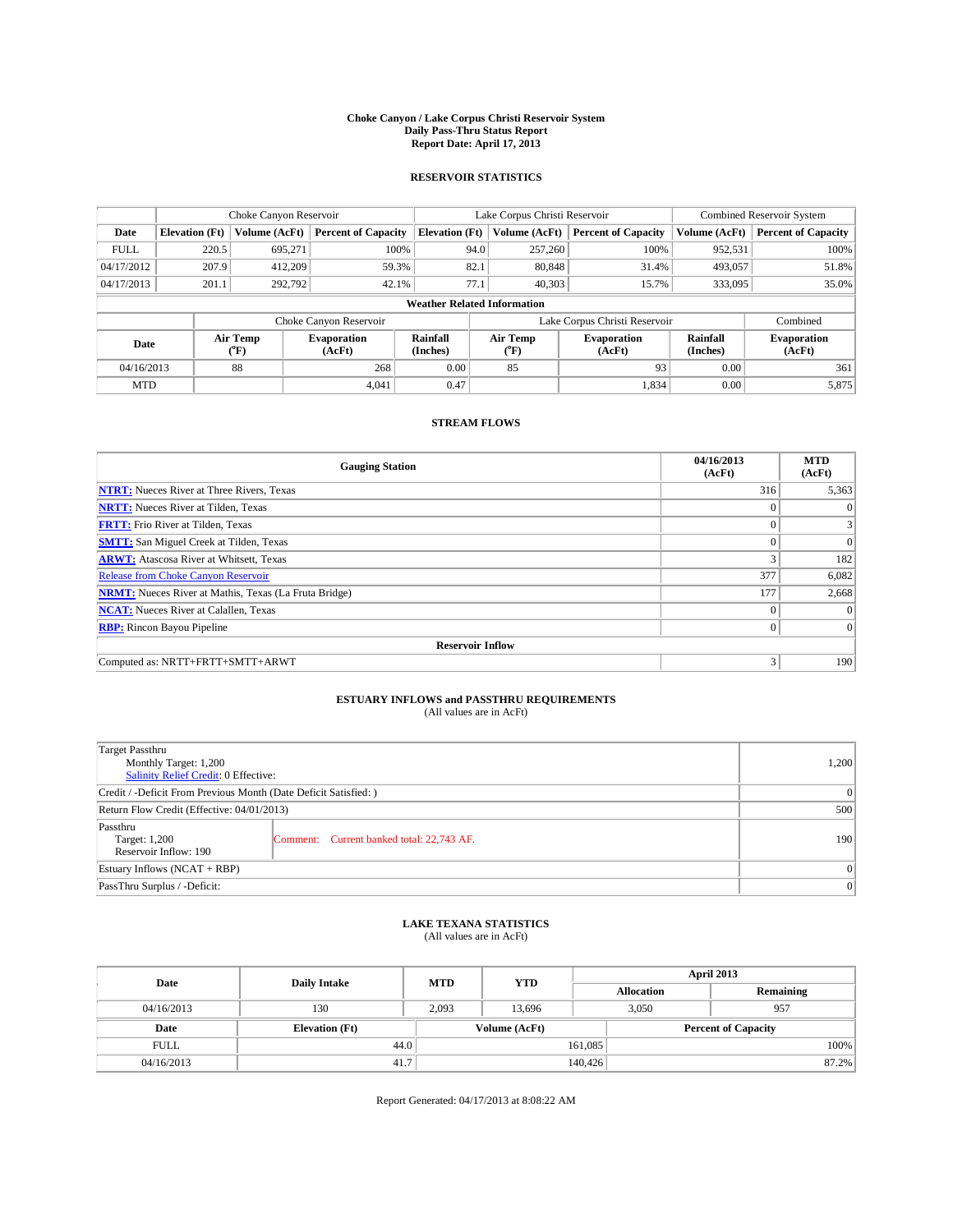### **Choke Canyon / Lake Corpus Christi Reservoir System Daily Pass-Thru Status Report Report Date: April 17, 2013**

### **RESERVOIR STATISTICS**

|             | Choke Canyon Reservoir             |                  |                              |                       | Lake Corpus Christi Reservoir |                  |                              |                      | <b>Combined Reservoir System</b> |  |  |
|-------------|------------------------------------|------------------|------------------------------|-----------------------|-------------------------------|------------------|------------------------------|----------------------|----------------------------------|--|--|
| Date        | <b>Elevation</b> (Ft)              | Volume (AcFt)    | <b>Percent of Capacity</b>   | <b>Elevation (Ft)</b> |                               | Volume (AcFt)    | <b>Percent of Capacity</b>   | Volume (AcFt)        | <b>Percent of Capacity</b>       |  |  |
| <b>FULL</b> | 220.5                              | 695,271          | 100%                         |                       | 94.0                          | 257,260          | 100%                         | 952,531              | 100%                             |  |  |
| 04/17/2012  | 207.9                              | 412,209          | 59.3%                        |                       | 82.1                          | 80,848           | 31.4%                        | 493,057              | 51.8%                            |  |  |
| 04/17/2013  | 201.1                              | 292,792          | 42.1%                        |                       | 77.1                          | 40.303           | 15.7%                        | 333,095              | 35.0%                            |  |  |
|             | <b>Weather Related Information</b> |                  |                              |                       |                               |                  |                              |                      |                                  |  |  |
|             |                                    |                  | Choke Canyon Reservoir       |                       | Lake Corpus Christi Reservoir |                  |                              |                      | Combined                         |  |  |
| Date        |                                    | Air Temp<br>(°F) | <b>Evaporation</b><br>(AcFt) | Rainfall<br>(Inches)  |                               | Air Temp<br>("F) | <b>Evaporation</b><br>(AcFt) | Rainfall<br>(Inches) | <b>Evaporation</b><br>(AcFt)     |  |  |
| 04/16/2013  |                                    | 88               | 268                          | 0.00                  |                               | 85               | 93                           | 0.00                 | 361                              |  |  |
| <b>MTD</b>  |                                    |                  | 4.041                        | 0.47                  |                               |                  | 1,834                        | 0.00                 | 5,875                            |  |  |

### **STREAM FLOWS**

| <b>Gauging Station</b>                                       | 04/16/2013<br>(AcFt) | <b>MTD</b><br>(AcFt) |  |  |  |  |  |  |  |
|--------------------------------------------------------------|----------------------|----------------------|--|--|--|--|--|--|--|
| <b>NTRT:</b> Nueces River at Three Rivers, Texas             | 316                  | 5,363                |  |  |  |  |  |  |  |
| <b>NRTT:</b> Nueces River at Tilden, Texas                   | $\theta$             | $\theta$             |  |  |  |  |  |  |  |
| <b>FRTT:</b> Frio River at Tilden, Texas                     |                      |                      |  |  |  |  |  |  |  |
| <b>SMTT:</b> San Miguel Creek at Tilden, Texas               | $\theta$             | $\overline{0}$       |  |  |  |  |  |  |  |
| <b>ARWT:</b> Atascosa River at Whitsett, Texas               | 3                    | 182                  |  |  |  |  |  |  |  |
| <b>Release from Choke Canyon Reservoir</b>                   | 377                  | 6,082                |  |  |  |  |  |  |  |
| <b>NRMT:</b> Nueces River at Mathis, Texas (La Fruta Bridge) | 177                  | 2,668                |  |  |  |  |  |  |  |
| <b>NCAT:</b> Nueces River at Calallen, Texas                 | $\theta$             | $\Omega$             |  |  |  |  |  |  |  |
| <b>RBP:</b> Rincon Bayou Pipeline                            | $\Omega$             | $\Omega$             |  |  |  |  |  |  |  |
| <b>Reservoir Inflow</b>                                      |                      |                      |  |  |  |  |  |  |  |
| Computed as: NRTT+FRTT+SMTT+ARWT                             | 3                    | 190                  |  |  |  |  |  |  |  |

# **ESTUARY INFLOWS and PASSTHRU REQUIREMENTS**<br>(All values are in AcFt)

| <b>Target Passthru</b><br>Monthly Target: 1,200<br>Salinity Relief Credit: 0 Effective: |                                           |     |  |  |
|-----------------------------------------------------------------------------------------|-------------------------------------------|-----|--|--|
| Credit / -Deficit From Previous Month (Date Deficit Satisfied: )                        |                                           |     |  |  |
| Return Flow Credit (Effective: 04/01/2013)                                              |                                           |     |  |  |
| Passthru<br>Target: 1,200<br>Reservoir Inflow: 190                                      | Comment: Current banked total: 22,743 AF. | 190 |  |  |
| Estuary Inflows (NCAT + RBP)                                                            |                                           |     |  |  |
| PassThru Surplus / -Deficit:                                                            | 0                                         |     |  |  |

## **LAKE TEXANA STATISTICS** (All values are in AcFt)

| Date        | <b>Daily Intake</b>   | <b>MTD</b> | <b>YTD</b>    | April 2013        |  |                            |  |
|-------------|-----------------------|------------|---------------|-------------------|--|----------------------------|--|
|             |                       |            |               | <b>Allocation</b> |  | Remaining                  |  |
| 04/16/2013  | 130                   | 2,093      | 13.696        | 3,050             |  | 957                        |  |
| Date        | <b>Elevation</b> (Ft) |            | Volume (AcFt) |                   |  | <b>Percent of Capacity</b> |  |
| <b>FULL</b> | 44.0                  |            |               | 161,085           |  | 100%                       |  |
| 04/16/2013  | 41.7                  |            |               | 140,426           |  | 87.2%                      |  |

Report Generated: 04/17/2013 at 8:08:22 AM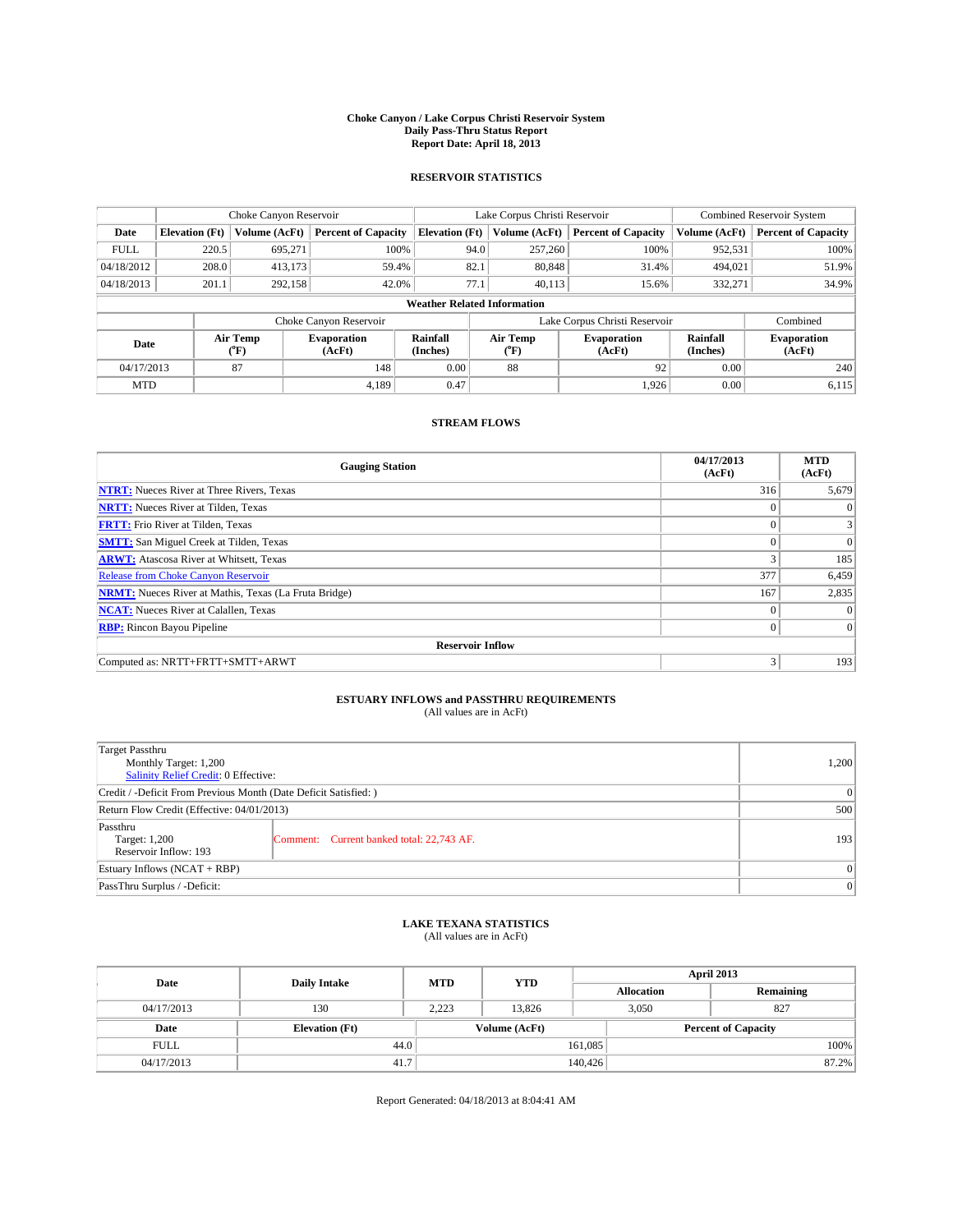### **Choke Canyon / Lake Corpus Christi Reservoir System Daily Pass-Thru Status Report Report Date: April 18, 2013**

### **RESERVOIR STATISTICS**

|             | Choke Canyon Reservoir             |                  | Lake Corpus Christi Reservoir |                       |                               |                  | Combined Reservoir System    |                      |                              |  |
|-------------|------------------------------------|------------------|-------------------------------|-----------------------|-------------------------------|------------------|------------------------------|----------------------|------------------------------|--|
| Date        | <b>Elevation</b> (Ft)              | Volume (AcFt)    | <b>Percent of Capacity</b>    | <b>Elevation (Ft)</b> |                               | Volume (AcFt)    | <b>Percent of Capacity</b>   | Volume (AcFt)        | <b>Percent of Capacity</b>   |  |
| <b>FULL</b> | 220.5                              | 695,271          | 100%                          |                       | 94.0                          | 257,260          | 100%                         | 952,531              | 100%                         |  |
| 04/18/2012  | 208.0                              | 413,173          | 59.4%                         |                       | 82.1                          | 80,848           | 31.4%                        | 494,021              | 51.9%                        |  |
| 04/18/2013  | 201.1                              | 292,158          | 42.0%                         |                       | 77.1                          | 40.113           | 15.6%                        | 332,271              | 34.9%                        |  |
|             | <b>Weather Related Information</b> |                  |                               |                       |                               |                  |                              |                      |                              |  |
|             |                                    |                  | Choke Canyon Reservoir        |                       | Lake Corpus Christi Reservoir |                  |                              |                      | Combined                     |  |
| Date        |                                    | Air Temp<br>(°F) | <b>Evaporation</b><br>(AcFt)  | Rainfall<br>(Inches)  |                               | Air Temp<br>("F) | <b>Evaporation</b><br>(AcFt) | Rainfall<br>(Inches) | <b>Evaporation</b><br>(AcFt) |  |
| 04/17/2013  |                                    | 87               | 148                           | 0.00                  |                               | 88               | 92                           | 0.00                 | 240                          |  |
| <b>MTD</b>  |                                    |                  | 4.189                         | 0.47                  |                               |                  | 1.926                        | 0.00                 | 6,115                        |  |

### **STREAM FLOWS**

| <b>Gauging Station</b>                                       | 04/17/2013<br>(AcFt) | <b>MTD</b><br>(AcFt) |  |  |  |  |  |  |  |
|--------------------------------------------------------------|----------------------|----------------------|--|--|--|--|--|--|--|
| <b>NTRT:</b> Nueces River at Three Rivers, Texas             | 316                  | 5,679                |  |  |  |  |  |  |  |
| <b>NRTT:</b> Nueces River at Tilden, Texas                   | $\theta$             | $\theta$             |  |  |  |  |  |  |  |
| <b>FRTT:</b> Frio River at Tilden, Texas                     |                      |                      |  |  |  |  |  |  |  |
| <b>SMTT:</b> San Miguel Creek at Tilden, Texas               | $\theta$             | $\overline{0}$       |  |  |  |  |  |  |  |
| <b>ARWT:</b> Atascosa River at Whitsett, Texas               | 3                    | 185                  |  |  |  |  |  |  |  |
| <b>Release from Choke Canyon Reservoir</b>                   | 377                  | 6,459                |  |  |  |  |  |  |  |
| <b>NRMT:</b> Nueces River at Mathis, Texas (La Fruta Bridge) | 167                  | 2,835                |  |  |  |  |  |  |  |
| <b>NCAT:</b> Nueces River at Calallen, Texas                 | $\theta$             | $\Omega$             |  |  |  |  |  |  |  |
| <b>RBP:</b> Rincon Bayou Pipeline                            | $\Omega$             | $\Omega$             |  |  |  |  |  |  |  |
| <b>Reservoir Inflow</b>                                      |                      |                      |  |  |  |  |  |  |  |
| Computed as: NRTT+FRTT+SMTT+ARWT                             | 3                    | 193                  |  |  |  |  |  |  |  |

# **ESTUARY INFLOWS and PASSTHRU REQUIREMENTS**<br>(All values are in AcFt)

| <b>Target Passthru</b><br>Monthly Target: 1,200<br>Salinity Relief Credit: 0 Effective: |                                           |     |  |  |
|-----------------------------------------------------------------------------------------|-------------------------------------------|-----|--|--|
| Credit / -Deficit From Previous Month (Date Deficit Satisfied: )                        |                                           |     |  |  |
| Return Flow Credit (Effective: 04/01/2013)                                              |                                           |     |  |  |
| Passthru<br>Target: 1,200<br>Reservoir Inflow: 193                                      | Comment: Current banked total: 22,743 AF. | 193 |  |  |
| Estuary Inflows $(NCAT + RBP)$                                                          |                                           |     |  |  |
| PassThru Surplus / -Deficit:                                                            |                                           |     |  |  |

## **LAKE TEXANA STATISTICS** (All values are in AcFt)

| Date        | <b>Daily Intake</b>   | <b>MTD</b> | <b>YTD</b>    | April 2013        |  |                            |       |
|-------------|-----------------------|------------|---------------|-------------------|--|----------------------------|-------|
|             |                       |            |               | <b>Allocation</b> |  | Remaining                  |       |
| 04/17/2013  | 130                   | 2.223      | 13.826        | 3,050             |  | 827                        |       |
| Date        | <b>Elevation</b> (Ft) |            | Volume (AcFt) |                   |  | <b>Percent of Capacity</b> |       |
| <b>FULL</b> | 44.0                  |            |               | 161,085           |  |                            | 100%  |
| 04/17/2013  | 41.7                  |            |               | 140,426           |  |                            | 87.2% |

Report Generated: 04/18/2013 at 8:04:41 AM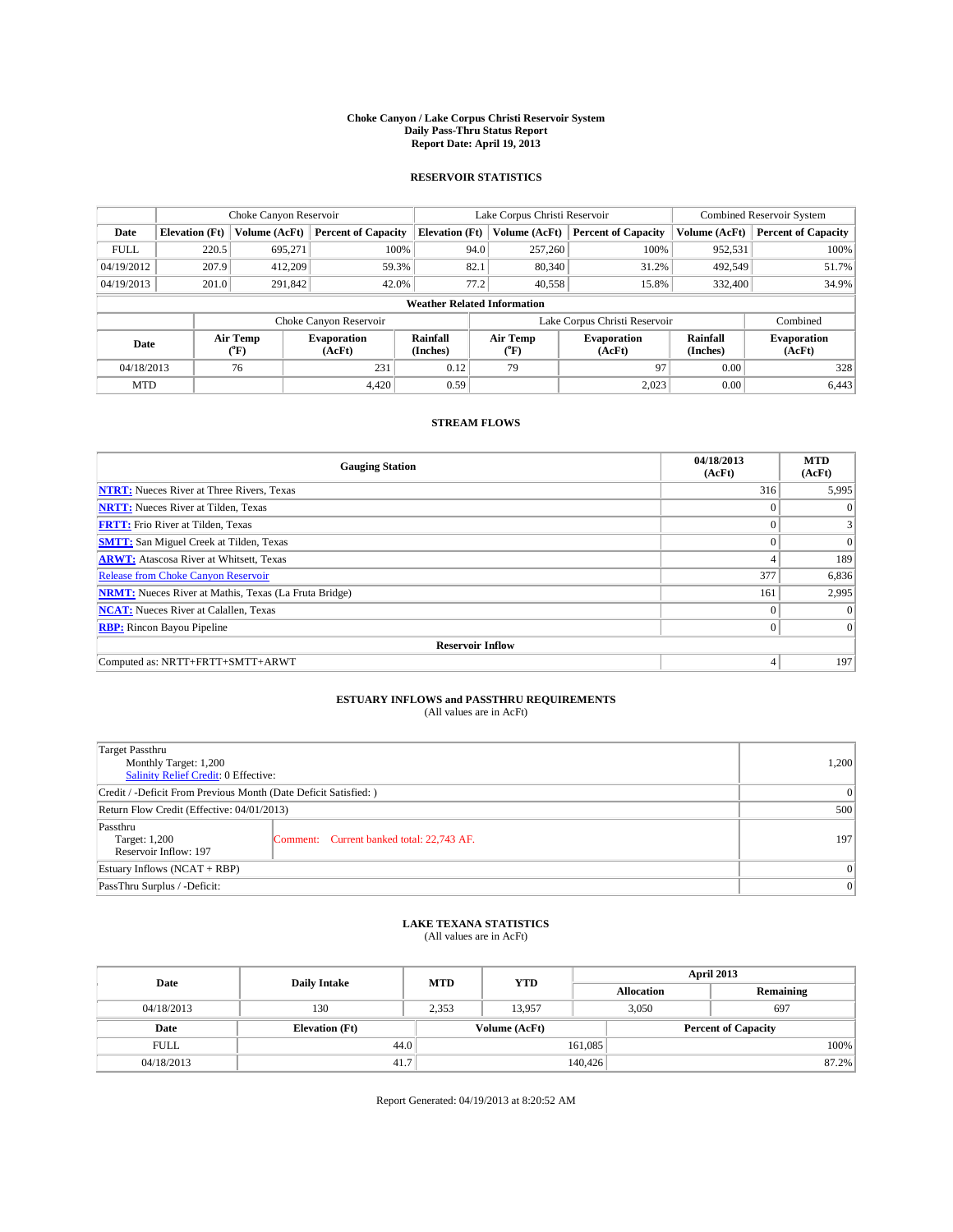### **Choke Canyon / Lake Corpus Christi Reservoir System Daily Pass-Thru Status Report Report Date: April 19, 2013**

### **RESERVOIR STATISTICS**

|             | Choke Canyon Reservoir             |                  |                              |                       | Lake Corpus Christi Reservoir |                  |                               |                      | <b>Combined Reservoir System</b> |  |  |
|-------------|------------------------------------|------------------|------------------------------|-----------------------|-------------------------------|------------------|-------------------------------|----------------------|----------------------------------|--|--|
| Date        | <b>Elevation</b> (Ft)              | Volume (AcFt)    | <b>Percent of Capacity</b>   | <b>Elevation (Ft)</b> |                               | Volume (AcFt)    | <b>Percent of Capacity</b>    | Volume (AcFt)        | <b>Percent of Capacity</b>       |  |  |
| <b>FULL</b> | 220.5                              | 695,271          | 100%                         |                       | 94.0                          | 257,260          | 100%                          | 952,531              | 100%                             |  |  |
| 04/19/2012  | 207.9                              | 412,209          | 59.3%                        |                       | 82.1                          | 80,340           | 31.2%                         | 492,549              | 51.7%                            |  |  |
| 04/19/2013  | 201.0                              | 291,842          | 42.0%                        |                       | 77.2                          | 40.558           | 15.8%                         | 332,400              | 34.9%                            |  |  |
|             | <b>Weather Related Information</b> |                  |                              |                       |                               |                  |                               |                      |                                  |  |  |
|             |                                    |                  | Choke Canyon Reservoir       |                       |                               |                  | Lake Corpus Christi Reservoir |                      | Combined                         |  |  |
| Date        |                                    | Air Temp<br>(°F) | <b>Evaporation</b><br>(AcFt) | Rainfall<br>(Inches)  |                               | Air Temp<br>("F) | <b>Evaporation</b><br>(AcFt)  | Rainfall<br>(Inches) | <b>Evaporation</b><br>(AcFt)     |  |  |
| 04/18/2013  |                                    | 76               | 231                          | 0.12                  | 79<br>97                      |                  | 0.00                          | 328                  |                                  |  |  |
| <b>MTD</b>  |                                    |                  | 4.420                        | 0.59                  |                               |                  | 2,023                         | 0.00                 | 6,443                            |  |  |

### **STREAM FLOWS**

| <b>Gauging Station</b>                                       | 04/18/2013<br>(AcFt) | <b>MTD</b><br>(AcFt) |
|--------------------------------------------------------------|----------------------|----------------------|
| <b>NTRT:</b> Nueces River at Three Rivers, Texas             | 316                  | 5,995                |
| <b>NRTT:</b> Nueces River at Tilden, Texas                   | $\theta$             | $\theta$             |
| <b>FRTT:</b> Frio River at Tilden, Texas                     |                      |                      |
| <b>SMTT:</b> San Miguel Creek at Tilden, Texas               | $\theta$             | $\overline{0}$       |
| <b>ARWT:</b> Atascosa River at Whitsett, Texas               | 4                    | 189                  |
| <b>Release from Choke Canyon Reservoir</b>                   | 377                  | 6,836                |
| <b>NRMT:</b> Nueces River at Mathis, Texas (La Fruta Bridge) | 161                  | 2,995                |
| <b>NCAT:</b> Nueces River at Calallen, Texas                 | $\theta$             | $\Omega$             |
| <b>RBP:</b> Rincon Bayou Pipeline                            | $\Omega$             | $\Omega$             |
| <b>Reservoir Inflow</b>                                      |                      |                      |
| Computed as: NRTT+FRTT+SMTT+ARWT                             | 4                    | 197                  |

# **ESTUARY INFLOWS and PASSTHRU REQUIREMENTS**<br>(All values are in AcFt)

| <b>Target Passthru</b><br>Monthly Target: 1,200<br>Salinity Relief Credit: 0 Effective: | 1,200                                     |     |
|-----------------------------------------------------------------------------------------|-------------------------------------------|-----|
| Credit / -Deficit From Previous Month (Date Deficit Satisfied: )                        |                                           | 0   |
| Return Flow Credit (Effective: 04/01/2013)                                              |                                           | 500 |
| Passthru<br>Target: 1,200<br>Reservoir Inflow: 197                                      | Comment: Current banked total: 22,743 AF. | 197 |
| Estuary Inflows $(NCAT + RBP)$                                                          | $\Omega$                                  |     |
| PassThru Surplus / -Deficit:                                                            | 0                                         |     |

# **LAKE TEXANA STATISTICS** (All values are in AcFt)

| Date        | <b>Daily Intake</b>   | <b>MTD</b> | <b>YTD</b>                                  | April 2013 |                   |           |       |
|-------------|-----------------------|------------|---------------------------------------------|------------|-------------------|-----------|-------|
|             |                       |            |                                             |            | <b>Allocation</b> | Remaining |       |
| 04/18/2013  | 130                   | 2,353      | 13.957                                      | 3,050      |                   | 697       |       |
| Date        | <b>Elevation</b> (Ft) |            | Volume (AcFt)<br><b>Percent of Capacity</b> |            |                   |           |       |
| <b>FULL</b> | 44.0                  |            |                                             | 161,085    |                   |           | 100%  |
| 04/18/2013  | 41.7                  |            |                                             | 140,426    |                   |           | 87.2% |

Report Generated: 04/19/2013 at 8:20:52 AM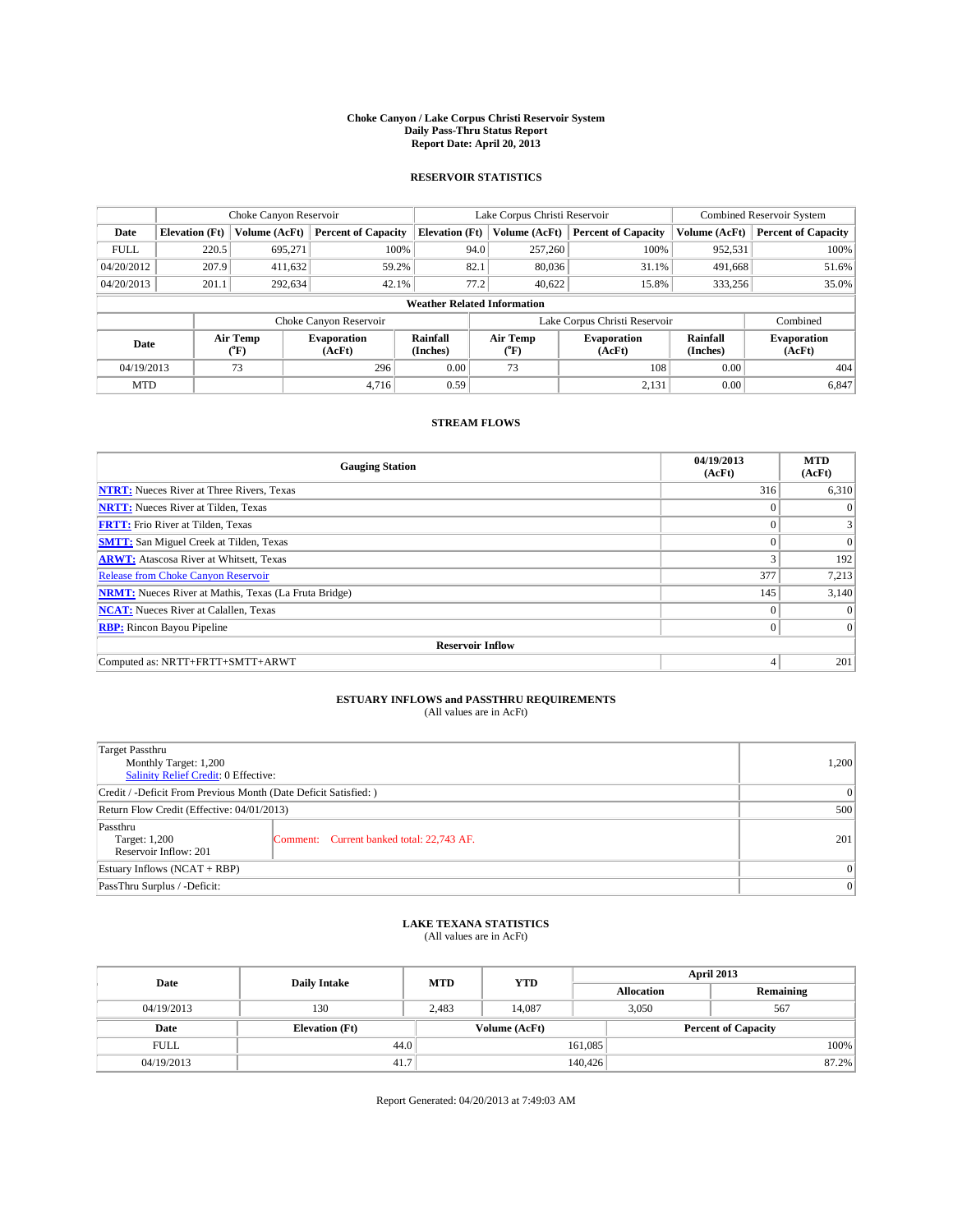### **Choke Canyon / Lake Corpus Christi Reservoir System Daily Pass-Thru Status Report Report Date: April 20, 2013**

### **RESERVOIR STATISTICS**

|             | Choke Canyon Reservoir             |               |                              |                       | Lake Corpus Christi Reservoir |               |                               |                      | <b>Combined Reservoir System</b> |  |  |
|-------------|------------------------------------|---------------|------------------------------|-----------------------|-------------------------------|---------------|-------------------------------|----------------------|----------------------------------|--|--|
| Date        | <b>Elevation</b> (Ft)              | Volume (AcFt) | <b>Percent of Capacity</b>   | <b>Elevation (Ft)</b> |                               | Volume (AcFt) | <b>Percent of Capacity</b>    | Volume (AcFt)        | <b>Percent of Capacity</b>       |  |  |
| <b>FULL</b> | 220.5                              | 695,271       | 100%                         |                       | 94.0                          | 257,260       | 100%                          | 952,531              | 100%                             |  |  |
| 04/20/2012  | 207.9                              | 411,632       | 59.2%                        |                       | 82.1                          | 80,036        | 31.1%                         | 491,668              | 51.6%                            |  |  |
| 04/20/2013  | 201.1                              | 292,634       | 42.1%                        |                       | 77.2                          | 40.622        | 15.8%                         | 333,256              | 35.0%                            |  |  |
|             | <b>Weather Related Information</b> |               |                              |                       |                               |               |                               |                      |                                  |  |  |
|             |                                    |               | Choke Canyon Reservoir       |                       |                               |               | Lake Corpus Christi Reservoir |                      | Combined                         |  |  |
| Date        | Air Temp<br>(°F)                   |               | <b>Evaporation</b><br>(AcFt) | Rainfall<br>(Inches)  | Air Temp<br>("F)              |               | <b>Evaporation</b><br>(AcFt)  | Rainfall<br>(Inches) | <b>Evaporation</b><br>(AcFt)     |  |  |
| 04/19/2013  |                                    | 73            | 296                          | 0.00                  |                               | 73<br>108     |                               | 0.00                 | 404                              |  |  |
| <b>MTD</b>  |                                    |               | 4.716                        | 0.59                  |                               |               | 2,131                         | 0.00                 | 6,847                            |  |  |

### **STREAM FLOWS**

| <b>Gauging Station</b>                                       | 04/19/2013<br>(AcFt) | <b>MTD</b><br>(AcFt) |
|--------------------------------------------------------------|----------------------|----------------------|
| <b>NTRT:</b> Nueces River at Three Rivers, Texas             | 316                  | 6,310                |
| <b>NRTT:</b> Nueces River at Tilden, Texas                   | $\theta$             | $\theta$             |
| <b>FRTT:</b> Frio River at Tilden, Texas                     |                      |                      |
| <b>SMTT:</b> San Miguel Creek at Tilden, Texas               | $\theta$             | $\overline{0}$       |
| <b>ARWT:</b> Atascosa River at Whitsett, Texas               | 3                    | 192                  |
| <b>Release from Choke Canyon Reservoir</b>                   | 377                  | 7,213                |
| <b>NRMT:</b> Nueces River at Mathis, Texas (La Fruta Bridge) | 145                  | 3,140                |
| <b>NCAT:</b> Nueces River at Calallen, Texas                 | $\theta$             | $\Omega$             |
| <b>RBP:</b> Rincon Bayou Pipeline                            | $\Omega$             | $\Omega$             |
| <b>Reservoir Inflow</b>                                      |                      |                      |
| Computed as: NRTT+FRTT+SMTT+ARWT                             | 4                    | 201                  |

# **ESTUARY INFLOWS and PASSTHRU REQUIREMENTS**<br>(All values are in AcFt)

| <b>Target Passthru</b><br>Monthly Target: 1,200<br>Salinity Relief Credit: 0 Effective: |                                           |     |  |  |
|-----------------------------------------------------------------------------------------|-------------------------------------------|-----|--|--|
| Credit / -Deficit From Previous Month (Date Deficit Satisfied: )                        |                                           | 0   |  |  |
| Return Flow Credit (Effective: 04/01/2013)                                              |                                           | 500 |  |  |
| Passthru<br>Target: 1,200<br>Reservoir Inflow: 201                                      | Comment: Current banked total: 22,743 AF. | 201 |  |  |
| Estuary Inflows (NCAT + RBP)                                                            | $\Omega$                                  |     |  |  |
| PassThru Surplus / -Deficit:                                                            | 0                                         |     |  |  |

## **LAKE TEXANA STATISTICS** (All values are in AcFt)

| Date        | <b>Daily Intake</b>   | <b>MTD</b> | <b>YTD</b>    | April 2013                 |  |           |       |
|-------------|-----------------------|------------|---------------|----------------------------|--|-----------|-------|
|             |                       |            |               | <b>Allocation</b>          |  | Remaining |       |
| 04/19/2013  | 130                   | 2.483      | 14.087        | 3,050                      |  | 567       |       |
| Date        | <b>Elevation</b> (Ft) |            | Volume (AcFt) | <b>Percent of Capacity</b> |  |           |       |
| <b>FULL</b> | 44.0                  |            |               | 161,085                    |  |           | 100%  |
| 04/19/2013  | 41.7                  |            |               | 140,426                    |  |           | 87.2% |

Report Generated: 04/20/2013 at 7:49:03 AM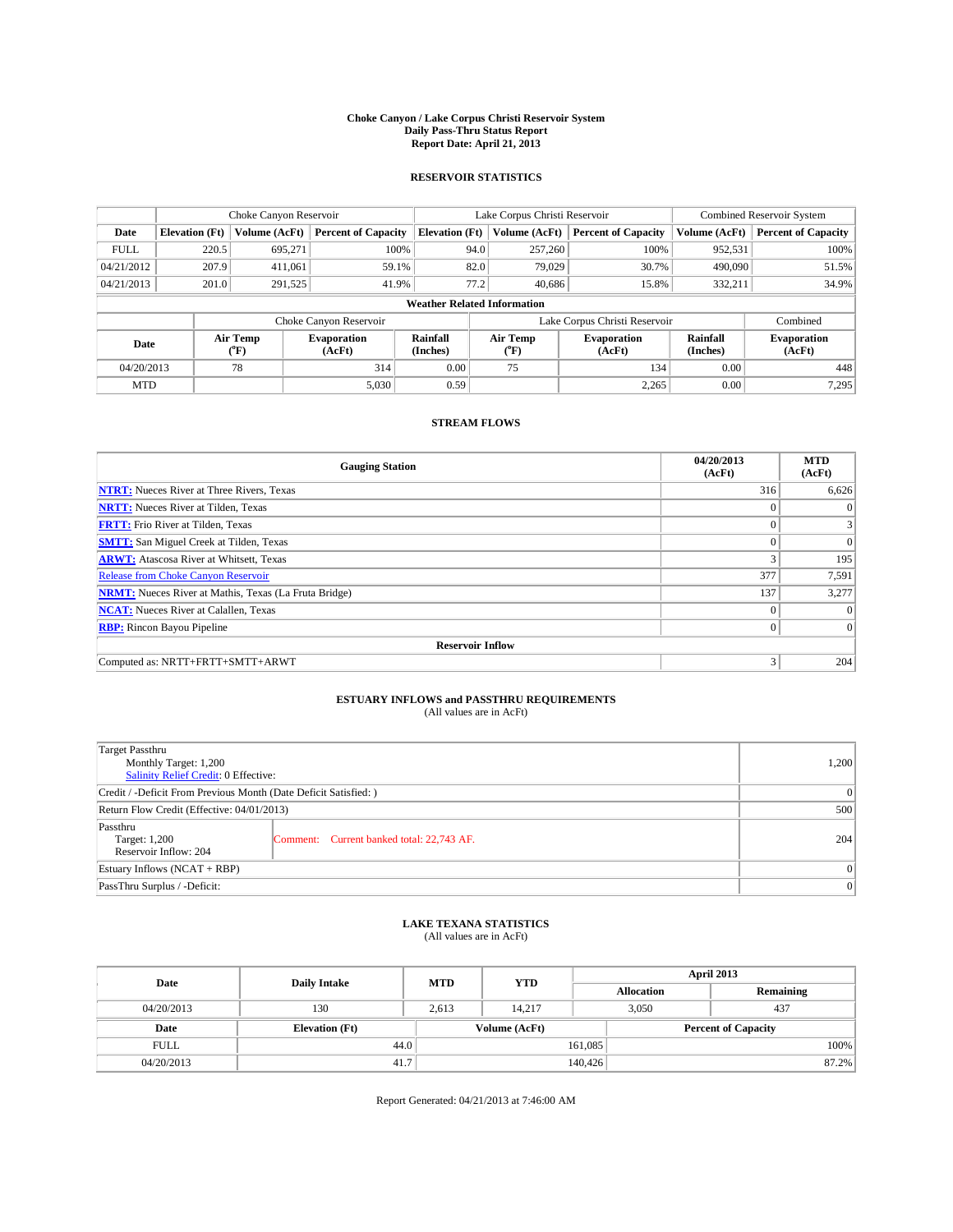### **Choke Canyon / Lake Corpus Christi Reservoir System Daily Pass-Thru Status Report Report Date: April 21, 2013**

### **RESERVOIR STATISTICS**

|             |                                    | Choke Canyon Reservoir |                              |                       | Lake Corpus Christi Reservoir | <b>Combined Reservoir System</b> |                      |                              |  |  |
|-------------|------------------------------------|------------------------|------------------------------|-----------------------|-------------------------------|----------------------------------|----------------------|------------------------------|--|--|
| Date        | <b>Elevation</b> (Ft)              | Volume (AcFt)          | <b>Percent of Capacity</b>   | <b>Elevation</b> (Ft) | Volume (AcFt)                 | <b>Percent of Capacity</b>       | Volume (AcFt)        | <b>Percent of Capacity</b>   |  |  |
| <b>FULL</b> | 220.5                              | 695,271                | 100%                         | 94.0                  | 257,260                       | 100%                             | 952,531              | 100%                         |  |  |
| 04/21/2012  | 207.9                              | 411,061                | 59.1%                        |                       | 82.0<br>79,029                | 30.7%                            | 490,090              | 51.5%                        |  |  |
| 04/21/2013  | 201.0                              | 291,525                | 41.9%                        | 77.2                  | 40.686                        | 15.8%                            | 332,211              | 34.9%                        |  |  |
|             | <b>Weather Related Information</b> |                        |                              |                       |                               |                                  |                      |                              |  |  |
|             |                                    |                        | Choke Canyon Reservoir       |                       |                               | Lake Corpus Christi Reservoir    |                      | Combined                     |  |  |
| Date        |                                    | Air Temp<br>(°F)       | <b>Evaporation</b><br>(AcFt) | Rainfall<br>(Inches)  | Air Temp<br>("F)              | <b>Evaporation</b><br>(AcFt)     | Rainfall<br>(Inches) | <b>Evaporation</b><br>(AcFt) |  |  |
| 04/20/2013  |                                    | 78                     | 314                          | 0.00                  | 75                            | 134                              | 0.00                 | 448                          |  |  |
| <b>MTD</b>  |                                    |                        | 5,030                        | 0.59                  |                               | 2,265                            | 0.00                 | 7,295                        |  |  |

## **STREAM FLOWS**

| <b>Gauging Station</b>                                       | 04/20/2013<br>(AcFt) | <b>MTD</b><br>(AcFt) |
|--------------------------------------------------------------|----------------------|----------------------|
| <b>NTRT:</b> Nueces River at Three Rivers, Texas             | 316                  | 6,626                |
| <b>NRTT:</b> Nueces River at Tilden, Texas                   | $\theta$             | $\theta$             |
| <b>FRTT:</b> Frio River at Tilden, Texas                     |                      |                      |
| <b>SMTT:</b> San Miguel Creek at Tilden, Texas               | $\theta$             | $\overline{0}$       |
| <b>ARWT:</b> Atascosa River at Whitsett, Texas               | 3                    | 195                  |
| <b>Release from Choke Canyon Reservoir</b>                   | 377                  | 7,591                |
| <b>NRMT:</b> Nueces River at Mathis, Texas (La Fruta Bridge) | 137                  | 3,277                |
| <b>NCAT:</b> Nueces River at Calallen, Texas                 | $\theta$             | $\Omega$             |
| <b>RBP:</b> Rincon Bayou Pipeline                            | $\Omega$             | $\Omega$             |
| <b>Reservoir Inflow</b>                                      |                      |                      |
| Computed as: NRTT+FRTT+SMTT+ARWT                             | 3                    | 204                  |

# **ESTUARY INFLOWS and PASSTHRU REQUIREMENTS**<br>(All values are in AcFt)

| <b>Target Passthru</b><br>Monthly Target: 1,200<br>Salinity Relief Credit: 0 Effective: | 1,200                                     |     |
|-----------------------------------------------------------------------------------------|-------------------------------------------|-----|
| Credit / -Deficit From Previous Month (Date Deficit Satisfied: )                        |                                           | 0   |
| Return Flow Credit (Effective: 04/01/2013)                                              |                                           | 500 |
| Passthru<br>Target: 1,200<br>Reservoir Inflow: 204                                      | Comment: Current banked total: 22,743 AF. | 204 |
| Estuary Inflows $(NCAT + RBP)$                                                          | $\Omega$                                  |     |
| PassThru Surplus / -Deficit:                                                            | 0                                         |     |

# **LAKE TEXANA STATISTICS** (All values are in AcFt)

| Date        | <b>Daily Intake</b>   | <b>MTD</b> | <b>YTD</b>    | April 2013                 |  |           |  |
|-------------|-----------------------|------------|---------------|----------------------------|--|-----------|--|
|             |                       |            |               | <b>Allocation</b>          |  | Remaining |  |
| 04/20/2013  | 130                   | 2.613      | 14.217        | 3,050                      |  | 437       |  |
| Date        | <b>Elevation</b> (Ft) |            | Volume (AcFt) | <b>Percent of Capacity</b> |  |           |  |
| <b>FULL</b> | 44.0                  |            |               | 161,085                    |  | 100%      |  |
| 04/20/2013  | 41.7                  |            |               | 140,426                    |  | 87.2%     |  |

Report Generated: 04/21/2013 at 7:46:00 AM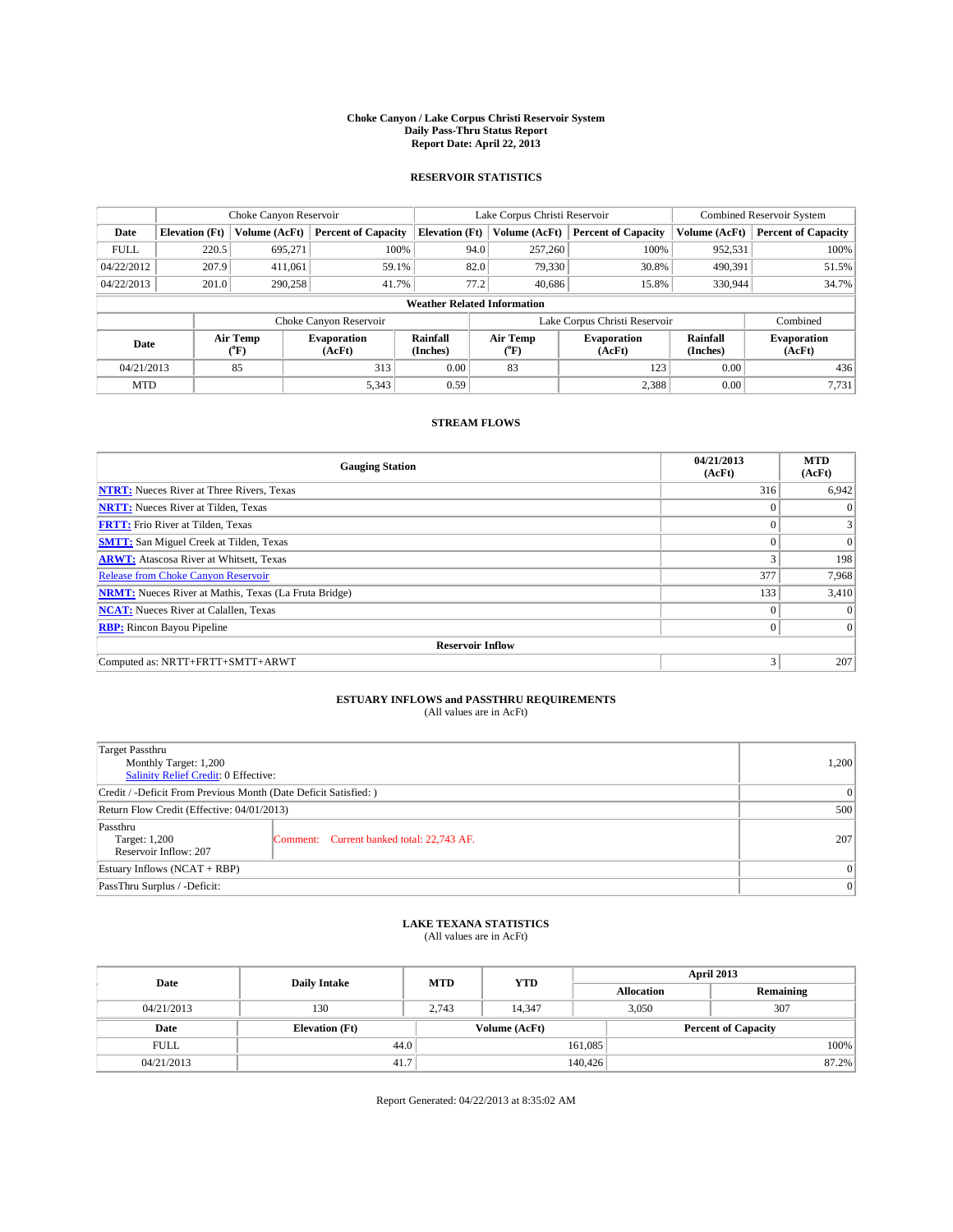### **Choke Canyon / Lake Corpus Christi Reservoir System Daily Pass-Thru Status Report Report Date: April 22, 2013**

### **RESERVOIR STATISTICS**

|             |                                    | Choke Canyon Reservoir |                              | Lake Corpus Christi Reservoir |                               |        |                              | <b>Combined Reservoir System</b> |                              |  |
|-------------|------------------------------------|------------------------|------------------------------|-------------------------------|-------------------------------|--------|------------------------------|----------------------------------|------------------------------|--|
| Date        | <b>Elevation</b> (Ft)              | Volume (AcFt)          | <b>Percent of Capacity</b>   | <b>Elevation</b> (Ft)         | Volume (AcFt)                 |        | <b>Percent of Capacity</b>   | Volume (AcFt)                    | <b>Percent of Capacity</b>   |  |
| <b>FULL</b> | 220.5                              | 695,271                | 100%                         |                               | 257,260<br>94.0               |        | 100%                         | 952,531                          | 100%                         |  |
| 04/22/2012  | 207.9                              | 411,061                | 59.1%                        |                               | 82.0                          | 79,330 | 30.8%                        | 490,391                          | 51.5%                        |  |
| 04/22/2013  | 201.0                              | 290,258                | 41.7%                        |                               | 77.2                          | 40.686 | 15.8%                        | 330,944                          | 34.7%                        |  |
|             | <b>Weather Related Information</b> |                        |                              |                               |                               |        |                              |                                  |                              |  |
|             |                                    |                        | Choke Canyon Reservoir       |                               | Lake Corpus Christi Reservoir |        |                              |                                  | Combined                     |  |
| Date        |                                    | Air Temp<br>(°F)       | <b>Evaporation</b><br>(AcFt) | Rainfall<br>(Inches)          | Air Temp<br>("F)              |        | <b>Evaporation</b><br>(AcFt) | Rainfall<br>(Inches)             | <b>Evaporation</b><br>(AcFt) |  |
| 04/21/2013  |                                    | 85                     | 313                          | 0.00                          | 83                            |        | 123                          | 0.00                             | 436                          |  |
| <b>MTD</b>  |                                    |                        | 5,343                        | 0.59                          |                               |        | 2,388                        | 0.00                             | 7,731                        |  |

## **STREAM FLOWS**

| <b>Gauging Station</b>                                       | 04/21/2013<br>(AcFt) | <b>MTD</b><br>(AcFt) |  |  |  |  |
|--------------------------------------------------------------|----------------------|----------------------|--|--|--|--|
| <b>NTRT:</b> Nueces River at Three Rivers, Texas             | 316                  | 6,942                |  |  |  |  |
| <b>NRTT:</b> Nueces River at Tilden, Texas                   | $\theta$             | $\theta$             |  |  |  |  |
| <b>FRTT:</b> Frio River at Tilden, Texas                     |                      |                      |  |  |  |  |
| <b>SMTT:</b> San Miguel Creek at Tilden, Texas               | $\theta$             | $\overline{0}$       |  |  |  |  |
| <b>ARWT:</b> Atascosa River at Whitsett, Texas               | 3                    | 198                  |  |  |  |  |
| <b>Release from Choke Canyon Reservoir</b>                   | 377                  | 7,968                |  |  |  |  |
| <b>NRMT:</b> Nueces River at Mathis, Texas (La Fruta Bridge) | 133                  | 3,410                |  |  |  |  |
| <b>NCAT:</b> Nueces River at Calallen, Texas                 | $\theta$             | $\Omega$             |  |  |  |  |
| <b>RBP:</b> Rincon Bayou Pipeline                            | $\Omega$             | $\Omega$             |  |  |  |  |
| <b>Reservoir Inflow</b>                                      |                      |                      |  |  |  |  |
| Computed as: NRTT+FRTT+SMTT+ARWT                             | 3                    | 207                  |  |  |  |  |

# **ESTUARY INFLOWS and PASSTHRU REQUIREMENTS**<br>(All values are in AcFt)

| Target Passthru<br>Monthly Target: 1,200<br>Salinity Relief Credit: 0 Effective: |                                           |     |  |  |
|----------------------------------------------------------------------------------|-------------------------------------------|-----|--|--|
| Credit / -Deficit From Previous Month (Date Deficit Satisfied: )                 | $\Omega$                                  |     |  |  |
| Return Flow Credit (Effective: 04/01/2013)                                       | 500                                       |     |  |  |
| Passthru<br>Target: 1,200<br>Reservoir Inflow: 207                               | Comment: Current banked total: 22,743 AF. | 207 |  |  |
| Estuary Inflows $(NCAT + RBP)$                                                   | $\Omega$                                  |     |  |  |
| PassThru Surplus / -Deficit:                                                     | $\Omega$                                  |     |  |  |

## **LAKE TEXANA STATISTICS** (All values are in AcFt)

| Date        | <b>Daily Intake</b>   | <b>MTD</b> | <b>YTD</b>    | April 2013        |                            |           |       |
|-------------|-----------------------|------------|---------------|-------------------|----------------------------|-----------|-------|
|             |                       |            |               | <b>Allocation</b> |                            | Remaining |       |
| 04/21/2013  | 130                   | 2.743      | 14.347        |                   | 307<br>3,050               |           |       |
| Date        | <b>Elevation</b> (Ft) |            | Volume (AcFt) |                   | <b>Percent of Capacity</b> |           |       |
| <b>FULL</b> | 44.0                  |            |               | 161,085           |                            |           | 100%  |
| 04/21/2013  | 41.7                  |            |               | 140,426           |                            |           | 87.2% |

Report Generated: 04/22/2013 at 8:35:02 AM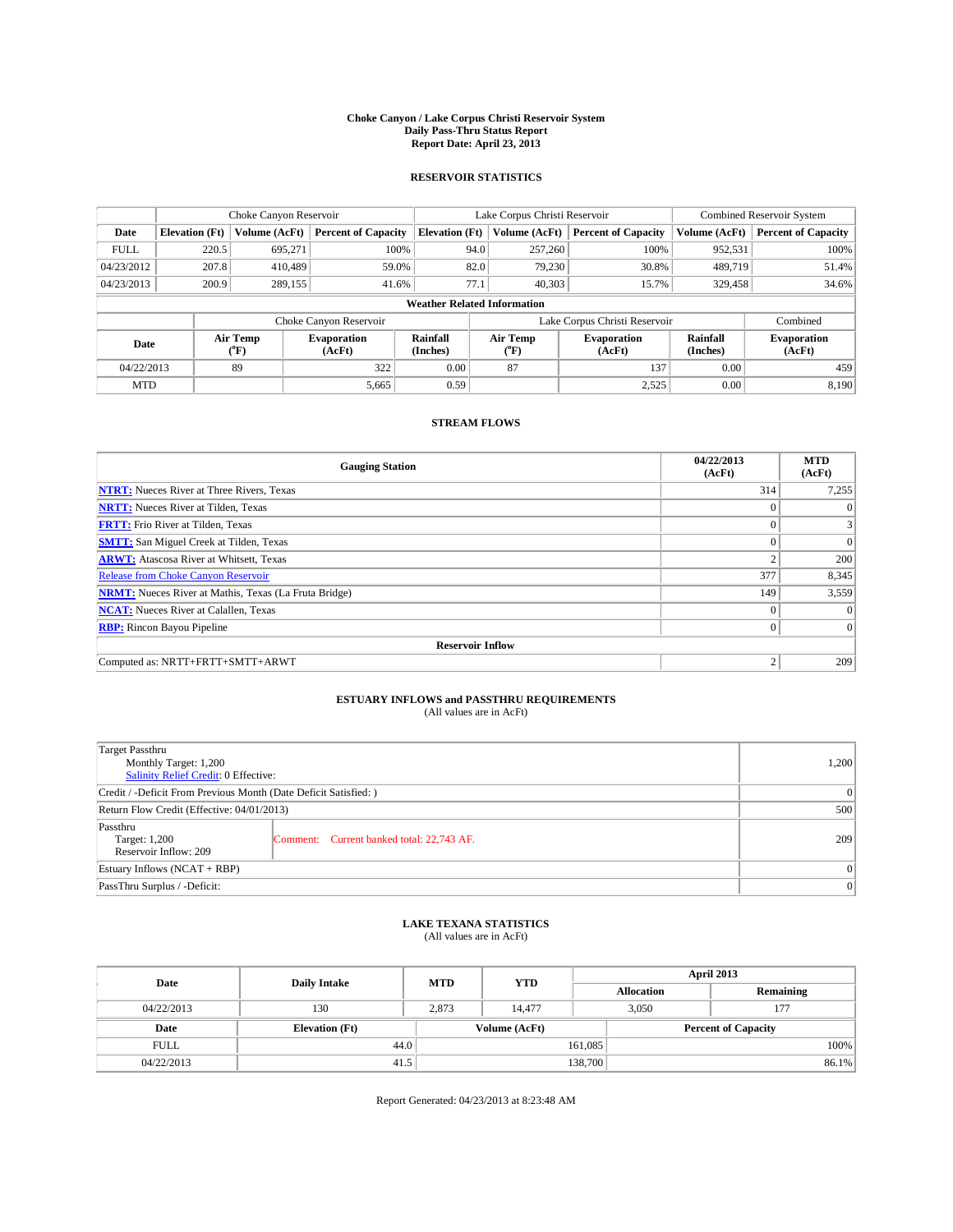### **Choke Canyon / Lake Corpus Christi Reservoir System Daily Pass-Thru Status Report Report Date: April 23, 2013**

### **RESERVOIR STATISTICS**

|                                                                                  |                                    | Choke Canyon Reservoir |                            |                              | Lake Corpus Christi Reservoir | <b>Combined Reservoir System</b> |               |                            |  |
|----------------------------------------------------------------------------------|------------------------------------|------------------------|----------------------------|------------------------------|-------------------------------|----------------------------------|---------------|----------------------------|--|
| Date                                                                             | <b>Elevation</b> (Ft)              | Volume (AcFt)          | <b>Percent of Capacity</b> | <b>Elevation (Ft)</b>        | Volume (AcFt)                 | <b>Percent of Capacity</b>       | Volume (AcFt) | <b>Percent of Capacity</b> |  |
| <b>FULL</b>                                                                      | 220.5                              | 695,271                | 100%                       | 94.0                         | 257,260                       | 100%                             | 952,531       | 100%                       |  |
| 04/23/2012                                                                       | 207.8                              | 410,489                | 59.0%                      | 82.0                         | 79,230                        | 30.8%                            | 489,719       | 51.4%                      |  |
| 04/23/2013                                                                       | 200.9                              | 289,155                | 41.6%                      | 77.1                         | 40.303                        | 15.7%                            | 329,458       | 34.6%                      |  |
|                                                                                  | <b>Weather Related Information</b> |                        |                            |                              |                               |                                  |               |                            |  |
|                                                                                  |                                    |                        | Choke Canyon Reservoir     |                              | Lake Corpus Christi Reservoir |                                  | Combined      |                            |  |
| Air Temp<br>Rainfall<br><b>Evaporation</b><br>Date<br>(Inches)<br>(AcFt)<br>(°F) |                                    |                        | Air Temp<br>(°F)           | <b>Evaporation</b><br>(AcFt) | Rainfall<br>(Inches)          | <b>Evaporation</b><br>(AcFt)     |               |                            |  |
| 04/22/2013                                                                       |                                    | 89                     | 322                        | 0.00                         | 87                            | 137                              | 0.00          | 459                        |  |
| <b>MTD</b>                                                                       |                                    |                        | 5,665                      | 0.59                         |                               | 2,525                            | 0.00          | 8,190                      |  |

### **STREAM FLOWS**

| <b>Gauging Station</b>                                       | 04/22/2013<br>(AcFt) | <b>MTD</b><br>(AcFt) |  |  |  |  |
|--------------------------------------------------------------|----------------------|----------------------|--|--|--|--|
| <b>NTRT:</b> Nueces River at Three Rivers, Texas             | 314                  | 7,255                |  |  |  |  |
| <b>NRTT:</b> Nueces River at Tilden, Texas                   | $\theta$             |                      |  |  |  |  |
| <b>FRTT:</b> Frio River at Tilden, Texas                     |                      |                      |  |  |  |  |
| <b>SMTT:</b> San Miguel Creek at Tilden, Texas               | $\theta$             | $\overline{0}$       |  |  |  |  |
| <b>ARWT:</b> Atascosa River at Whitsett, Texas               | $\overline{2}$       | 200                  |  |  |  |  |
| <b>Release from Choke Canyon Reservoir</b>                   | 377                  | 8,345                |  |  |  |  |
| <b>NRMT:</b> Nueces River at Mathis, Texas (La Fruta Bridge) | 149                  | 3,559                |  |  |  |  |
| <b>NCAT:</b> Nueces River at Calallen, Texas                 | $\theta$             | $\Omega$             |  |  |  |  |
| <b>RBP:</b> Rincon Bayou Pipeline                            | $\Omega$             | $\Omega$             |  |  |  |  |
| <b>Reservoir Inflow</b>                                      |                      |                      |  |  |  |  |
| Computed as: NRTT+FRTT+SMTT+ARWT                             | 2                    | 209                  |  |  |  |  |

# **ESTUARY INFLOWS and PASSTHRU REQUIREMENTS**<br>(All values are in AcFt)

| Target Passthru<br>Monthly Target: 1,200<br>Salinity Relief Credit: 0 Effective: |                                           |     |  |  |
|----------------------------------------------------------------------------------|-------------------------------------------|-----|--|--|
| Credit / -Deficit From Previous Month (Date Deficit Satisfied: )                 | $\Omega$                                  |     |  |  |
| Return Flow Credit (Effective: 04/01/2013)                                       | 500                                       |     |  |  |
| Passthru<br>Target: 1,200<br>Reservoir Inflow: 209                               | Comment: Current banked total: 22,743 AF. | 209 |  |  |
| Estuary Inflows $(NCAT + RBP)$                                                   | $\Omega$                                  |     |  |  |
| PassThru Surplus / -Deficit:                                                     | $\Omega$                                  |     |  |  |

## **LAKE TEXANA STATISTICS** (All values are in AcFt)

| Date        | <b>Daily Intake</b>   | <b>MTD</b> | <b>YTD</b>    | April 2013        |                            |           |  |
|-------------|-----------------------|------------|---------------|-------------------|----------------------------|-----------|--|
|             |                       |            |               | <b>Allocation</b> |                            | Remaining |  |
| 04/22/2013  | 130                   | 2.873      | 14.477        |                   | 3,050<br>177               |           |  |
| Date        | <b>Elevation</b> (Ft) |            | Volume (AcFt) |                   | <b>Percent of Capacity</b> |           |  |
| <b>FULL</b> | 44.0                  |            |               | 161,085           |                            | 100%      |  |
| 04/22/2013  | 41.5                  |            |               | 138,700           |                            | 86.1%     |  |

Report Generated: 04/23/2013 at 8:23:48 AM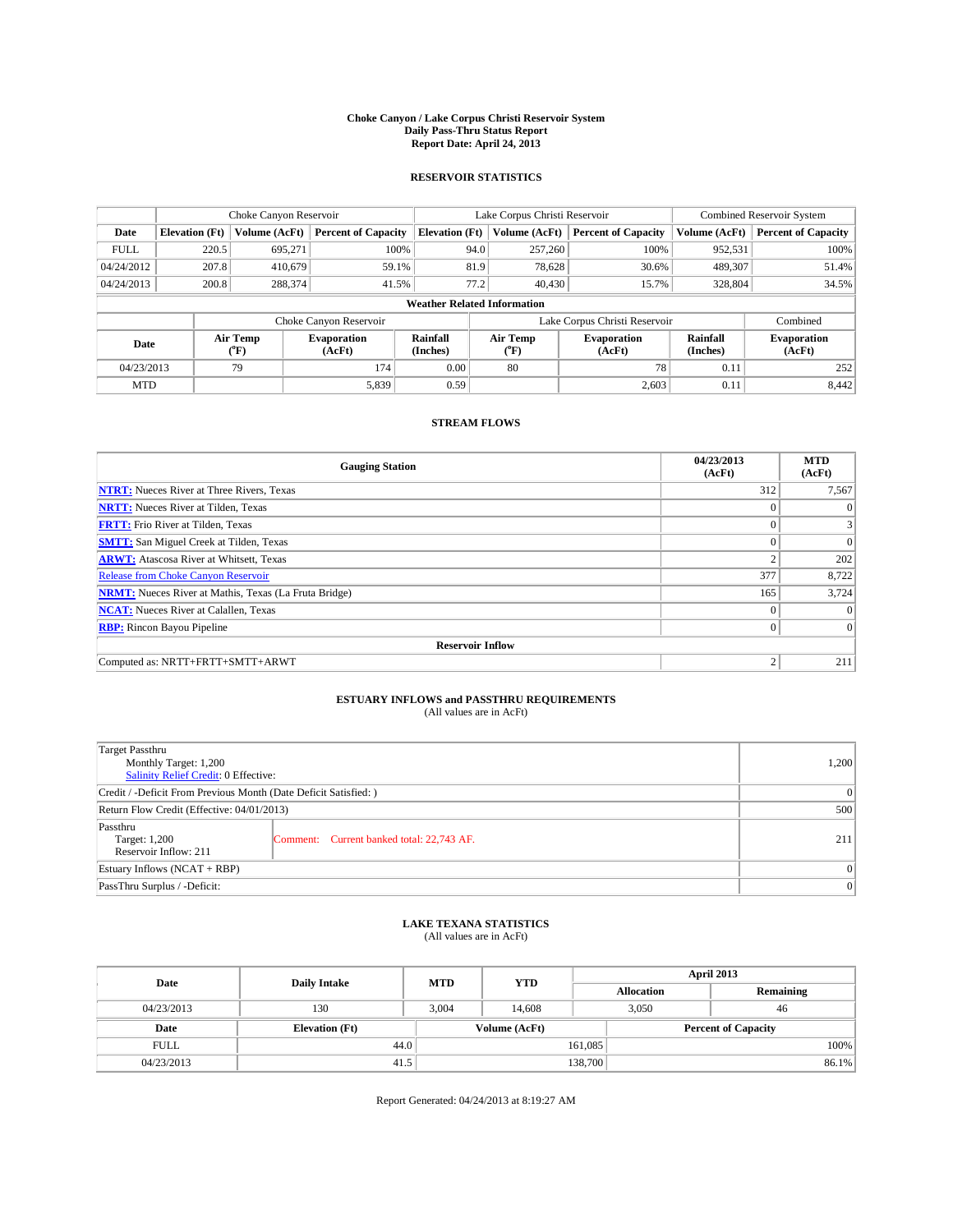### **Choke Canyon / Lake Corpus Christi Reservoir System Daily Pass-Thru Status Report Report Date: April 24, 2013**

### **RESERVOIR STATISTICS**

|                                                                                  |                                    | Choke Canyon Reservoir |                              |                       | Lake Corpus Christi Reservoir | <b>Combined Reservoir System</b> |               |                            |  |
|----------------------------------------------------------------------------------|------------------------------------|------------------------|------------------------------|-----------------------|-------------------------------|----------------------------------|---------------|----------------------------|--|
| Date                                                                             | <b>Elevation</b> (Ft)              | Volume (AcFt)          | <b>Percent of Capacity</b>   | <b>Elevation (Ft)</b> | Volume (AcFt)                 | <b>Percent of Capacity</b>       | Volume (AcFt) | <b>Percent of Capacity</b> |  |
| <b>FULL</b>                                                                      | 220.5                              | 695,271                | 100%                         | 94.0                  | 257,260                       | 100%                             | 952,531       | 100%                       |  |
| 04/24/2012                                                                       | 207.8                              | 410,679                | 59.1%                        |                       | 81.9<br>78,628                | 30.6%                            | 489,307       | 51.4%                      |  |
| 04/24/2013                                                                       | 200.8                              | 288,374                | 41.5%                        | 77.2                  | 40,430                        | 15.7%                            | 328,804       | 34.5%                      |  |
|                                                                                  | <b>Weather Related Information</b> |                        |                              |                       |                               |                                  |               |                            |  |
|                                                                                  |                                    |                        | Choke Canyon Reservoir       |                       | Lake Corpus Christi Reservoir |                                  | Combined      |                            |  |
| Air Temp<br>Rainfall<br><b>Evaporation</b><br>Date<br>(Inches)<br>(AcFt)<br>(°F) |                                    | Air Temp<br>(°F)       | <b>Evaporation</b><br>(AcFt) | Rainfall<br>(Inches)  | <b>Evaporation</b><br>(AcFt)  |                                  |               |                            |  |
| 04/23/2013                                                                       |                                    | 79                     | 174                          | 0.00                  | 80                            | 78                               | 0.11          | 252                        |  |
| <b>MTD</b>                                                                       |                                    |                        | 5,839                        | 0.59                  |                               | 2,603                            | 0.11          | 8.442                      |  |

## **STREAM FLOWS**

| <b>Gauging Station</b>                                       | 04/23/2013<br>(AcFt) | <b>MTD</b><br>(AcFt) |
|--------------------------------------------------------------|----------------------|----------------------|
| <b>NTRT:</b> Nueces River at Three Rivers, Texas             | 312                  | 7,567                |
| <b>NRTT:</b> Nueces River at Tilden, Texas                   |                      | $\theta$             |
| <b>FRTT:</b> Frio River at Tilden, Texas                     |                      | 3                    |
| <b>SMTT:</b> San Miguel Creek at Tilden, Texas               | $\Omega$             | $\Omega$             |
| <b>ARWT:</b> Atascosa River at Whitsett, Texas               | $\overline{c}$       | 202                  |
| Release from Choke Canyon Reservoir                          | 377                  | 8,722                |
| <b>NRMT:</b> Nueces River at Mathis, Texas (La Fruta Bridge) | 165                  | 3,724                |
| <b>NCAT:</b> Nueces River at Calallen, Texas                 | $\theta$             | $\Omega$             |
| <b>RBP:</b> Rincon Bayou Pipeline                            | $\Omega$             | $\Omega$             |
| <b>Reservoir Inflow</b>                                      |                      |                      |
| Computed as: NRTT+FRTT+SMTT+ARWT                             | $\overline{2}$       | 211                  |

# **ESTUARY INFLOWS and PASSTHRU REQUIREMENTS**<br>(All values are in AcFt)

| <b>Target Passthru</b><br>Monthly Target: 1,200<br>Salinity Relief Credit: 0 Effective: |                                           |     |  |  |
|-----------------------------------------------------------------------------------------|-------------------------------------------|-----|--|--|
| Credit / -Deficit From Previous Month (Date Deficit Satisfied: )                        |                                           |     |  |  |
| Return Flow Credit (Effective: 04/01/2013)                                              |                                           |     |  |  |
| Passthru<br>Target: 1,200<br>Reservoir Inflow: 211                                      | Comment: Current banked total: 22,743 AF. | 211 |  |  |
| Estuary Inflows $(NCAT + RBP)$                                                          |                                           |     |  |  |
| PassThru Surplus / -Deficit:                                                            | 0                                         |     |  |  |

## **LAKE TEXANA STATISTICS** (All values are in AcFt)

| Date        | <b>Daily Intake</b>   | <b>MTD</b> | <b>YTD</b>    | April 2013                 |             |           |  |
|-------------|-----------------------|------------|---------------|----------------------------|-------------|-----------|--|
|             |                       |            |               | <b>Allocation</b>          |             | Remaining |  |
| 04/23/2013  | 130                   | 3.004      | 14.608        |                            | 3,050<br>46 |           |  |
| Date        | <b>Elevation</b> (Ft) |            | Volume (AcFt) | <b>Percent of Capacity</b> |             |           |  |
| <b>FULL</b> | 44.0                  |            |               | 161,085                    |             | 100%      |  |
| 04/23/2013  | 41.5                  |            |               | 138,700                    |             | 86.1%     |  |

Report Generated: 04/24/2013 at 8:19:27 AM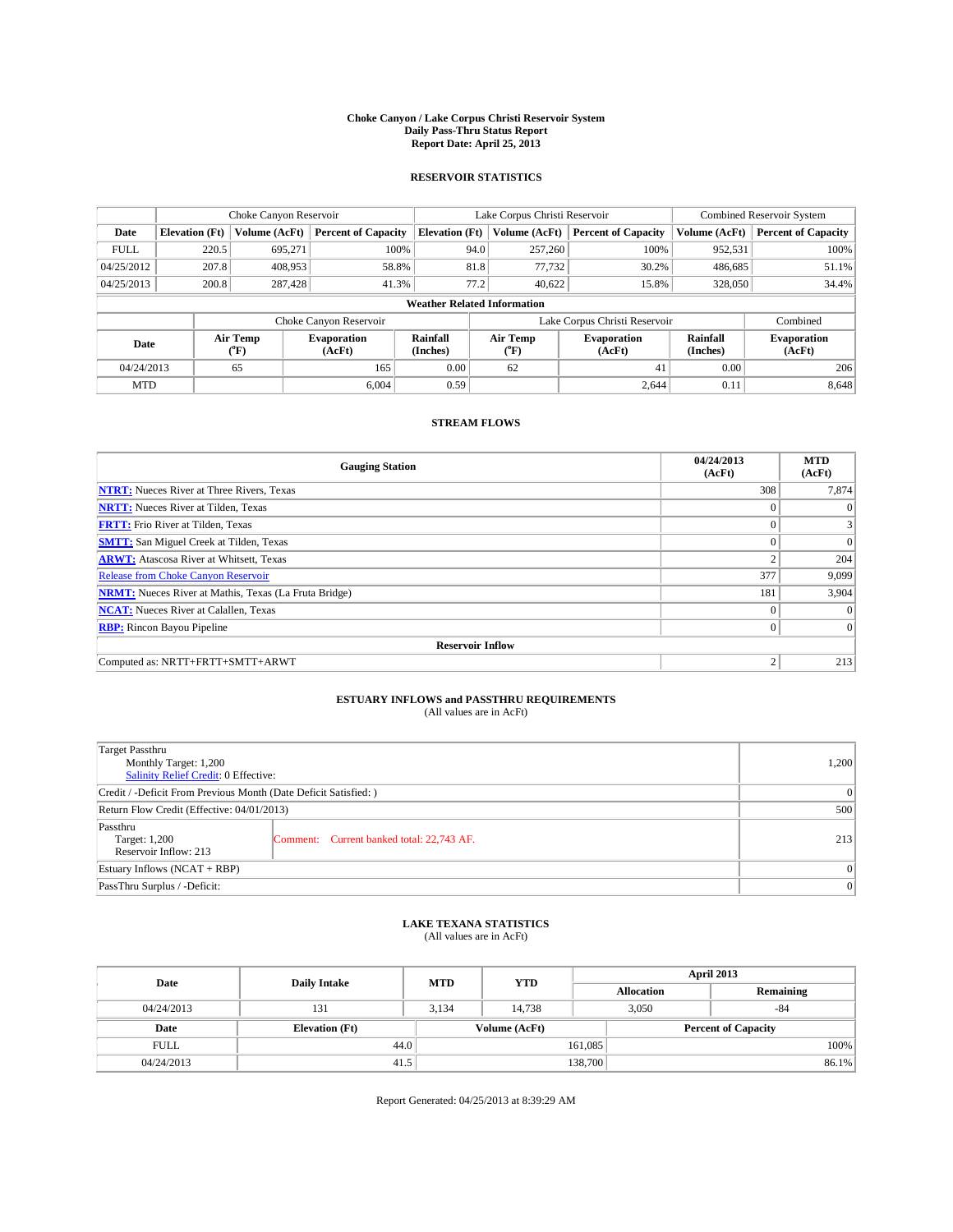### **Choke Canyon / Lake Corpus Christi Reservoir System Daily Pass-Thru Status Report Report Date: April 25, 2013**

### **RESERVOIR STATISTICS**

|             | Choke Canyon Reservoir             |                  | Lake Corpus Christi Reservoir |                       |                               |                  | Combined Reservoir System    |                      |                              |
|-------------|------------------------------------|------------------|-------------------------------|-----------------------|-------------------------------|------------------|------------------------------|----------------------|------------------------------|
| Date        | <b>Elevation</b> (Ft)              | Volume (AcFt)    | <b>Percent of Capacity</b>    | <b>Elevation (Ft)</b> |                               | Volume (AcFt)    | <b>Percent of Capacity</b>   | Volume (AcFt)        | <b>Percent of Capacity</b>   |
| <b>FULL</b> | 220.5                              | 695,271          | 100%                          |                       | 94.0                          | 257,260          | 100%                         | 952,531              | 100%                         |
| 04/25/2012  | 207.8                              | 408,953          | 58.8%                         |                       | 81.8                          | 77,732           | 30.2%                        | 486,685              | 51.1%                        |
| 04/25/2013  | 200.8                              | 287,428          | 41.3%                         |                       | 77.2                          | 40.622           | 15.8%                        | 328,050              | 34.4%                        |
|             | <b>Weather Related Information</b> |                  |                               |                       |                               |                  |                              |                      |                              |
|             |                                    |                  | Choke Canyon Reservoir        |                       | Lake Corpus Christi Reservoir |                  |                              |                      | Combined                     |
| Date        |                                    | Air Temp<br>(°F) | <b>Evaporation</b><br>(AcFt)  | Rainfall<br>(Inches)  |                               | Air Temp<br>("F) | <b>Evaporation</b><br>(AcFt) | Rainfall<br>(Inches) | <b>Evaporation</b><br>(AcFt) |
| 04/24/2013  |                                    | 65               | 165                           | 0.00                  |                               | 62               | 41                           | 0.00                 | 206                          |
| <b>MTD</b>  |                                    |                  | 6.004                         | 0.59                  |                               |                  | 2,644                        | 0.11                 | 8,648                        |

### **STREAM FLOWS**

| <b>Gauging Station</b>                                       | 04/24/2013<br>(AcFt) | <b>MTD</b><br>(AcFt) |  |  |  |  |  |
|--------------------------------------------------------------|----------------------|----------------------|--|--|--|--|--|
| <b>NTRT:</b> Nueces River at Three Rivers, Texas             | 308                  | 7,874                |  |  |  |  |  |
| <b>NRTT:</b> Nueces River at Tilden, Texas                   | $\theta$             | $\theta$             |  |  |  |  |  |
| <b>FRTT:</b> Frio River at Tilden, Texas                     |                      |                      |  |  |  |  |  |
| <b>SMTT:</b> San Miguel Creek at Tilden, Texas               | $\theta$             | $\overline{0}$       |  |  |  |  |  |
| <b>ARWT:</b> Atascosa River at Whitsett, Texas               | $\overline{2}$       | 204                  |  |  |  |  |  |
| <b>Release from Choke Canyon Reservoir</b>                   | 377                  | 9,099                |  |  |  |  |  |
| <b>NRMT:</b> Nueces River at Mathis, Texas (La Fruta Bridge) | 181                  | 3,904                |  |  |  |  |  |
| <b>NCAT:</b> Nueces River at Calallen, Texas                 | $\theta$             | $\Omega$             |  |  |  |  |  |
| <b>RBP:</b> Rincon Bayou Pipeline                            | $\Omega$             | $\Omega$             |  |  |  |  |  |
| <b>Reservoir Inflow</b>                                      |                      |                      |  |  |  |  |  |
| Computed as: NRTT+FRTT+SMTT+ARWT                             | 2                    | 213                  |  |  |  |  |  |

# **ESTUARY INFLOWS and PASSTHRU REQUIREMENTS**<br>(All values are in AcFt)

| <b>Target Passthru</b><br>Monthly Target: 1,200<br>Salinity Relief Credit: 0 Effective: | 1,200                                     |     |  |  |
|-----------------------------------------------------------------------------------------|-------------------------------------------|-----|--|--|
| Credit / -Deficit From Previous Month (Date Deficit Satisfied: )                        |                                           |     |  |  |
| Return Flow Credit (Effective: 04/01/2013)                                              |                                           |     |  |  |
| Passthru<br>Target: 1,200<br>Reservoir Inflow: 213                                      | Comment: Current banked total: 22,743 AF. | 213 |  |  |
| Estuary Inflows $(NCAT + RBP)$                                                          | $\Omega$                                  |     |  |  |
| PassThru Surplus / -Deficit:                                                            | 0                                         |     |  |  |

## **LAKE TEXANA STATISTICS** (All values are in AcFt)

| Date        | <b>Daily Intake</b>   | <b>MTD</b>    | <b>YTD</b> | April 2013        |                |                            |  |  |
|-------------|-----------------------|---------------|------------|-------------------|----------------|----------------------------|--|--|
|             |                       |               |            | <b>Allocation</b> |                | Remaining                  |  |  |
| 04/24/2013  | 131                   | 3.134         | 14.738     |                   | 3,050<br>$-84$ |                            |  |  |
| Date        | <b>Elevation</b> (Ft) | Volume (AcFt) |            |                   |                | <b>Percent of Capacity</b> |  |  |
| <b>FULL</b> | 44.0                  |               |            | 161,085           |                | 100%                       |  |  |
| 04/24/2013  | 41.5                  |               |            | 138,700           |                | 86.1%                      |  |  |

Report Generated: 04/25/2013 at 8:39:29 AM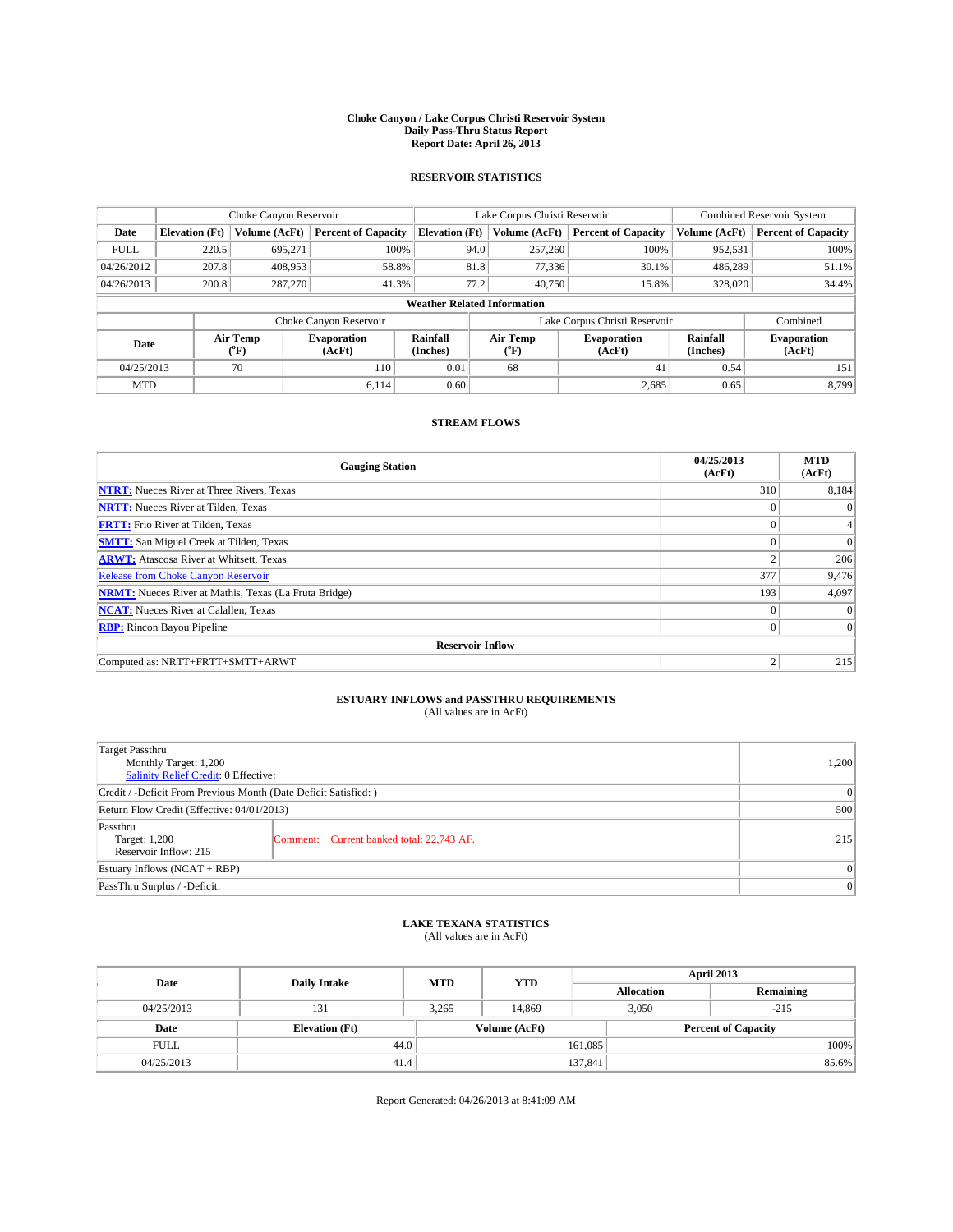### **Choke Canyon / Lake Corpus Christi Reservoir System Daily Pass-Thru Status Report Report Date: April 26, 2013**

### **RESERVOIR STATISTICS**

|             |                       | Choke Canyon Reservoir |                              |                                    | Lake Corpus Christi Reservoir | <b>Combined Reservoir System</b> |                      |                              |
|-------------|-----------------------|------------------------|------------------------------|------------------------------------|-------------------------------|----------------------------------|----------------------|------------------------------|
| Date        | <b>Elevation</b> (Ft) | Volume (AcFt)          | <b>Percent of Capacity</b>   | <b>Elevation (Ft)</b>              | Volume (AcFt)                 | <b>Percent of Capacity</b>       | Volume (AcFt)        | <b>Percent of Capacity</b>   |
| <b>FULL</b> | 220.5                 | 695,271                | 100%                         | 94.0                               | 257,260                       | 100%                             | 952,531              | 100%                         |
| 04/26/2012  | 207.8                 | 408,953                | 58.8%                        | 81.8                               | 77,336                        | 30.1%                            | 486,289              | 51.1%                        |
| 04/26/2013  | 200.8                 | 287,270                | 41.3%                        | 77.2                               | 40,750                        | 15.8%                            | 328,020              | 34.4%                        |
|             |                       |                        |                              | <b>Weather Related Information</b> |                               |                                  |                      |                              |
|             |                       |                        | Choke Canyon Reservoir       |                                    | Lake Corpus Christi Reservoir | Combined                         |                      |                              |
| Date        |                       | Air Temp<br>(°F)       | <b>Evaporation</b><br>(AcFt) | Rainfall<br>(Inches)               | Air Temp<br>("F)              | <b>Evaporation</b><br>(AcFt)     | Rainfall<br>(Inches) | <b>Evaporation</b><br>(AcFt) |
| 04/25/2013  |                       | 70                     | 110                          | 0.01                               | 68                            | 41                               | 0.54                 | 151                          |
| <b>MTD</b>  |                       |                        | 6.114                        | 0.60                               |                               | 2,685                            | 0.65                 | 8.799                        |

## **STREAM FLOWS**

| <b>Gauging Station</b>                                       | 04/25/2013<br>(AcFt) | <b>MTD</b><br>(AcFt) |  |  |  |  |  |
|--------------------------------------------------------------|----------------------|----------------------|--|--|--|--|--|
| <b>NTRT:</b> Nueces River at Three Rivers, Texas             | 310                  | 8,184                |  |  |  |  |  |
| <b>NRTT:</b> Nueces River at Tilden, Texas                   | $\theta$             | $\theta$             |  |  |  |  |  |
| <b>FRTT:</b> Frio River at Tilden, Texas                     |                      |                      |  |  |  |  |  |
| <b>SMTT:</b> San Miguel Creek at Tilden, Texas               | $\theta$             | $\overline{0}$       |  |  |  |  |  |
| <b>ARWT:</b> Atascosa River at Whitsett, Texas               | $\overline{2}$       | 206                  |  |  |  |  |  |
| <b>Release from Choke Canyon Reservoir</b>                   | 377                  | 9,476                |  |  |  |  |  |
| <b>NRMT:</b> Nueces River at Mathis, Texas (La Fruta Bridge) | 193                  | 4,097                |  |  |  |  |  |
| <b>NCAT:</b> Nueces River at Calallen, Texas                 | $\Omega$             | $\Omega$             |  |  |  |  |  |
| <b>RBP:</b> Rincon Bayou Pipeline                            | $\Omega$             | $\Omega$             |  |  |  |  |  |
| <b>Reservoir Inflow</b>                                      |                      |                      |  |  |  |  |  |
| Computed as: NRTT+FRTT+SMTT+ARWT                             | $\overline{2}$       | 215                  |  |  |  |  |  |

# **ESTUARY INFLOWS and PASSTHRU REQUIREMENTS**<br>(All values are in AcFt)

| <b>Target Passthru</b><br>Monthly Target: 1,200<br>Salinity Relief Credit: 0 Effective: | 1,200                                     |     |  |  |
|-----------------------------------------------------------------------------------------|-------------------------------------------|-----|--|--|
| Credit / -Deficit From Previous Month (Date Deficit Satisfied: )                        |                                           |     |  |  |
| Return Flow Credit (Effective: 04/01/2013)                                              |                                           |     |  |  |
| Passthru<br>Target: 1,200<br>Reservoir Inflow: 215                                      | Comment: Current banked total: 22,743 AF. | 215 |  |  |
| Estuary Inflows $(NCAT + RBP)$                                                          | $\Omega$                                  |     |  |  |
| PassThru Surplus / -Deficit:                                                            | 0                                         |     |  |  |

## **LAKE TEXANA STATISTICS** (All values are in AcFt)

| Date        | <b>Daily Intake</b>   | <b>MTD</b> | <b>YTD</b>    | April 2013        |                            |           |  |
|-------------|-----------------------|------------|---------------|-------------------|----------------------------|-----------|--|
|             |                       |            |               | <b>Allocation</b> |                            | Remaining |  |
| 04/25/2013  | 131                   | 3.265      | 14.869        |                   | 3,050<br>$-215$            |           |  |
| Date        | <b>Elevation</b> (Ft) |            | Volume (AcFt) |                   | <b>Percent of Capacity</b> |           |  |
| <b>FULL</b> | 44.0                  |            |               | 161,085           |                            | 100%      |  |
| 04/25/2013  | 41.4                  |            |               | 137,841           |                            | 85.6%     |  |

Report Generated: 04/26/2013 at 8:41:09 AM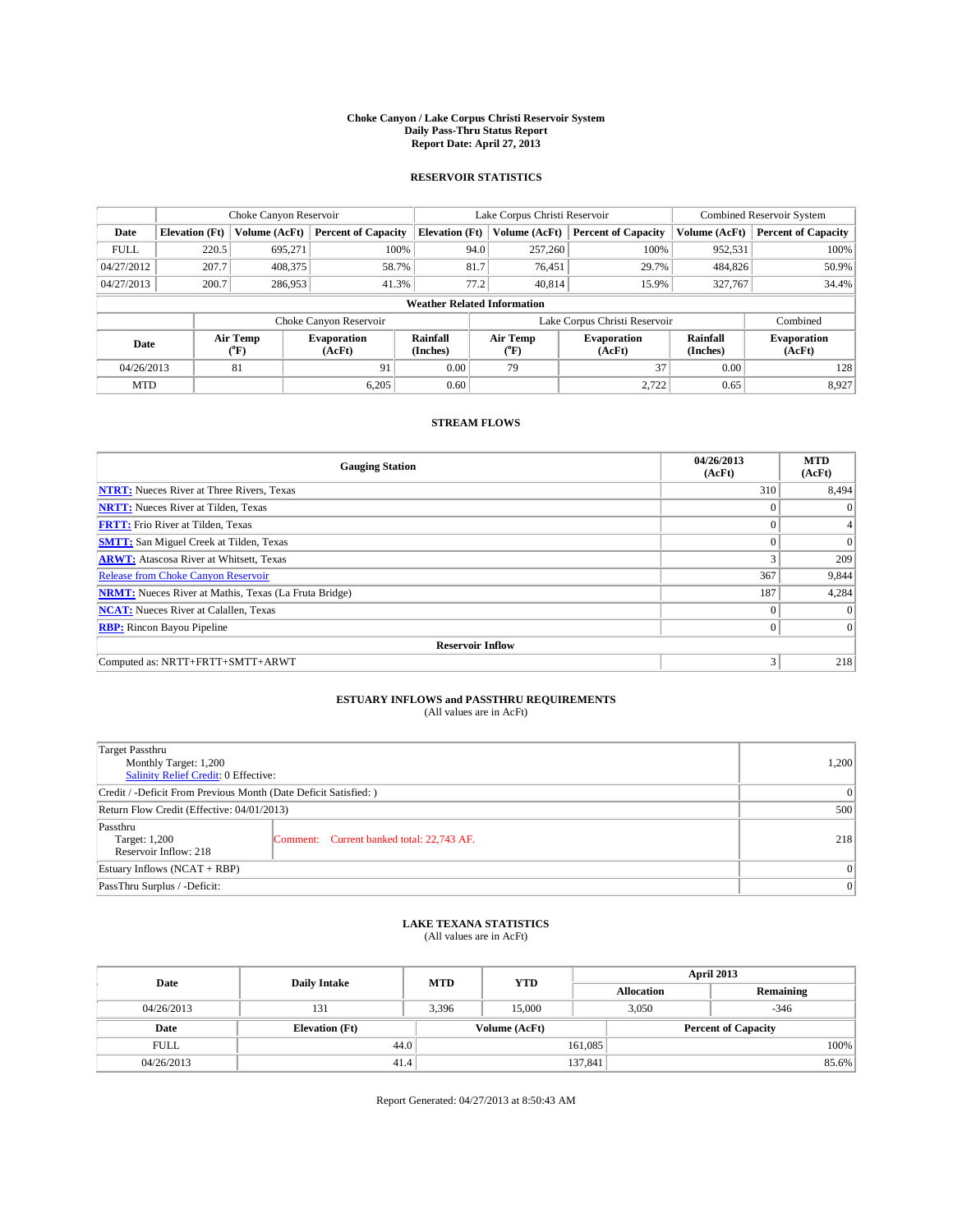### **Choke Canyon / Lake Corpus Christi Reservoir System Daily Pass-Thru Status Report Report Date: April 27, 2013**

### **RESERVOIR STATISTICS**

|             |                       | Choke Canyon Reservoir |                              |                       | Lake Corpus Christi Reservoir      | Combined Reservoir System    |                      |                              |
|-------------|-----------------------|------------------------|------------------------------|-----------------------|------------------------------------|------------------------------|----------------------|------------------------------|
| Date        | <b>Elevation</b> (Ft) | Volume (AcFt)          | <b>Percent of Capacity</b>   | <b>Elevation (Ft)</b> | Volume (AcFt)                      | <b>Percent of Capacity</b>   | Volume (AcFt)        | <b>Percent of Capacity</b>   |
| <b>FULL</b> | 220.5                 | 695,271                | 100%                         | 94.0                  | 257,260                            | 100%                         | 952,531              | 100%                         |
| 04/27/2012  | 207.7                 | 408,375                | 58.7%                        | 81.7                  | 76,451                             | 29.7%                        | 484,826              | 50.9%                        |
| 04/27/2013  | 200.7                 | 286,953                | 41.3%                        | 77.2                  | 40.814                             | 15.9%                        | 327,767              | 34.4%                        |
|             |                       |                        |                              |                       | <b>Weather Related Information</b> |                              |                      |                              |
|             |                       |                        | Choke Canyon Reservoir       |                       | Lake Corpus Christi Reservoir      |                              | Combined             |                              |
| Date        |                       | Air Temp<br>(°F)       | <b>Evaporation</b><br>(AcFt) | Rainfall<br>(Inches)  | Air Temp<br>("F)                   | <b>Evaporation</b><br>(AcFt) | Rainfall<br>(Inches) | <b>Evaporation</b><br>(AcFt) |
| 04/26/2013  |                       | 81                     | 91                           | 0.00                  | 79                                 | 37                           | 0.00                 | 128                          |
| <b>MTD</b>  |                       |                        | 6.205                        | 0.60                  |                                    | 2,722                        | 0.65                 | 8,927                        |

### **STREAM FLOWS**

| <b>Gauging Station</b>                                       | 04/26/2013<br>(AcFt) | <b>MTD</b><br>(AcFt) |  |  |  |  |  |
|--------------------------------------------------------------|----------------------|----------------------|--|--|--|--|--|
| <b>NTRT:</b> Nueces River at Three Rivers, Texas             | 310                  | 8,494                |  |  |  |  |  |
| <b>NRTT:</b> Nueces River at Tilden, Texas                   | $\theta$             | $\theta$             |  |  |  |  |  |
| <b>FRTT:</b> Frio River at Tilden, Texas                     |                      |                      |  |  |  |  |  |
| <b>SMTT:</b> San Miguel Creek at Tilden, Texas               | $\theta$             | $\overline{0}$       |  |  |  |  |  |
| <b>ARWT:</b> Atascosa River at Whitsett, Texas               | 3                    | 209                  |  |  |  |  |  |
| <b>Release from Choke Canyon Reservoir</b>                   | 367                  | 9,844                |  |  |  |  |  |
| <b>NRMT:</b> Nueces River at Mathis, Texas (La Fruta Bridge) | 187                  | 4,284                |  |  |  |  |  |
| <b>NCAT:</b> Nueces River at Calallen, Texas                 | $\theta$             | $\Omega$             |  |  |  |  |  |
| <b>RBP:</b> Rincon Bayou Pipeline                            | $\Omega$             | $\Omega$             |  |  |  |  |  |
| <b>Reservoir Inflow</b>                                      |                      |                      |  |  |  |  |  |
| Computed as: NRTT+FRTT+SMTT+ARWT                             | 3                    | 218                  |  |  |  |  |  |

# **ESTUARY INFLOWS and PASSTHRU REQUIREMENTS**<br>(All values are in AcFt)

| <b>Target Passthru</b><br>Monthly Target: 1,200<br>Salinity Relief Credit: 0 Effective: | 1,200                                     |     |  |  |
|-----------------------------------------------------------------------------------------|-------------------------------------------|-----|--|--|
| Credit / -Deficit From Previous Month (Date Deficit Satisfied: )                        |                                           |     |  |  |
| Return Flow Credit (Effective: 04/01/2013)                                              |                                           |     |  |  |
| Passthru<br>Target: 1,200<br>Reservoir Inflow: 218                                      | Comment: Current banked total: 22,743 AF. | 218 |  |  |
| Estuary Inflows $(NCAT + RBP)$                                                          | $\Omega$                                  |     |  |  |
| PassThru Surplus / -Deficit:                                                            | 0                                         |     |  |  |

## **LAKE TEXANA STATISTICS** (All values are in AcFt)

| Date        | <b>Daily Intake</b>   | <b>MTD</b> | <b>YTD</b> | April 2013        |                 |                            |  |
|-------------|-----------------------|------------|------------|-------------------|-----------------|----------------------------|--|
|             |                       |            |            | <b>Allocation</b> |                 | Remaining                  |  |
| 04/26/2013  | 131                   | 3,396      | 15,000     |                   | 3,050<br>$-346$ |                            |  |
| Date        | <b>Elevation</b> (Ft) |            |            | Volume (AcFt)     |                 | <b>Percent of Capacity</b> |  |
| <b>FULL</b> | 44.0                  |            |            | 161,085           |                 | 100%                       |  |
| 04/26/2013  | 41.4                  |            |            | 137,841           |                 | 85.6%                      |  |

Report Generated: 04/27/2013 at 8:50:43 AM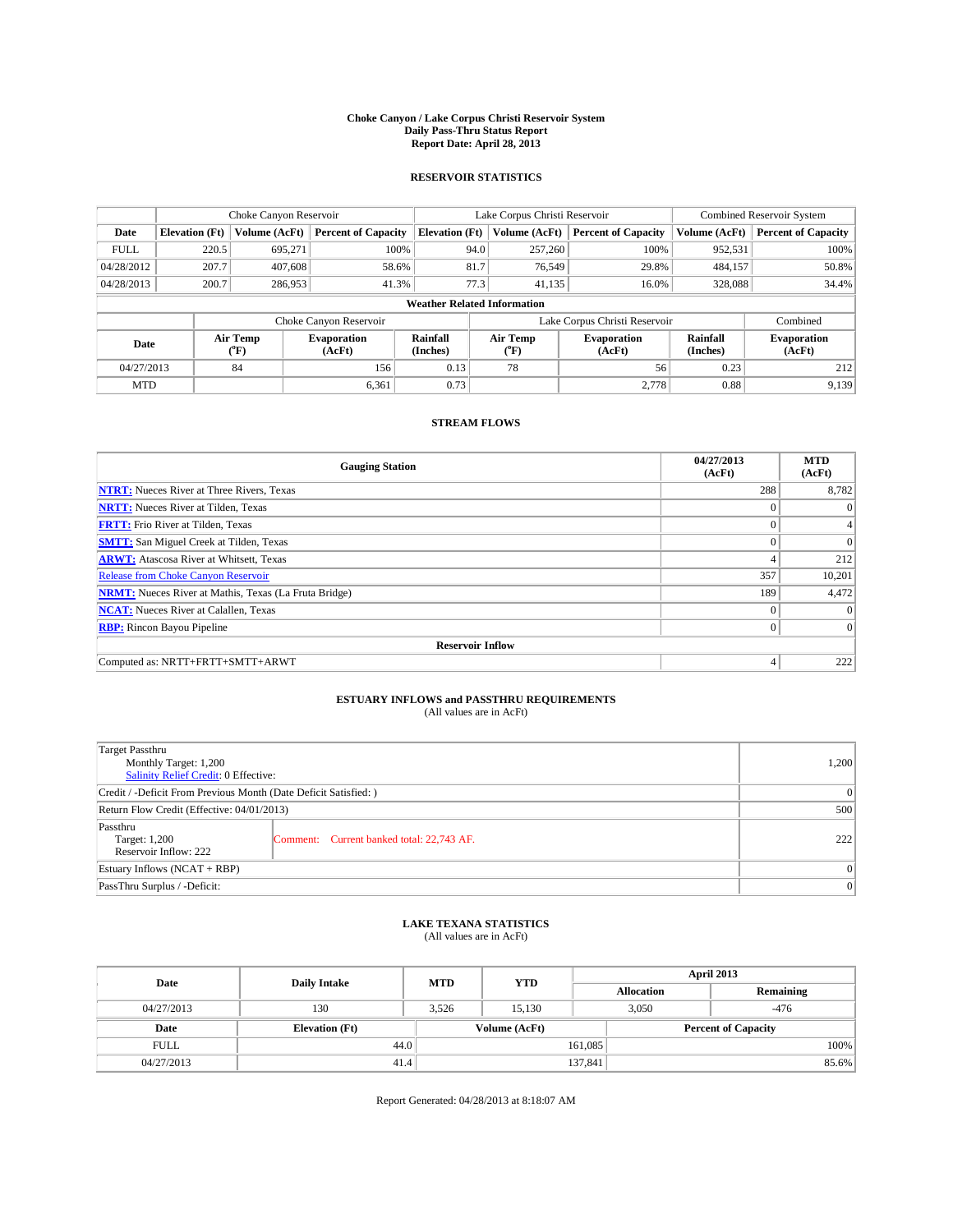### **Choke Canyon / Lake Corpus Christi Reservoir System Daily Pass-Thru Status Report Report Date: April 28, 2013**

### **RESERVOIR STATISTICS**

|             |                       | Choke Canyon Reservoir |                              |                                    | Lake Corpus Christi Reservoir | Combined Reservoir System    |               |                              |
|-------------|-----------------------|------------------------|------------------------------|------------------------------------|-------------------------------|------------------------------|---------------|------------------------------|
| Date        | <b>Elevation</b> (Ft) | Volume (AcFt)          | <b>Percent of Capacity</b>   | <b>Elevation (Ft)</b>              | Volume (AcFt)                 | <b>Percent of Capacity</b>   | Volume (AcFt) | <b>Percent of Capacity</b>   |
| <b>FULL</b> | 220.5                 | 695,271                | 100%                         |                                    | 257,260<br>94.0               | 100%                         | 952,531       | 100%                         |
| 04/28/2012  | 207.7                 | 407,608                | 58.6%                        |                                    | 81.7<br>76,549                | 29.8%                        | 484,157       | 50.8%                        |
| 04/28/2013  | 200.7                 | 286,953                | 41.3%                        |                                    | 77.3<br>41,135                | 16.0%                        | 328,088       | 34.4%                        |
|             |                       |                        |                              | <b>Weather Related Information</b> |                               |                              |               |                              |
|             |                       |                        | Choke Canyon Reservoir       |                                    | Lake Corpus Christi Reservoir | Combined                     |               |                              |
| Date        |                       | Air Temp<br>(°F)       | <b>Evaporation</b><br>(AcFt) | Rainfall<br>(Inches)               | Air Temp<br>("F)              | <b>Evaporation</b><br>(AcFt) |               | <b>Evaporation</b><br>(AcFt) |
| 04/27/2013  |                       | 84                     | 156                          | 0.13                               | 78                            | 56                           | 0.23          | 212                          |
| <b>MTD</b>  |                       |                        | 6,361                        | 0.73                               |                               | 2,778                        | 0.88          | 9,139                        |

## **STREAM FLOWS**

| <b>Gauging Station</b>                                       | 04/27/2013<br>(AcFt) | <b>MTD</b><br>(AcFt) |
|--------------------------------------------------------------|----------------------|----------------------|
| <b>NTRT:</b> Nueces River at Three Rivers, Texas             | 288                  | 8,782                |
| <b>NRTT:</b> Nueces River at Tilden, Texas                   | $\theta$             | $\theta$             |
| <b>FRTT:</b> Frio River at Tilden, Texas                     |                      |                      |
| <b>SMTT:</b> San Miguel Creek at Tilden, Texas               | $\theta$             | $\Omega$             |
| <b>ARWT:</b> Atascosa River at Whitsett, Texas               | 4                    | 212                  |
| <b>Release from Choke Canyon Reservoir</b>                   | 357                  | 10,201               |
| <b>NRMT:</b> Nueces River at Mathis, Texas (La Fruta Bridge) | 189                  | 4,472                |
| <b>NCAT:</b> Nueces River at Calallen, Texas                 | $\theta$             | $\Omega$             |
| <b>RBP:</b> Rincon Bayou Pipeline                            | $\Omega$             | $\vert$ 0            |
| <b>Reservoir Inflow</b>                                      |                      |                      |
| Computed as: NRTT+FRTT+SMTT+ARWT                             | 4                    | 222                  |

# **ESTUARY INFLOWS and PASSTHRU REQUIREMENTS**<br>(All values are in AcFt)

| <b>Target Passthru</b><br>Monthly Target: 1,200<br>Salinity Relief Credit: 0 Effective: |                                           |     |  |  |
|-----------------------------------------------------------------------------------------|-------------------------------------------|-----|--|--|
| Credit / -Deficit From Previous Month (Date Deficit Satisfied: )                        |                                           |     |  |  |
| Return Flow Credit (Effective: 04/01/2013)                                              |                                           |     |  |  |
| Passthru<br>Target: 1,200<br>Reservoir Inflow: 222                                      | Comment: Current banked total: 22,743 AF. | 222 |  |  |
| Estuary Inflows $(NCAT + RBP)$                                                          |                                           |     |  |  |
| PassThru Surplus / -Deficit:                                                            |                                           |     |  |  |

# **LAKE TEXANA STATISTICS** (All values are in AcFt)

| Date        | <b>Daily Intake</b>   | <b>MTD</b> | <b>YTD</b>    | April 2013        |                 |                            |  |
|-------------|-----------------------|------------|---------------|-------------------|-----------------|----------------------------|--|
|             |                       |            |               | <b>Allocation</b> |                 | Remaining                  |  |
| 04/27/2013  | 130                   | 3.526      | 15.130        |                   | 3,050<br>$-476$ |                            |  |
| Date        | <b>Elevation</b> (Ft) |            | Volume (AcFt) |                   |                 | <b>Percent of Capacity</b> |  |
| <b>FULL</b> | 44.0                  |            |               | 161,085           |                 | 100%                       |  |
| 04/27/2013  | 41.4                  |            |               | 137,841           |                 | 85.6%                      |  |

Report Generated: 04/28/2013 at 8:18:07 AM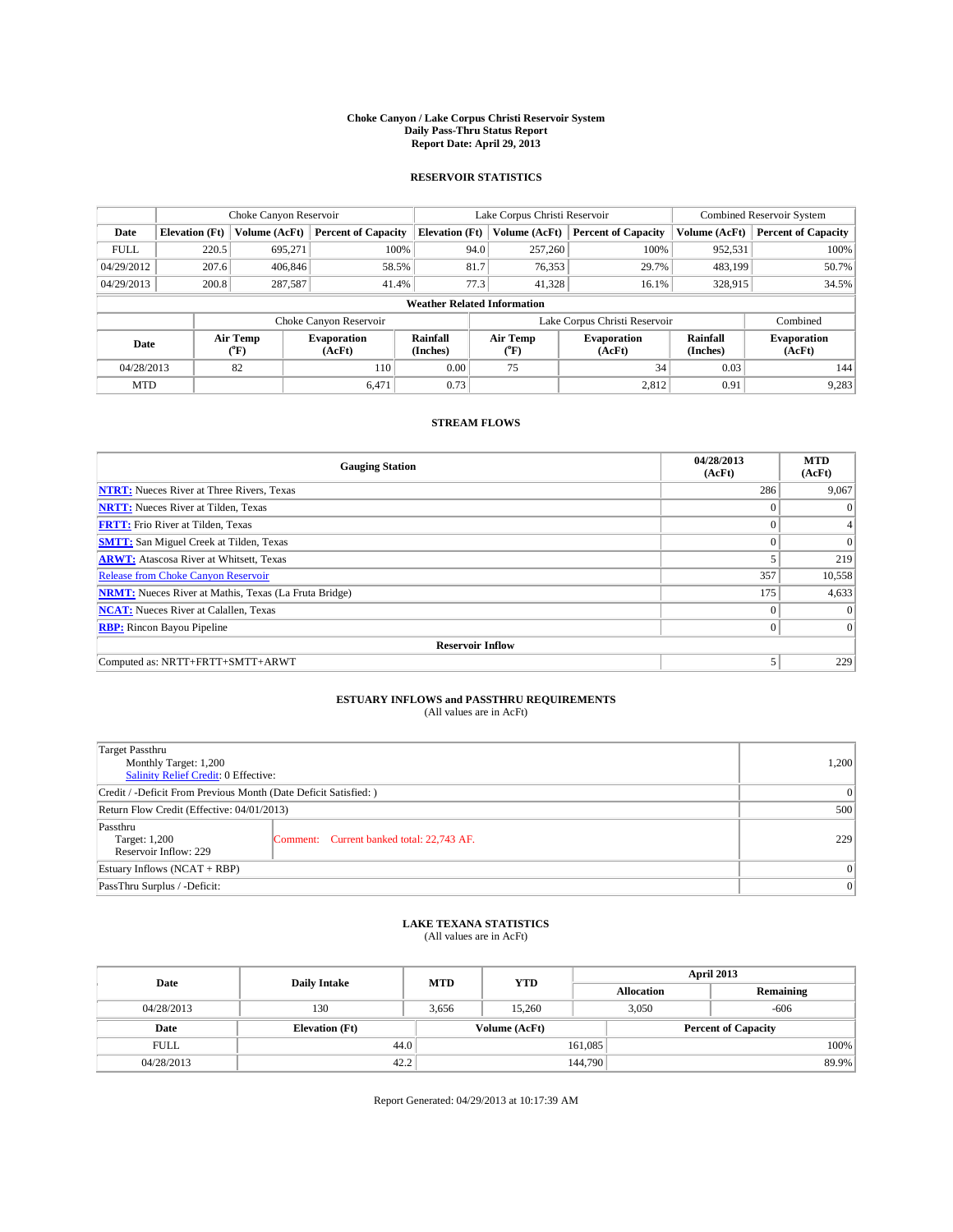### **Choke Canyon / Lake Corpus Christi Reservoir System Daily Pass-Thru Status Report Report Date: April 29, 2013**

### **RESERVOIR STATISTICS**

|             |                       | Choke Canyon Reservoir |                              |                                    | Lake Corpus Christi Reservoir | <b>Combined Reservoir System</b> |                      |                              |
|-------------|-----------------------|------------------------|------------------------------|------------------------------------|-------------------------------|----------------------------------|----------------------|------------------------------|
| Date        | <b>Elevation</b> (Ft) | Volume (AcFt)          | <b>Percent of Capacity</b>   | <b>Elevation (Ft)</b>              | Volume (AcFt)                 | <b>Percent of Capacity</b>       | Volume (AcFt)        | <b>Percent of Capacity</b>   |
| <b>FULL</b> | 220.5                 | 695,271                | 100%                         | 94.0                               | 257,260                       | 100%                             | 952,531              | 100%                         |
| 04/29/2012  | 207.6                 | 406,846                | 58.5%                        | 81.7                               | 76,353                        | 29.7%                            | 483,199              | 50.7%                        |
| 04/29/2013  | 200.8                 | 287,587                | 41.4%                        | 77.3                               | 41.328                        | 16.1%                            | 328,915              | 34.5%                        |
|             |                       |                        |                              | <b>Weather Related Information</b> |                               |                                  |                      |                              |
|             |                       |                        | Choke Canyon Reservoir       |                                    | Lake Corpus Christi Reservoir |                                  | Combined             |                              |
| Date        |                       | Air Temp<br>(°F)       | <b>Evaporation</b><br>(AcFt) | Rainfall<br>(Inches)               | Air Temp<br>(°F)              | <b>Evaporation</b><br>(AcFt)     | Rainfall<br>(Inches) | <b>Evaporation</b><br>(AcFt) |
| 04/28/2013  |                       | 82                     | 110                          | 0.00                               | 75                            | 34                               | 0.03                 | 144                          |
| <b>MTD</b>  |                       |                        | 6,471                        | 0.73                               |                               | 2,812                            | 0.91                 | 9,283                        |

### **STREAM FLOWS**

| <b>Gauging Station</b>                                       | 04/28/2013<br>(AcFt) | <b>MTD</b><br>(AcFt) |
|--------------------------------------------------------------|----------------------|----------------------|
| <b>NTRT:</b> Nueces River at Three Rivers, Texas             | 286                  | 9,067                |
| <b>NRTT:</b> Nueces River at Tilden, Texas                   | $\theta$             | $\theta$             |
| <b>FRTT:</b> Frio River at Tilden, Texas                     |                      |                      |
| <b>SMTT:</b> San Miguel Creek at Tilden, Texas               | $\theta$             | $\overline{0}$       |
| <b>ARWT:</b> Atascosa River at Whitsett, Texas               |                      | 219                  |
| <b>Release from Choke Canyon Reservoir</b>                   | 357                  | 10,558               |
| <b>NRMT:</b> Nueces River at Mathis, Texas (La Fruta Bridge) | 175                  | 4,633                |
| <b>NCAT:</b> Nueces River at Calallen, Texas                 | $\theta$             | $\Omega$             |
| <b>RBP:</b> Rincon Bayou Pipeline                            | $\Omega$             | $\Omega$             |
| <b>Reservoir Inflow</b>                                      |                      |                      |
| Computed as: NRTT+FRTT+SMTT+ARWT                             | 5                    | 229                  |

# **ESTUARY INFLOWS and PASSTHRU REQUIREMENTS**<br>(All values are in AcFt)

| <b>Target Passthru</b><br>Monthly Target: 1,200<br>Salinity Relief Credit: 0 Effective: |                                           |     |  |  |
|-----------------------------------------------------------------------------------------|-------------------------------------------|-----|--|--|
| Credit / -Deficit From Previous Month (Date Deficit Satisfied: )                        |                                           |     |  |  |
| Return Flow Credit (Effective: 04/01/2013)                                              |                                           |     |  |  |
| Passthru<br>Target: 1,200<br>Reservoir Inflow: 229                                      | Comment: Current banked total: 22,743 AF. | 229 |  |  |
| Estuary Inflows (NCAT + RBP)                                                            |                                           |     |  |  |
| PassThru Surplus / -Deficit:                                                            |                                           |     |  |  |

# **LAKE TEXANA STATISTICS** (All values are in AcFt)

| Date        | <b>Daily Intake</b>   | <b>MTD</b> | <b>YTD</b>    | April 2013        |                 |                            |  |
|-------------|-----------------------|------------|---------------|-------------------|-----------------|----------------------------|--|
|             |                       |            |               | <b>Allocation</b> |                 | Remaining                  |  |
| 04/28/2013  | 130                   | 3,656      | 15.260        |                   | 3,050<br>$-606$ |                            |  |
| Date        | <b>Elevation</b> (Ft) |            | Volume (AcFt) |                   |                 | <b>Percent of Capacity</b> |  |
| <b>FULL</b> | 44.0                  |            |               | 161,085           |                 | 100%                       |  |
| 04/28/2013  | 42.2                  |            |               | 144,790           |                 | 89.9%                      |  |

Report Generated: 04/29/2013 at 10:17:39 AM